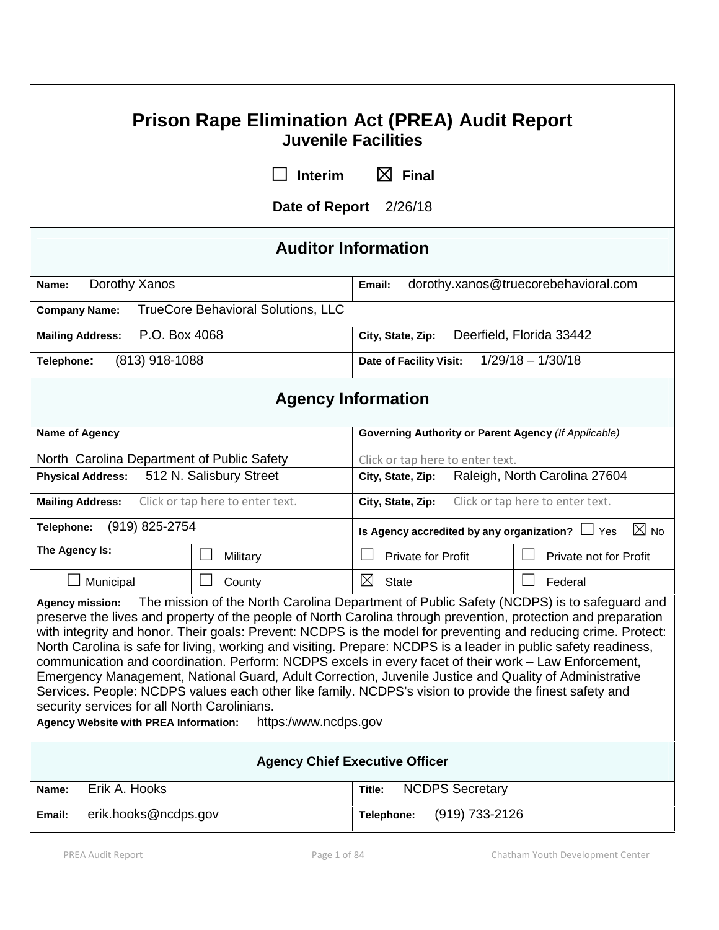# **Prison Rape Elimination Act (PREA) Audit Report Juvenile Facilities**

**☐ Interim ☒ Final**

**Date of Report** 2/26/18

# **Auditor Information**

| Dorothy Xanos<br>Name:                                  | dorothy.xanos@truecorebehavioral.com<br>Email: |  |  |
|---------------------------------------------------------|------------------------------------------------|--|--|
| <b>Company Name:</b> TrueCore Behavioral Solutions, LLC |                                                |  |  |
| Mailing Address: P.O. Box 4068                          | City, State, Zip: Deerfield, Florida 33442     |  |  |
| (813) 918-1088<br>Telephone:                            | Date of Facility Visit: $1/29/18 - 1/30/18$    |  |  |

# **Agency Information**

| Name of Agency                                                                               |                      | Governing Authority or Parent Agency (If Applicable)                                                                                                                                                                                                                                                                                                                                                                                                                                                                                                                                                                                                                             |                        |  |  |
|----------------------------------------------------------------------------------------------|----------------------|----------------------------------------------------------------------------------------------------------------------------------------------------------------------------------------------------------------------------------------------------------------------------------------------------------------------------------------------------------------------------------------------------------------------------------------------------------------------------------------------------------------------------------------------------------------------------------------------------------------------------------------------------------------------------------|------------------------|--|--|
| North Carolina Department of Public Safety                                                   |                      | Click or tap here to enter text.                                                                                                                                                                                                                                                                                                                                                                                                                                                                                                                                                                                                                                                 |                        |  |  |
| 512 N. Salisbury Street<br><b>Physical Address:</b>                                          |                      | Raleigh, North Carolina 27604<br>City, State, Zip:                                                                                                                                                                                                                                                                                                                                                                                                                                                                                                                                                                                                                               |                        |  |  |
| Click or tap here to enter text.<br><b>Mailing Address:</b>                                  |                      | Click or tap here to enter text.<br>City, State, Zip:                                                                                                                                                                                                                                                                                                                                                                                                                                                                                                                                                                                                                            |                        |  |  |
| (919) 825-2754<br>Telephone:                                                                 |                      | $\boxtimes$ No<br>Is Agency accredited by any organization? $\Box$ Yes                                                                                                                                                                                                                                                                                                                                                                                                                                                                                                                                                                                                           |                        |  |  |
| The Agency Is:                                                                               | Military             | <b>Private for Profit</b>                                                                                                                                                                                                                                                                                                                                                                                                                                                                                                                                                                                                                                                        | Private not for Profit |  |  |
| Municipal                                                                                    | County               | ⊠<br><b>State</b>                                                                                                                                                                                                                                                                                                                                                                                                                                                                                                                                                                                                                                                                | Federal                |  |  |
| security services for all North Carolinians.<br><b>Agency Website with PREA Information:</b> | https:/www.ncdps.gov | preserve the lives and property of the people of North Carolina through prevention, protection and preparation<br>with integrity and honor. Their goals: Prevent: NCDPS is the model for preventing and reducing crime. Protect:<br>North Carolina is safe for living, working and visiting. Prepare: NCDPS is a leader in public safety readiness,<br>communication and coordination. Perform: NCDPS excels in every facet of their work - Law Enforcement,<br>Emergency Management, National Guard, Adult Correction, Juvenile Justice and Quality of Administrative<br>Services. People: NCDPS values each other like family. NCDPS's vision to provide the finest safety and |                        |  |  |
| <b>Agency Chief Executive Officer</b>                                                        |                      |                                                                                                                                                                                                                                                                                                                                                                                                                                                                                                                                                                                                                                                                                  |                        |  |  |
| Erik A. Hooks<br>Name:                                                                       |                      | <b>NCDPS Secretary</b><br>Title:                                                                                                                                                                                                                                                                                                                                                                                                                                                                                                                                                                                                                                                 |                        |  |  |
| erik.hooks@ncdps.gov<br>Email:                                                               |                      | (919) 733-2126<br>Telephone:                                                                                                                                                                                                                                                                                                                                                                                                                                                                                                                                                                                                                                                     |                        |  |  |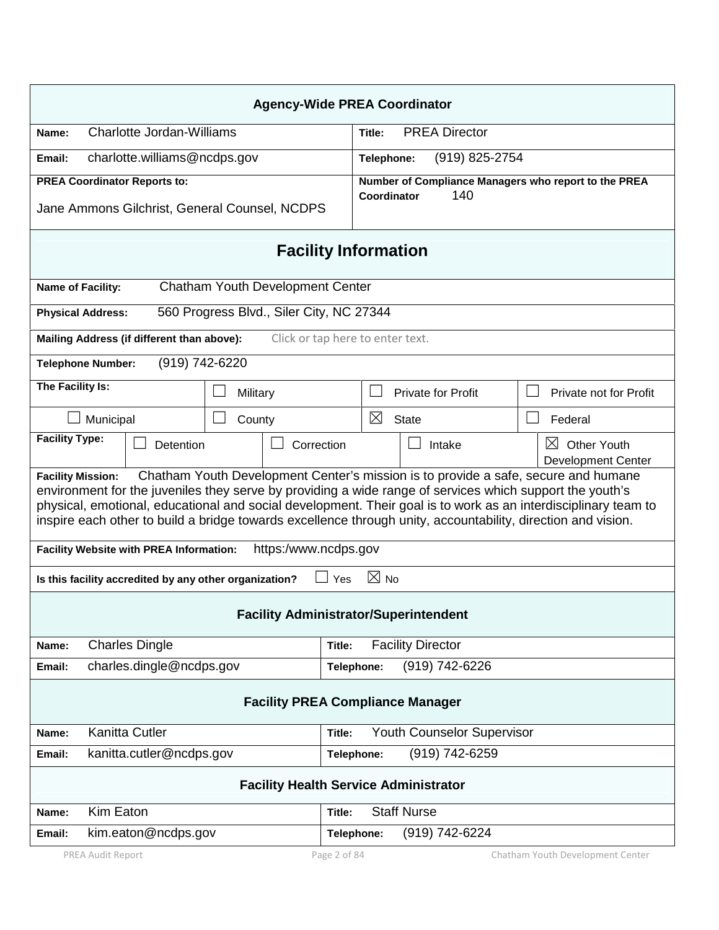| <b>Agency-Wide PREA Coordinator</b>                                                                                                                                                                                                                                                                                                                                                                                                                          |                                  |          |                                          |              |                                |  |                                                                |  |
|--------------------------------------------------------------------------------------------------------------------------------------------------------------------------------------------------------------------------------------------------------------------------------------------------------------------------------------------------------------------------------------------------------------------------------------------------------------|----------------------------------|----------|------------------------------------------|--------------|--------------------------------|--|----------------------------------------------------------------|--|
| Name:                                                                                                                                                                                                                                                                                                                                                                                                                                                        | <b>Charlotte Jordan-Williams</b> |          |                                          |              | <b>PREA Director</b><br>Title: |  |                                                                |  |
| charlotte.williams@ncdps.gov<br>Email:                                                                                                                                                                                                                                                                                                                                                                                                                       |                                  |          |                                          | Telephone:   | (919) 825-2754                 |  |                                                                |  |
| <b>PREA Coordinator Reports to:</b>                                                                                                                                                                                                                                                                                                                                                                                                                          |                                  |          |                                          |              |                                |  | Number of Compliance Managers who report to the PREA           |  |
| Jane Ammons Gilchrist, General Counsel, NCDPS                                                                                                                                                                                                                                                                                                                                                                                                                |                                  |          | Coordinator                              | 140          |                                |  |                                                                |  |
| <b>Facility Information</b>                                                                                                                                                                                                                                                                                                                                                                                                                                  |                                  |          |                                          |              |                                |  |                                                                |  |
| <b>Name of Facility:</b>                                                                                                                                                                                                                                                                                                                                                                                                                                     |                                  |          | <b>Chatham Youth Development Center</b>  |              |                                |  |                                                                |  |
| <b>Physical Address:</b>                                                                                                                                                                                                                                                                                                                                                                                                                                     |                                  |          | 560 Progress Blvd., Siler City, NC 27344 |              |                                |  |                                                                |  |
| Mailing Address (if different than above):                                                                                                                                                                                                                                                                                                                                                                                                                   |                                  |          | Click or tap here to enter text.         |              |                                |  |                                                                |  |
| <b>Telephone Number:</b>                                                                                                                                                                                                                                                                                                                                                                                                                                     | (919) 742-6220                   |          |                                          |              |                                |  |                                                                |  |
| The Facility Is:                                                                                                                                                                                                                                                                                                                                                                                                                                             |                                  |          |                                          |              |                                |  |                                                                |  |
|                                                                                                                                                                                                                                                                                                                                                                                                                                                              |                                  | Military |                                          |              | <b>Private for Profit</b>      |  | Private not for Profit                                         |  |
| Municipal                                                                                                                                                                                                                                                                                                                                                                                                                                                    |                                  | County   |                                          |              | $\boxtimes$<br><b>State</b>    |  | Federal                                                        |  |
| <b>Facility Type:</b>                                                                                                                                                                                                                                                                                                                                                                                                                                        | Detention                        |          | Correction                               |              | Intake                         |  | $\boxtimes$<br><b>Other Youth</b><br><b>Development Center</b> |  |
| Chatham Youth Development Center's mission is to provide a safe, secure and humane<br><b>Facility Mission:</b><br>environment for the juveniles they serve by providing a wide range of services which support the youth's<br>physical, emotional, educational and social development. Their goal is to work as an interdisciplinary team to<br>inspire each other to build a bridge towards excellence through unity, accountability, direction and vision. |                                  |          |                                          |              |                                |  |                                                                |  |
| <b>Facility Website with PREA Information:</b>                                                                                                                                                                                                                                                                                                                                                                                                               |                                  |          | https:/www.ncdps.gov                     |              |                                |  |                                                                |  |
| Is this facility accredited by any other organization?                                                                                                                                                                                                                                                                                                                                                                                                       |                                  |          |                                          | Yes          | $\boxtimes$ No                 |  |                                                                |  |
| <b>Facility Administrator/Superintendent</b>                                                                                                                                                                                                                                                                                                                                                                                                                 |                                  |          |                                          |              |                                |  |                                                                |  |
| <b>Charles Dingle</b><br>Name:                                                                                                                                                                                                                                                                                                                                                                                                                               |                                  | Title:   | <b>Facility Director</b>                 |              |                                |  |                                                                |  |
| Email:                                                                                                                                                                                                                                                                                                                                                                                                                                                       | charles.dingle@ncdps.gov         |          |                                          | Telephone:   | (919) 742-6226                 |  |                                                                |  |
| <b>Facility PREA Compliance Manager</b>                                                                                                                                                                                                                                                                                                                                                                                                                      |                                  |          |                                          |              |                                |  |                                                                |  |
| <b>Kanitta Cutler</b><br><b>Youth Counselor Supervisor</b><br>Name:<br>Title:                                                                                                                                                                                                                                                                                                                                                                                |                                  |          |                                          |              |                                |  |                                                                |  |
| kanitta.cutler@ncdps.gov<br>Email:<br>Telephone:                                                                                                                                                                                                                                                                                                                                                                                                             |                                  |          | (919) 742-6259                           |              |                                |  |                                                                |  |
| <b>Facility Health Service Administrator</b>                                                                                                                                                                                                                                                                                                                                                                                                                 |                                  |          |                                          |              |                                |  |                                                                |  |
| Kim Eaton<br>Name:                                                                                                                                                                                                                                                                                                                                                                                                                                           |                                  |          |                                          | Title:       | <b>Staff Nurse</b>             |  |                                                                |  |
| Email:                                                                                                                                                                                                                                                                                                                                                                                                                                                       | kim.eaton@ncdps.gov              |          |                                          | Telephone:   | (919) 742-6224                 |  |                                                                |  |
| PREA Audit Report                                                                                                                                                                                                                                                                                                                                                                                                                                            |                                  |          |                                          | Page 2 of 84 |                                |  | Chatham Youth Development Center                               |  |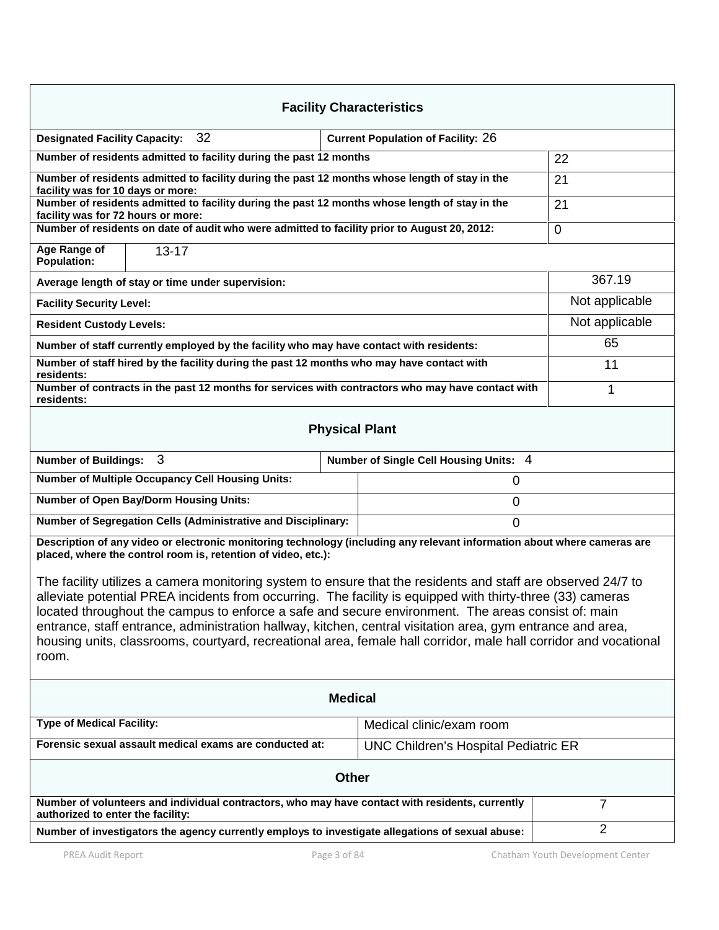| <b>Facility Characteristics</b>                                                                                                                                                                                                                                                                                                                                                                                                                                                                                                                                             |                                             |                |  |  |  |
|-----------------------------------------------------------------------------------------------------------------------------------------------------------------------------------------------------------------------------------------------------------------------------------------------------------------------------------------------------------------------------------------------------------------------------------------------------------------------------------------------------------------------------------------------------------------------------|---------------------------------------------|----------------|--|--|--|
| 32<br><b>Designated Facility Capacity:</b><br><b>Current Population of Facility: 26</b>                                                                                                                                                                                                                                                                                                                                                                                                                                                                                     |                                             |                |  |  |  |
| Number of residents admitted to facility during the past 12 months                                                                                                                                                                                                                                                                                                                                                                                                                                                                                                          | 22                                          |                |  |  |  |
| Number of residents admitted to facility during the past 12 months whose length of stay in the<br>facility was for 10 days or more:                                                                                                                                                                                                                                                                                                                                                                                                                                         |                                             | 21             |  |  |  |
| Number of residents admitted to facility during the past 12 months whose length of stay in the                                                                                                                                                                                                                                                                                                                                                                                                                                                                              |                                             | 21             |  |  |  |
| facility was for 72 hours or more:<br>Number of residents on date of audit who were admitted to facility prior to August 20, 2012:                                                                                                                                                                                                                                                                                                                                                                                                                                          |                                             | $\mathbf 0$    |  |  |  |
| Age Range of<br>$13 - 17$<br><b>Population:</b>                                                                                                                                                                                                                                                                                                                                                                                                                                                                                                                             |                                             |                |  |  |  |
| Average length of stay or time under supervision:                                                                                                                                                                                                                                                                                                                                                                                                                                                                                                                           |                                             | 367.19         |  |  |  |
| <b>Facility Security Level:</b>                                                                                                                                                                                                                                                                                                                                                                                                                                                                                                                                             |                                             | Not applicable |  |  |  |
| <b>Resident Custody Levels:</b>                                                                                                                                                                                                                                                                                                                                                                                                                                                                                                                                             |                                             | Not applicable |  |  |  |
| Number of staff currently employed by the facility who may have contact with residents:                                                                                                                                                                                                                                                                                                                                                                                                                                                                                     |                                             | 65             |  |  |  |
| Number of staff hired by the facility during the past 12 months who may have contact with<br>residents:                                                                                                                                                                                                                                                                                                                                                                                                                                                                     | 11                                          |                |  |  |  |
| Number of contracts in the past 12 months for services with contractors who may have contact with<br>residents:                                                                                                                                                                                                                                                                                                                                                                                                                                                             |                                             | 1              |  |  |  |
|                                                                                                                                                                                                                                                                                                                                                                                                                                                                                                                                                                             | <b>Physical Plant</b>                       |                |  |  |  |
| Number of Buildings: 3                                                                                                                                                                                                                                                                                                                                                                                                                                                                                                                                                      | Number of Single Cell Housing Units: 4      |                |  |  |  |
| <b>Number of Multiple Occupancy Cell Housing Units:</b>                                                                                                                                                                                                                                                                                                                                                                                                                                                                                                                     | 0                                           |                |  |  |  |
| <b>Number of Open Bay/Dorm Housing Units:</b><br>$\mathbf 0$                                                                                                                                                                                                                                                                                                                                                                                                                                                                                                                |                                             |                |  |  |  |
| Number of Segregation Cells (Administrative and Disciplinary:                                                                                                                                                                                                                                                                                                                                                                                                                                                                                                               |                                             |                |  |  |  |
| Description of any video or electronic monitoring technology (including any relevant information about where cameras are<br>placed, where the control room is, retention of video, etc.):                                                                                                                                                                                                                                                                                                                                                                                   |                                             |                |  |  |  |
| The facility utilizes a camera monitoring system to ensure that the residents and staff are observed 24/7 to<br>alleviate potential PREA incidents from occurring. The facility is equipped with thirty-three (33) cameras<br>located throughout the campus to enforce a safe and secure environment. The areas consist of: main<br>entrance, staff entrance, administration hallway, kitchen, central visitation area, gym entrance and area,<br>housing units, classrooms, courtyard, recreational area, female hall corridor, male hall corridor and vocational<br>room. |                                             |                |  |  |  |
|                                                                                                                                                                                                                                                                                                                                                                                                                                                                                                                                                                             | <b>Medical</b>                              |                |  |  |  |
| <b>Type of Medical Facility:</b><br>Medical clinic/exam room                                                                                                                                                                                                                                                                                                                                                                                                                                                                                                                |                                             |                |  |  |  |
| Forensic sexual assault medical exams are conducted at:                                                                                                                                                                                                                                                                                                                                                                                                                                                                                                                     | <b>UNC Children's Hospital Pediatric ER</b> |                |  |  |  |
| <b>Other</b>                                                                                                                                                                                                                                                                                                                                                                                                                                                                                                                                                                |                                             |                |  |  |  |
| Number of volunteers and individual contractors, who may have contact with residents, currently<br>authorized to enter the facility:                                                                                                                                                                                                                                                                                                                                                                                                                                        |                                             | $\overline{7}$ |  |  |  |
| $\overline{2}$<br>Number of investigators the agency currently employs to investigate allegations of sexual abuse:                                                                                                                                                                                                                                                                                                                                                                                                                                                          |                                             |                |  |  |  |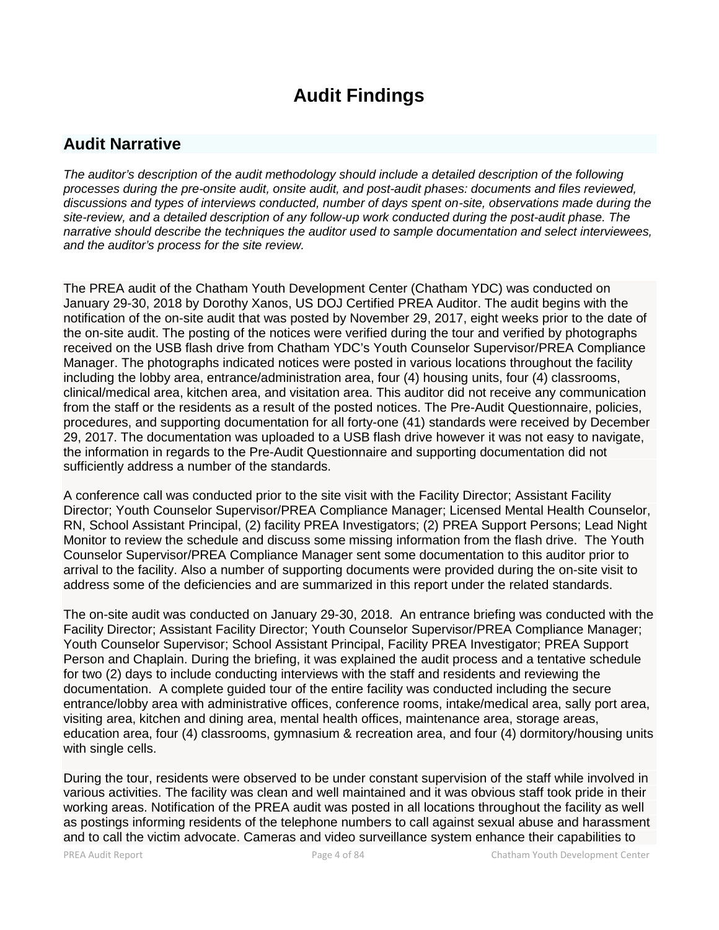# **Audit Findings**

## **Audit Narrative**

*The auditor's description of the audit methodology should include a detailed description of the following processes during the pre-onsite audit, onsite audit, and post-audit phases: documents and files reviewed, discussions and types of interviews conducted, number of days spent on-site, observations made during the site-review, and a detailed description of any follow-up work conducted during the post-audit phase. The narrative should describe the techniques the auditor used to sample documentation and select interviewees, and the auditor's process for the site review.*

The PREA audit of the Chatham Youth Development Center (Chatham YDC) was conducted on January 29-30, 2018 by Dorothy Xanos, US DOJ Certified PREA Auditor. The audit begins with the notification of the on-site audit that was posted by November 29, 2017, eight weeks prior to the date of the on-site audit. The posting of the notices were verified during the tour and verified by photographs received on the USB flash drive from Chatham YDC's Youth Counselor Supervisor/PREA Compliance Manager. The photographs indicated notices were posted in various locations throughout the facility including the lobby area, entrance/administration area, four (4) housing units, four (4) classrooms, clinical/medical area, kitchen area, and visitation area. This auditor did not receive any communication from the staff or the residents as a result of the posted notices. The Pre-Audit Questionnaire, policies, procedures, and supporting documentation for all forty-one (41) standards were received by December 29, 2017. The documentation was uploaded to a USB flash drive however it was not easy to navigate, the information in regards to the Pre-Audit Questionnaire and supporting documentation did not sufficiently address a number of the standards.

A conference call was conducted prior to the site visit with the Facility Director; Assistant Facility Director; Youth Counselor Supervisor/PREA Compliance Manager; Licensed Mental Health Counselor, RN, School Assistant Principal, (2) facility PREA Investigators; (2) PREA Support Persons; Lead Night Monitor to review the schedule and discuss some missing information from the flash drive. The Youth Counselor Supervisor/PREA Compliance Manager sent some documentation to this auditor prior to arrival to the facility. Also a number of supporting documents were provided during the on-site visit to address some of the deficiencies and are summarized in this report under the related standards.

The on-site audit was conducted on January 29-30, 2018. An entrance briefing was conducted with the Facility Director; Assistant Facility Director; Youth Counselor Supervisor/PREA Compliance Manager; Youth Counselor Supervisor; School Assistant Principal, Facility PREA Investigator; PREA Support Person and Chaplain. During the briefing, it was explained the audit process and a tentative schedule for two (2) days to include conducting interviews with the staff and residents and reviewing the documentation. A complete guided tour of the entire facility was conducted including the secure entrance/lobby area with administrative offices, conference rooms, intake/medical area, sally port area, visiting area, kitchen and dining area, mental health offices, maintenance area, storage areas, education area, four (4) classrooms, gymnasium & recreation area, and four (4) dormitory/housing units with single cells.

During the tour, residents were observed to be under constant supervision of the staff while involved in various activities. The facility was clean and well maintained and it was obvious staff took pride in their working areas. Notification of the PREA audit was posted in all locations throughout the facility as well as postings informing residents of the telephone numbers to call against sexual abuse and harassment and to call the victim advocate. Cameras and video surveillance system enhance their capabilities to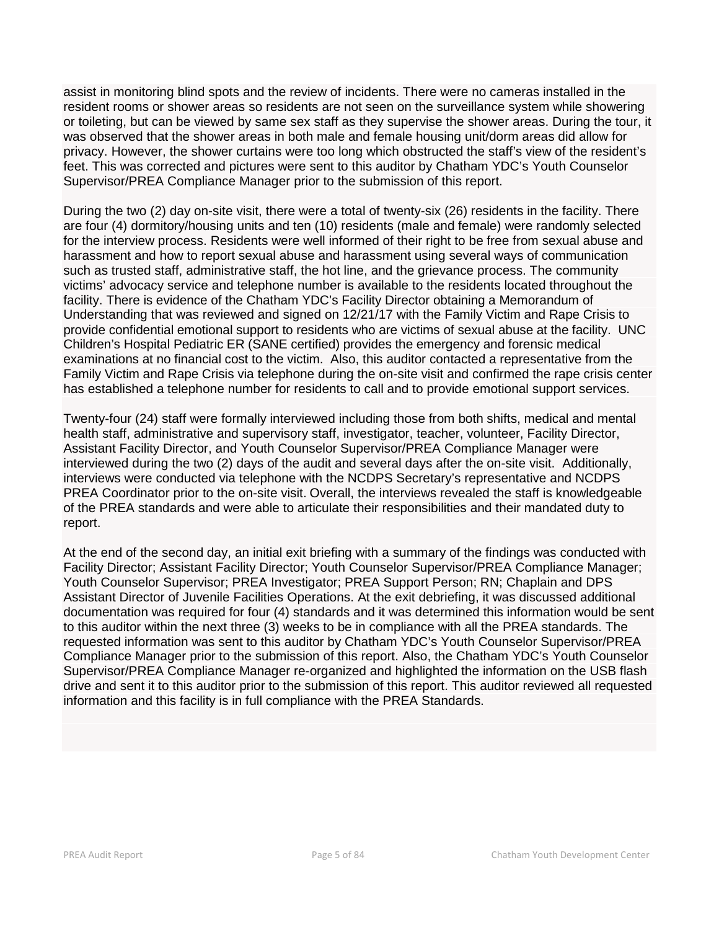assist in monitoring blind spots and the review of incidents. There were no cameras installed in the resident rooms or shower areas so residents are not seen on the surveillance system while showering or toileting, but can be viewed by same sex staff as they supervise the shower areas. During the tour, it was observed that the shower areas in both male and female housing unit/dorm areas did allow for privacy. However, the shower curtains were too long which obstructed the staff's view of the resident's feet. This was corrected and pictures were sent to this auditor by Chatham YDC's Youth Counselor Supervisor/PREA Compliance Manager prior to the submission of this report.

During the two (2) day on-site visit, there were a total of twenty-six (26) residents in the facility. There are four (4) dormitory/housing units and ten (10) residents (male and female) were randomly selected for the interview process. Residents were well informed of their right to be free from sexual abuse and harassment and how to report sexual abuse and harassment using several ways of communication such as trusted staff, administrative staff, the hot line, and the grievance process. The community victims' advocacy service and telephone number is available to the residents located throughout the facility. There is evidence of the Chatham YDC's Facility Director obtaining a Memorandum of Understanding that was reviewed and signed on 12/21/17 with the Family Victim and Rape Crisis to provide confidential emotional support to residents who are victims of sexual abuse at the facility. UNC Children's Hospital Pediatric ER (SANE certified) provides the emergency and forensic medical examinations at no financial cost to the victim. Also, this auditor contacted a representative from the Family Victim and Rape Crisis via telephone during the on-site visit and confirmed the rape crisis center has established a telephone number for residents to call and to provide emotional support services.

Twenty-four (24) staff were formally interviewed including those from both shifts, medical and mental health staff, administrative and supervisory staff, investigator, teacher, volunteer, Facility Director, Assistant Facility Director, and Youth Counselor Supervisor/PREA Compliance Manager were interviewed during the two (2) days of the audit and several days after the on-site visit. Additionally, interviews were conducted via telephone with the NCDPS Secretary's representative and NCDPS PREA Coordinator prior to the on-site visit. Overall, the interviews revealed the staff is knowledgeable of the PREA standards and were able to articulate their responsibilities and their mandated duty to report.

At the end of the second day, an initial exit briefing with a summary of the findings was conducted with Facility Director; Assistant Facility Director; Youth Counselor Supervisor/PREA Compliance Manager; Youth Counselor Supervisor; PREA Investigator; PREA Support Person; RN; Chaplain and DPS Assistant Director of Juvenile Facilities Operations. At the exit debriefing, it was discussed additional documentation was required for four (4) standards and it was determined this information would be sent to this auditor within the next three (3) weeks to be in compliance with all the PREA standards. The requested information was sent to this auditor by Chatham YDC's Youth Counselor Supervisor/PREA Compliance Manager prior to the submission of this report. Also, the Chatham YDC's Youth Counselor Supervisor/PREA Compliance Manager re-organized and highlighted the information on the USB flash drive and sent it to this auditor prior to the submission of this report. This auditor reviewed all requested information and this facility is in full compliance with the PREA Standards.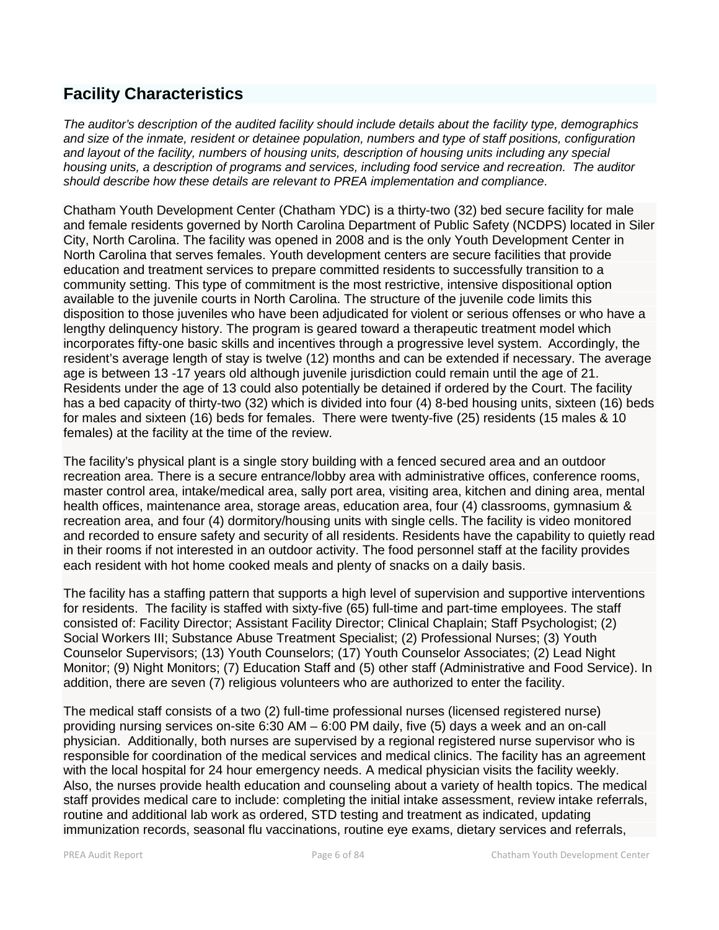## **Facility Characteristics**

*The auditor's description of the audited facility should include details about the facility type, demographics and size of the inmate, resident or detainee population, numbers and type of staff positions, configuration and layout of the facility, numbers of housing units, description of housing units including any special housing units, a description of programs and services, including food service and recreation. The auditor should describe how these details are relevant to PREA implementation and compliance.*

Chatham Youth Development Center (Chatham YDC) is a thirty-two (32) bed secure facility for male and female residents governed by North Carolina Department of Public Safety (NCDPS) located in Siler City, North Carolina. The facility was opened in 2008 and is the only Youth Development Center in North Carolina that serves females. Youth development centers are secure facilities that provide education and treatment services to prepare committed residents to successfully transition to a community setting. This type of commitment is the most restrictive, intensive dispositional option available to the juvenile courts in North Carolina. The structure of the juvenile code limits this disposition to those juveniles who have been adjudicated for violent or serious offenses or who have a lengthy delinquency history. The program is geared toward a therapeutic treatment model which incorporates fifty-one basic skills and incentives through a progressive level system. Accordingly, the resident's average length of stay is twelve (12) months and can be extended if necessary. The average age is between 13 -17 years old although juvenile jurisdiction could remain until the age of 21. Residents under the age of 13 could also potentially be detained if ordered by the Court. The facility has a bed capacity of thirty-two (32) which is divided into four (4) 8-bed housing units, sixteen (16) beds for males and sixteen (16) beds for females. There were twenty-five (25) residents (15 males & 10 females) at the facility at the time of the review.

The facility's physical plant is a single story building with a fenced secured area and an outdoor recreation area. There is a secure entrance/lobby area with administrative offices, conference rooms, master control area, intake/medical area, sally port area, visiting area, kitchen and dining area, mental health offices, maintenance area, storage areas, education area, four (4) classrooms, gymnasium & recreation area, and four (4) dormitory/housing units with single cells. The facility is video monitored and recorded to ensure safety and security of all residents. Residents have the capability to quietly read in their rooms if not interested in an outdoor activity. The food personnel staff at the facility provides each resident with hot home cooked meals and plenty of snacks on a daily basis.

The facility has a staffing pattern that supports a high level of supervision and supportive interventions for residents. The facility is staffed with sixty-five (65) full-time and part-time employees. The staff consisted of: Facility Director; Assistant Facility Director; Clinical Chaplain; Staff Psychologist; (2) Social Workers III; Substance Abuse Treatment Specialist; (2) Professional Nurses; (3) Youth Counselor Supervisors; (13) Youth Counselors; (17) Youth Counselor Associates; (2) Lead Night Monitor; (9) Night Monitors; (7) Education Staff and (5) other staff (Administrative and Food Service). In addition, there are seven (7) religious volunteers who are authorized to enter the facility.

The medical staff consists of a two (2) full-time professional nurses (licensed registered nurse) providing nursing services on-site 6:30 AM – 6:00 PM daily, five (5) days a week and an on-call physician. Additionally, both nurses are supervised by a regional registered nurse supervisor who is responsible for coordination of the medical services and medical clinics. The facility has an agreement with the local hospital for 24 hour emergency needs. A medical physician visits the facility weekly. Also, the nurses provide health education and counseling about a variety of health topics. The medical staff provides medical care to include: completing the initial intake assessment, review intake referrals, routine and additional lab work as ordered, STD testing and treatment as indicated, updating immunization records, seasonal flu vaccinations, routine eye exams, dietary services and referrals,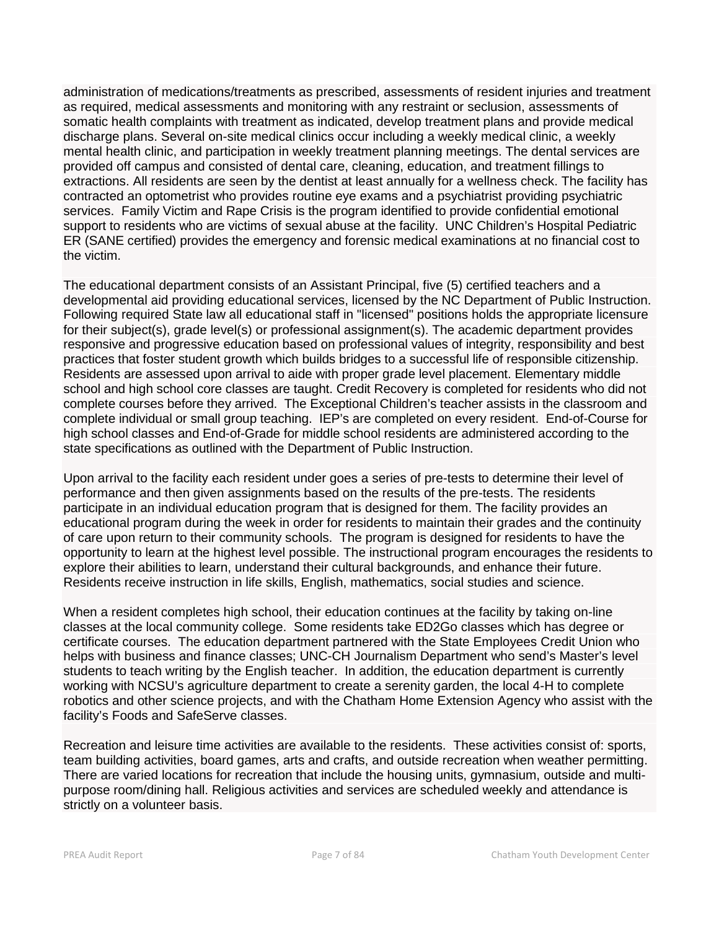administration of medications/treatments as prescribed, assessments of resident injuries and treatment as required, medical assessments and monitoring with any restraint or seclusion, assessments of somatic health complaints with treatment as indicated, develop treatment plans and provide medical discharge plans. Several on-site medical clinics occur including a weekly medical clinic, a weekly mental health clinic, and participation in weekly treatment planning meetings. The dental services are provided off campus and consisted of dental care, cleaning, education, and treatment fillings to extractions. All residents are seen by the dentist at least annually for a wellness check. The facility has contracted an optometrist who provides routine eye exams and a psychiatrist providing psychiatric services. Family Victim and Rape Crisis is the program identified to provide confidential emotional support to residents who are victims of sexual abuse at the facility. UNC Children's Hospital Pediatric ER (SANE certified) provides the emergency and forensic medical examinations at no financial cost to the victim.

The educational department consists of an Assistant Principal, five (5) certified teachers and a developmental aid providing educational services, licensed by the NC Department of Public Instruction. Following required State law all educational staff in "licensed" positions holds the appropriate licensure for their subject(s), grade level(s) or professional assignment(s). The academic department provides responsive and progressive education based on professional values of integrity, responsibility and best practices that foster student growth which builds bridges to a successful life of responsible citizenship. Residents are assessed upon arrival to aide with proper grade level placement. Elementary middle school and high school core classes are taught. Credit Recovery is completed for residents who did not complete courses before they arrived. The Exceptional Children's teacher assists in the classroom and complete individual or small group teaching. IEP's are completed on every resident. End-of-Course for high school classes and End-of-Grade for middle school residents are administered according to the state specifications as outlined with the Department of Public Instruction.

Upon arrival to the facility each resident under goes a series of pre-tests to determine their level of performance and then given assignments based on the results of the pre-tests. The residents participate in an individual education program that is designed for them. The facility provides an educational program during the week in order for residents to maintain their grades and the continuity of care upon return to their community schools. The program is designed for residents to have the opportunity to learn at the highest level possible. The instructional program encourages the residents to explore their abilities to learn, understand their cultural backgrounds, and enhance their future. Residents receive instruction in life skills, English, mathematics, social studies and science.

When a resident completes high school, their education continues at the facility by taking on-line classes at the local community college. Some residents take ED2Go classes which has degree or certificate courses. The education department partnered with the State Employees Credit Union who helps with business and finance classes; UNC-CH Journalism Department who send's Master's level students to teach writing by the English teacher. In addition, the education department is currently working with NCSU's agriculture department to create a serenity garden, the local 4-H to complete robotics and other science projects, and with the Chatham Home Extension Agency who assist with the facility's Foods and SafeServe classes.

Recreation and leisure time activities are available to the residents. These activities consist of: sports, team building activities, board games, arts and crafts, and outside recreation when weather permitting. There are varied locations for recreation that include the housing units, gymnasium, outside and multi purpose room/dining hall. Religious activities and services are scheduled weekly and attendance is strictly on a volunteer basis.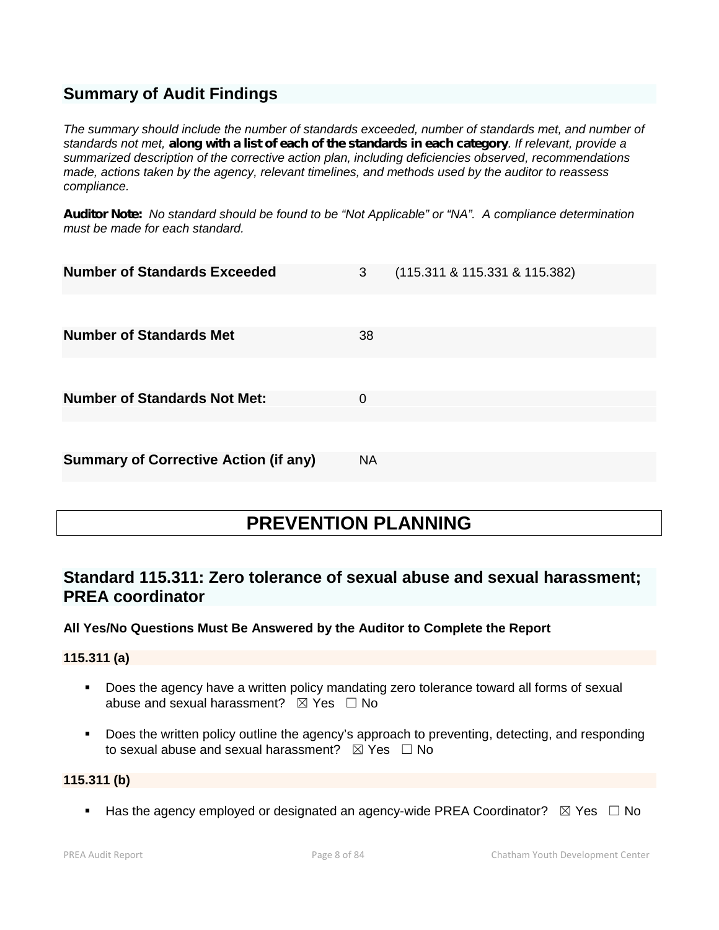## **Summary of Audit Findings**

*The summary should include the number of standards exceeded, number of standards met, and number of standards not met, along with a list of each of the standards in each category. If relevant, provide a summarized description of the corrective action plan, including deficiencies observed, recommendations made, actions taken by the agency, relevant timelines, and methods used by the auditor to reassess compliance.*

*Auditor Note: No standard should be found to be "Not Applicable" or "NA". A compliance determination must be made for each standard.*

| <b>Number of Standards Exceeded</b>          | 3         | (115.311 & 115.331 & 115.382) |
|----------------------------------------------|-----------|-------------------------------|
|                                              |           |                               |
| <b>Number of Standards Met</b>               | 38        |                               |
|                                              |           |                               |
| <b>Number of Standards Not Met:</b>          | 0         |                               |
|                                              |           |                               |
| <b>Summary of Corrective Action (if any)</b> | <b>NA</b> |                               |

# **PREVENTION PLANNING**

## **Standard 115.311: Zero tolerance of sexual abuse and sexual harassment; PREA coordinator**

#### **All Yes/No Questions Must Be Answered by the Auditor to Complete the Report**

**115.311 (a)**

- **Does the agency have a written policy mandating zero tolerance toward all forms of sexual** abuse and sexual harassment?  $\boxtimes$  Yes  $\Box$  No
- **Does the written policy outline the agency's approach to preventing, detecting, and responding** to sexual abuse and sexual harassment?  $\boxtimes$  Yes  $\Box$  No

#### **115.311 (b)**

Has the agency employed or designated an agency-wide PREA Coordinator?  $\boxtimes$  Yes  $\Box$  No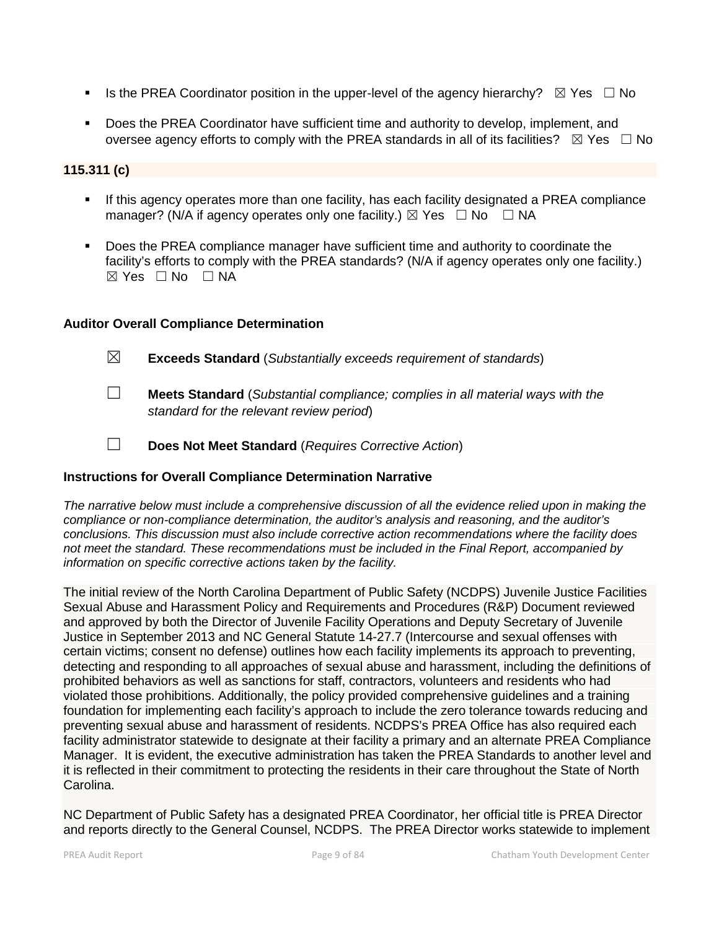- Is the PREA Coordinator position in the upper-level of the agency hierarchy?  $\boxtimes$  Yes  $\Box$  No
- Does the PREA Coordinator have sufficient time and authority to develop, implement, and oversee agency efforts to comply with the PREA standards in all of its facilities?  $\boxtimes$  Yes  $\Box$  No

### **115.311 (c)**

- **If this agency operates more than one facility, has each facility designated a PREA compliance** manager? (N/A if agency operates only one facility.)  $\boxtimes$  Yes  $\Box$  No  $\Box$  NA
- Does the PREA compliance manager have sufficient time and authority to coordinate the facility's efforts to comply with the PREA standards? (N/A if agency operates only one facility.) ☒ Yes ☐ No ☐ NA

#### **Auditor Overall Compliance Determination**

- ☒ **Exceeds Standard** (*Substantially exceeds requirement of standards*)
- ☐ **Meets Standard** (*Substantial compliance; complies in all material ways with the standard for the relevant review period*)
- ☐ **Does Not Meet Standard** (*Requires Corrective Action*)

## **Instructions for Overall Compliance Determination Narrative**

*The narrative below must include a comprehensive discussion of all the evidence relied upon in making the compliance or non-compliance determination, the auditor's analysis and reasoning, and the auditor's conclusions. This discussion must also include corrective action recommendations where the facility does not meet the standard. These recommendations must be included in the Final Report, accompanied by information on specific corrective actions taken by the facility.*

The initial review of the North Carolina Department of Public Safety (NCDPS) Juvenile Justice Facilities Sexual Abuse and Harassment Policy and Requirements and Procedures (R&P) Document reviewed and approved by both the Director of Juvenile Facility Operations and Deputy Secretary of Juvenile Justice in September 2013 and NC General Statute 14-27.7 (Intercourse and sexual offenses with certain victims; consent no defense) outlines how each facility implements its approach to preventing, detecting and responding to all approaches of sexual abuse and harassment, including the definitions of prohibited behaviors as well as sanctions for staff, contractors, volunteers and residents who had violated those prohibitions. Additionally, the policy provided comprehensive guidelines and a training foundation for implementing each facility's approach to include the zero tolerance towards reducing and preventing sexual abuse and harassment of residents. NCDPS's PREA Office has also required each facility administrator statewide to designate at their facility a primary and an alternate PREA Compliance Manager. It is evident, the executive administration has taken the PREA Standards to another level and it is reflected in their commitment to protecting the residents in their care throughout the State of North Carolina.

NC Department of Public Safety has a designated PREA Coordinator, her official title is PREA Director and reports directly to the General Counsel, NCDPS. The PREA Director works statewide to implement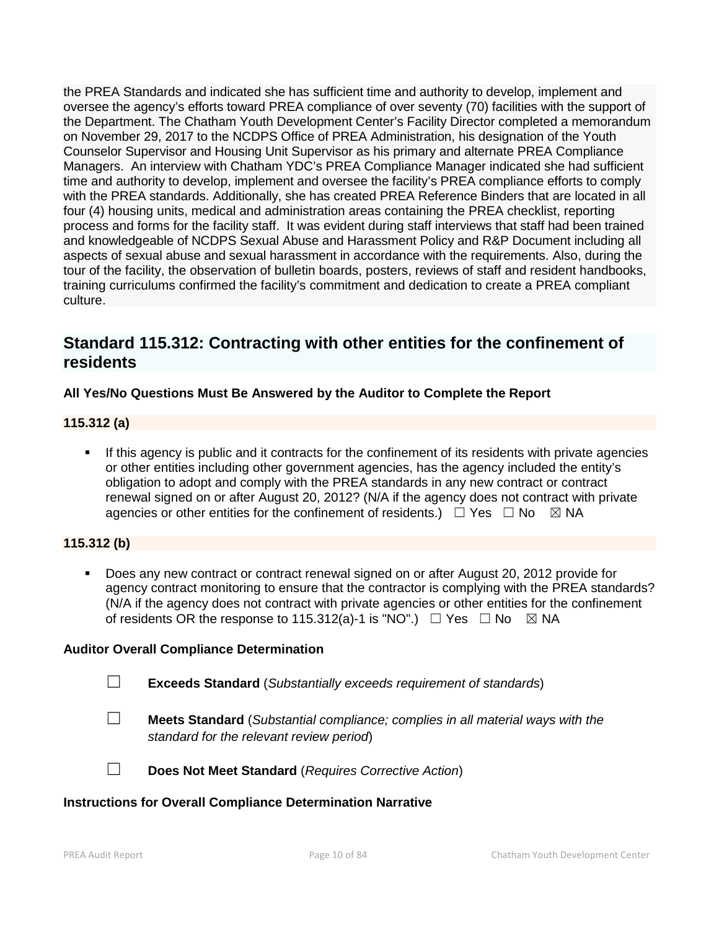the PREA Standards and indicated she has sufficient time and authority to develop, implement and oversee the agency's efforts toward PREA compliance of over seventy (70) facilities with the support of the Department. The Chatham Youth Development Center's Facility Director completed a memorandum on November 29, 2017 to the NCDPS Office of PREA Administration, his designation of the Youth Counselor Supervisor and Housing Unit Supervisor as his primary and alternate PREA Compliance Managers. An interview with Chatham YDC's PREA Compliance Manager indicated she had sufficient time and authority to develop, implement and oversee the facility's PREA compliance efforts to comply with the PREA standards. Additionally, she has created PREA Reference Binders that are located in all four (4) housing units, medical and administration areas containing the PREA checklist, reporting process and forms for the facility staff. It was evident during staff interviews that staff had been trained and knowledgeable of NCDPS Sexual Abuse and Harassment Policy and R&P Document including all aspects of sexual abuse and sexual harassment in accordance with the requirements. Also, during the tour of the facility, the observation of bulletin boards, posters, reviews of staff and resident handbooks, training curriculums confirmed the facility's commitment and dedication to create a PREA compliant culture.

## **Standard 115.312: Contracting with other entities for the confinement of residents**

## **All Yes/No Questions Must Be Answered by the Auditor to Complete the Report**

## **115.312 (a)**

 If this agency is public and it contracts for the confinement of its residents with private agencies or other entities including other government agencies, has the agency included the entity's obligation to adopt and comply with the PREA standards in any new contract or contract renewal signed on or after August 20, 2012? (N/A if the agency does not contract with private agencies or other entities for the confinement of residents.)  $\Box$  Yes  $\Box$  No  $\boxtimes$  NA

## **115.312 (b)**

 Does any new contract or contract renewal signed on or after August 20, 2012 provide for agency contract monitoring to ensure that the contractor is complying with the PREA standards? (N/A if the agency does not contract with private agencies or other entities for the confinement of residents OR the response to 115.312(a)-1 is "NO".)  $\Box$  Yes  $\Box$  No  $\boxtimes$  NA

#### **Auditor Overall Compliance Determination**

- ☐ **Exceeds Standard** (*Substantially exceeds requirement of standards*)
- ☐ **Meets Standard** (*Substantial compliance; complies in all material ways with the standard for the relevant review period*)

☐ **Does Not Meet Standard** (*Requires Corrective Action*)

#### **Instructions for Overall Compliance Determination Narrative**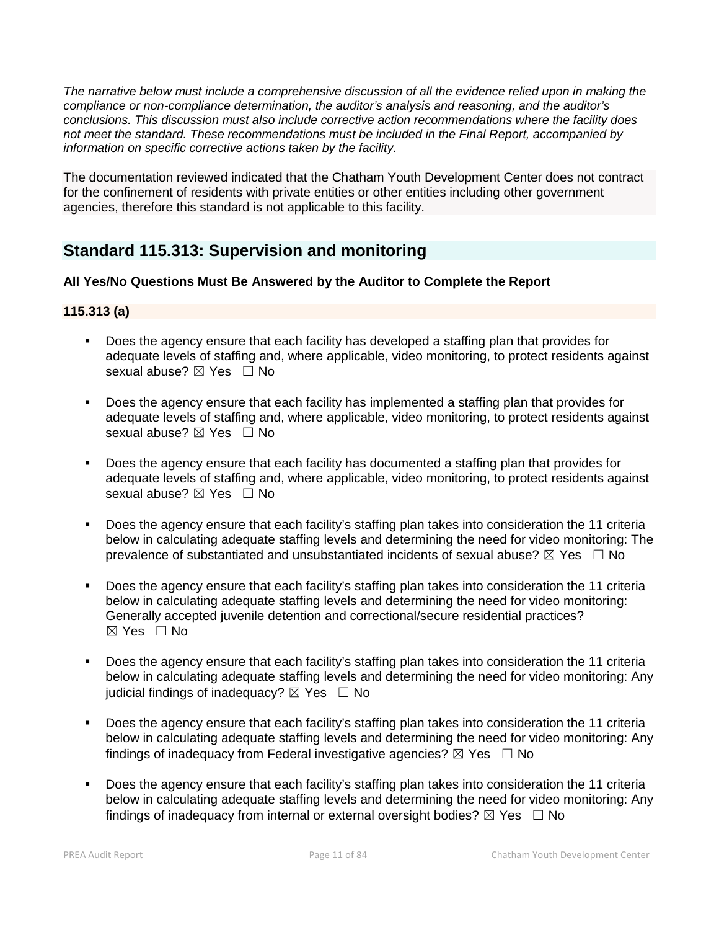*The narrative below must include a comprehensive discussion of all the evidence relied upon in making the compliance or non-compliance determination, the auditor's analysis and reasoning, and the auditor's conclusions. This discussion must also include corrective action recommendations where the facility does not meet the standard. These recommendations must be included in the Final Report, accompanied by information on specific corrective actions taken by the facility.*

The documentation reviewed indicated that the Chatham Youth Development Center does not contract for the confinement of residents with private entities or other entities including other government agencies, therefore this standard is not applicable to this facility.

## **Standard 115.313: Supervision and monitoring**

## **All Yes/No Questions Must Be Answered by the Auditor to Complete the Report**

## **115.313 (a)**

- **Does the agency ensure that each facility has developed a staffing plan that provides for** adequate levels of staffing and, where applicable, video monitoring, to protect residents against sexual abuse? ⊠ Yes □ No
- Does the agency ensure that each facility has implemented a staffing plan that provides for adequate levels of staffing and, where applicable, video monitoring, to protect residents against sexual abuse? ⊠ Yes □ No
- Does the agency ensure that each facility has documented a staffing plan that provides for adequate levels of staffing and, where applicable, video monitoring, to protect residents against sexual abuse?  $\boxtimes$  Yes  $\Box$  No
- Does the agency ensure that each facility's staffing plan takes into consideration the 11 criteria below in calculating adequate staffing levels and determining the need for video monitoring: The prevalence of substantiated and unsubstantiated incidents of sexual abuse?  $\boxtimes$  Yes  $\Box$  No
- Does the agency ensure that each facility's staffing plan takes into consideration the 11 criteria below in calculating adequate staffing levels and determining the need for video monitoring: Generally accepted juvenile detention and correctional/secure residential practices?  $\boxtimes$  Yes  $\Box$  No
- Does the agency ensure that each facility's staffing plan takes into consideration the 11 criteria below in calculating adequate staffing levels and determining the need for video monitoring: Any judicial findings of inadequacy?  $\boxtimes$  Yes  $\Box$  No
- Does the agency ensure that each facility's staffing plan takes into consideration the 11 criteria below in calculating adequate staffing levels and determining the need for video monitoring: Any findings of inadequacy from Federal investigative agencies?  $\boxtimes$  Yes  $\Box$  No
- Does the agency ensure that each facility's staffing plan takes into consideration the 11 criteria below in calculating adequate staffing levels and determining the need for video monitoring: Any findings of inadequacy from internal or external oversight bodies?  $\boxtimes$  Yes  $\Box$  No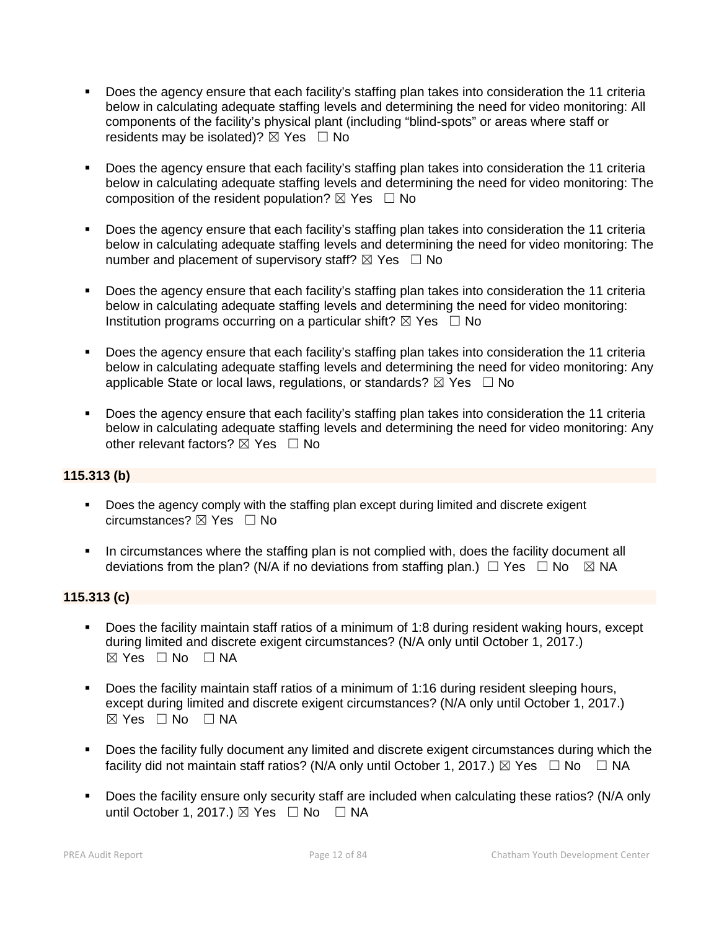- Does the agency ensure that each facility's staffing plan takes into consideration the 11 criteria below in calculating adequate staffing levels and determining the need for video monitoring: All components of the facility's physical plant (including "blind-spots" or areas where staff or residents may be isolated)?  $\boxtimes$  Yes  $\Box$  No
- Does the agency ensure that each facility's staffing plan takes into consideration the 11 criteria below in calculating adequate staffing levels and determining the need for video monitoring: The composition of the resident population?  $\boxtimes$  Yes  $\Box$  No
- Does the agency ensure that each facility's staffing plan takes into consideration the 11 criteria below in calculating adequate staffing levels and determining the need for video monitoring: The number and placement of supervisory staff?  $\boxtimes$  Yes  $\Box$  No
- Does the agency ensure that each facility's staffing plan takes into consideration the 11 criteria below in calculating adequate staffing levels and determining the need for video monitoring: Institution programs occurring on a particular shift?  $\boxtimes$  Yes  $\Box$  No
- Does the agency ensure that each facility's staffing plan takes into consideration the 11 criteria below in calculating adequate staffing levels and determining the need for video monitoring: Any applicable State or local laws, regulations, or standards?  $\boxtimes$  Yes  $\Box$  No
- Does the agency ensure that each facility's staffing plan takes into consideration the 11 criteria below in calculating adequate staffing levels and determining the need for video monitoring: Any other relevant factors?  $\nabla$  Yes  $\Box$  No

## **115.313 (b)**

- Does the agency comply with the staffing plan except during limited and discrete exigent circumstances? ☒ Yes ☐ No
- In circumstances where the staffing plan is not complied with, does the facility document all deviations from the plan? (N/A if no deviations from staffing plan.)  $\Box$  Yes  $\Box$  No  $\boxtimes$  NA

## **115.313 (c)**

- Does the facility maintain staff ratios of a minimum of 1:8 during resident waking hours, except during limited and discrete exigent circumstances? (N/A only until October 1, 2017.)  $⊠ Yes ⊡ No ⊡ NA$
- Does the facility maintain staff ratios of a minimum of 1:16 during resident sleeping hours, except during limited and discrete exigent circumstances? (N/A only until October 1, 2017.)  $\boxtimes$  Yes  $\Box$  No  $\Box$  NA
- Does the facility fully document any limited and discrete exigent circumstances during which the facility did not maintain staff ratios? (N/A only until October 1, 2017.)  $\boxtimes$  Yes  $\Box$  No  $\Box$  NA
- Does the facility ensure only security staff are included when calculating these ratios? (N/A only until October 1, 2017.)  $\boxtimes$  Yes  $\Box$  No  $\Box$  NA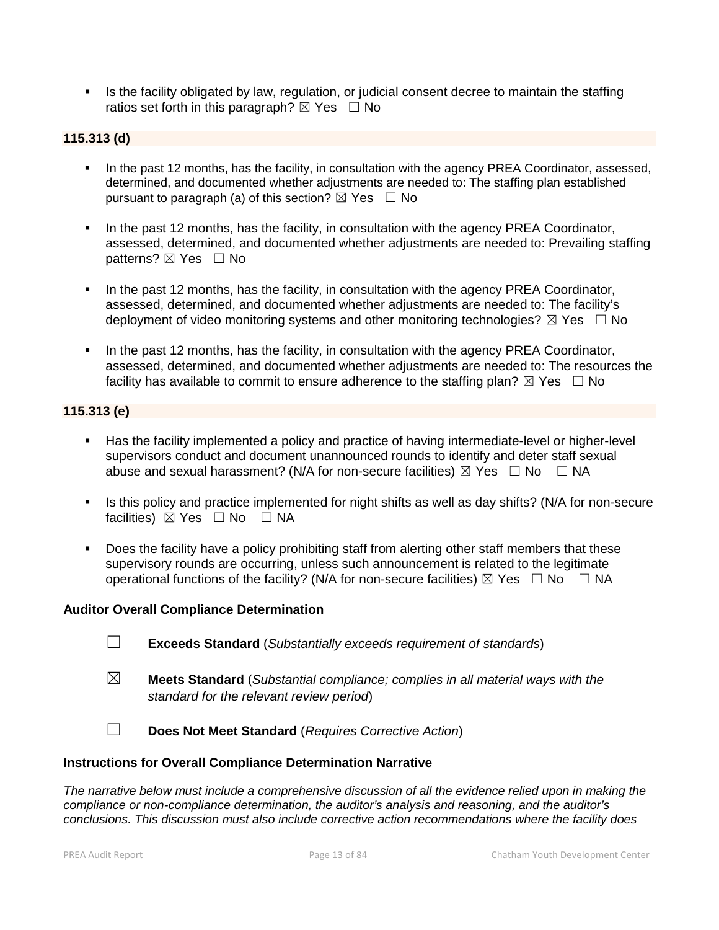In Its the facility obligated by law, regulation, or judicial consent decree to maintain the staffing ratios set forth in this paragraph?  $\boxtimes$  Yes  $\Box$  No

## **115.313 (d)**

- In the past 12 months, has the facility, in consultation with the agency PREA Coordinator, assessed, determined, and documented whether adjustments are needed to: The staffing plan established pursuant to paragraph (a) of this section?  $\boxtimes$  Yes  $\Box$  No
- In the past 12 months, has the facility, in consultation with the agency PREA Coordinator, assessed, determined, and documented whether adjustments are needed to: Prevailing staffing patterns? ⊠ Yes □ No
- In the past 12 months, has the facility, in consultation with the agency PREA Coordinator, assessed, determined, and documented whether adjustments are needed to: The facility's deployment of video monitoring systems and other monitoring technologies?  $\boxtimes$  Yes  $\Box$  No
- In the past 12 months, has the facility, in consultation with the agency PREA Coordinator, assessed, determined, and documented whether adjustments are needed to: The resources the facility has available to commit to ensure adherence to the staffing plan?  $\boxtimes$  Yes  $\Box$  No

#### **115.313 (e)**

- Has the facility implemented a policy and practice of having intermediate-level or higher-level supervisors conduct and document unannounced rounds to identify and deter staff sexual abuse and sexual harassment? (N/A for non-secure facilities)  $\boxtimes$  Yes  $\Box$  No  $\Box$  NA
- Is this policy and practice implemented for night shifts as well as day shifts? (N/A for non-secure facilities) ⊠ Yes □ No □ NA
- Does the facility have a policy prohibiting staff from alerting other staff members that these supervisory rounds are occurring, unless such announcement is related to the legitimate operational functions of the facility? (N/A for non-secure facilities)  $\boxtimes$  Yes  $\Box$  No  $\Box$  NA

#### **Auditor Overall Compliance Determination**

- ☐ **Exceeds Standard** (*Substantially exceeds requirement of standards*)
- ☒ **Meets Standard** (*Substantial compliance; complies in all material ways with the standard for the relevant review period*)
- ☐ **Does Not Meet Standard** (*Requires Corrective Action*)

#### **Instructions for Overall Compliance Determination Narrative**

*The narrative below must include a comprehensive discussion of all the evidence relied upon in making the compliance or non-compliance determination, the auditor's analysis and reasoning, and the auditor's conclusions. This discussion must also include corrective action recommendations where the facility does*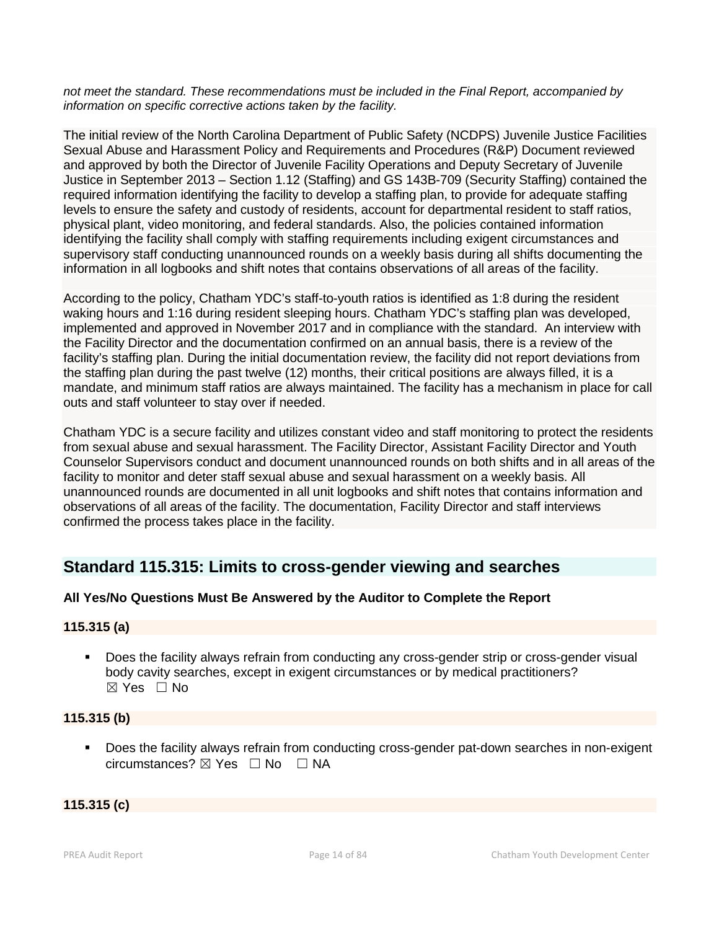*not meet the standard. These recommendations must be included in the Final Report, accompanied by information on specific corrective actions taken by the facility.*

The initial review of the North Carolina Department of Public Safety (NCDPS) Juvenile Justice Facilities Sexual Abuse and Harassment Policy and Requirements and Procedures (R&P) Document reviewed and approved by both the Director of Juvenile Facility Operations and Deputy Secretary of Juvenile Justice in September 2013 – Section 1.12 (Staffing) and GS 143B-709 (Security Staffing) contained the required information identifying the facility to develop a staffing plan, to provide for adequate staffing levels to ensure the safety and custody of residents, account for departmental resident to staff ratios, physical plant, video monitoring, and federal standards. Also, the policies contained information identifying the facility shall comply with staffing requirements including exigent circumstances and supervisory staff conducting unannounced rounds on a weekly basis during all shifts documenting the information in all logbooks and shift notes that contains observations of all areas of the facility.

According to the policy, Chatham YDC's staff-to-youth ratios is identified as 1:8 during the resident waking hours and 1:16 during resident sleeping hours. Chatham YDC's staffing plan was developed, implemented and approved in November 2017 and in compliance with the standard. An interview with the Facility Director and the documentation confirmed on an annual basis, there is a review of the facility's staffing plan. During the initial documentation review, the facility did not report deviations from the staffing plan during the past twelve (12) months, their critical positions are always filled, it is a mandate, and minimum staff ratios are always maintained. The facility has a mechanism in place for call outs and staff volunteer to stay over if needed.

Chatham YDC is a secure facility and utilizes constant video and staff monitoring to protect the residents from sexual abuse and sexual harassment. The Facility Director, Assistant Facility Director and Youth Counselor Supervisors conduct and document unannounced rounds on both shifts and in all areas of the facility to monitor and deter staff sexual abuse and sexual harassment on a weekly basis. All unannounced rounds are documented in all unit logbooks and shift notes that contains information and observations of all areas of the facility. The documentation, Facility Director and staff interviews confirmed the process takes place in the facility.

## **Standard 115.315: Limits to cross-gender viewing and searches**

## **All Yes/No Questions Must Be Answered by the Auditor to Complete the Report**

## **115.315 (a)**

 Does the facility always refrain from conducting any cross-gender strip or cross-gender visual body cavity searches, except in exigent circumstances or by medical practitioners?  $\boxtimes$  Yes  $\Box$  No

## **115.315 (b)**

**Does the facility always refrain from conducting cross-gender pat-down searches in non-exigent** circumstances? ☒ Yes ☐ No ☐ NA

#### **115.315 (c)**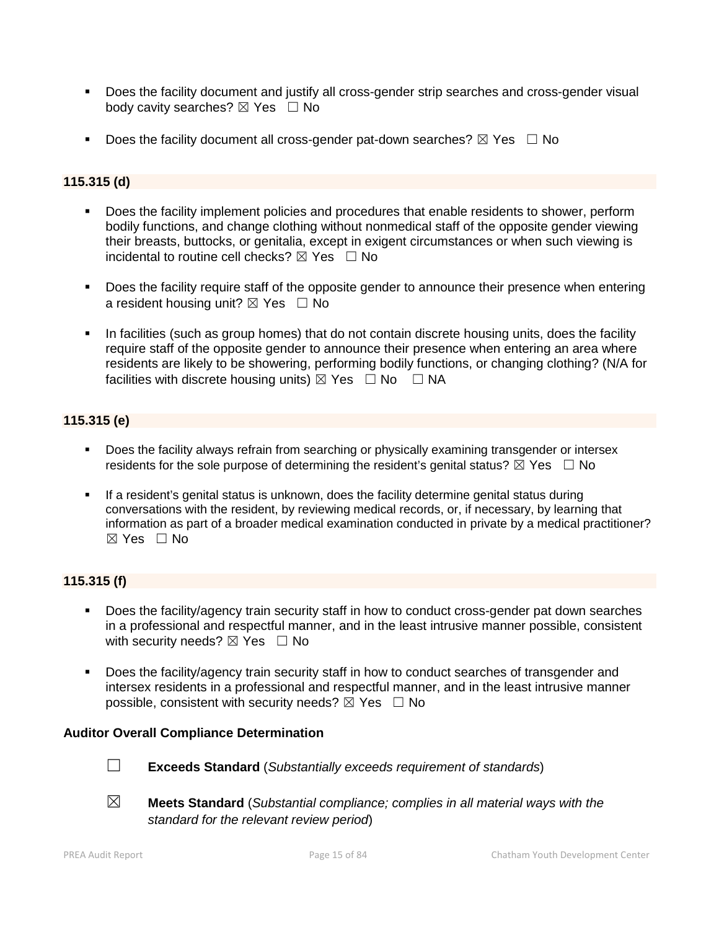- **Does the facility document and justify all cross-gender strip searches and cross-gender visual** body cavity searches?  $\boxtimes$  Yes  $\Box$  No
- Does the facility document all cross-gender pat-down searches?  $\boxtimes$  Yes  $\Box$  No

## **115.315 (d)**

- Does the facility implement policies and procedures that enable residents to shower, perform bodily functions, and change clothing without nonmedical staff of the opposite gender viewing their breasts, buttocks, or genitalia, except in exigent circumstances or when such viewing is incidental to routine cell checks?  $\boxtimes$  Yes  $\Box$  No
- Does the facility require staff of the opposite gender to announce their presence when entering a resident housing unit?  $\boxtimes$  Yes  $\Box$  No
- In facilities (such as group homes) that do not contain discrete housing units, does the facility require staff of the opposite gender to announce their presence when entering an area where residents are likely to be showering, performing bodily functions, or changing clothing? (N/A for facilities with discrete housing units)  $\boxtimes$  Yes  $\Box$  No  $\Box$  NA

## **115.315 (e)**

- **Does the facility always refrain from searching or physically examining transgender or intersex** residents for the sole purpose of determining the resident's genital status?  $\boxtimes$  Yes  $\Box$  No
- If a resident's genital status is unknown, does the facility determine genital status during conversations with the resident, by reviewing medical records, or, if necessary, by learning that information as part of a broader medical examination conducted in private by a medical practitioner?  $\boxtimes$  Yes  $\Box$  No

## **115.315 (f)**

- Does the facility/agency train security staff in how to conduct cross-gender pat down searches in a professional and respectful manner, and in the least intrusive manner possible, consistent with security needs?  $\boxtimes$  Yes  $\Box$  No
- Does the facility/agency train security staff in how to conduct searches of transgender and intersex residents in a professional and respectful manner, and in the least intrusive manner possible, consistent with security needs?  $\boxtimes$  Yes  $\Box$  No

#### **Auditor Overall Compliance Determination**



- ☐ **Exceeds Standard** (*Substantially exceeds requirement of standards*)
- ☒ **Meets Standard** (*Substantial compliance; complies in all material ways with the standard for the relevant review period*)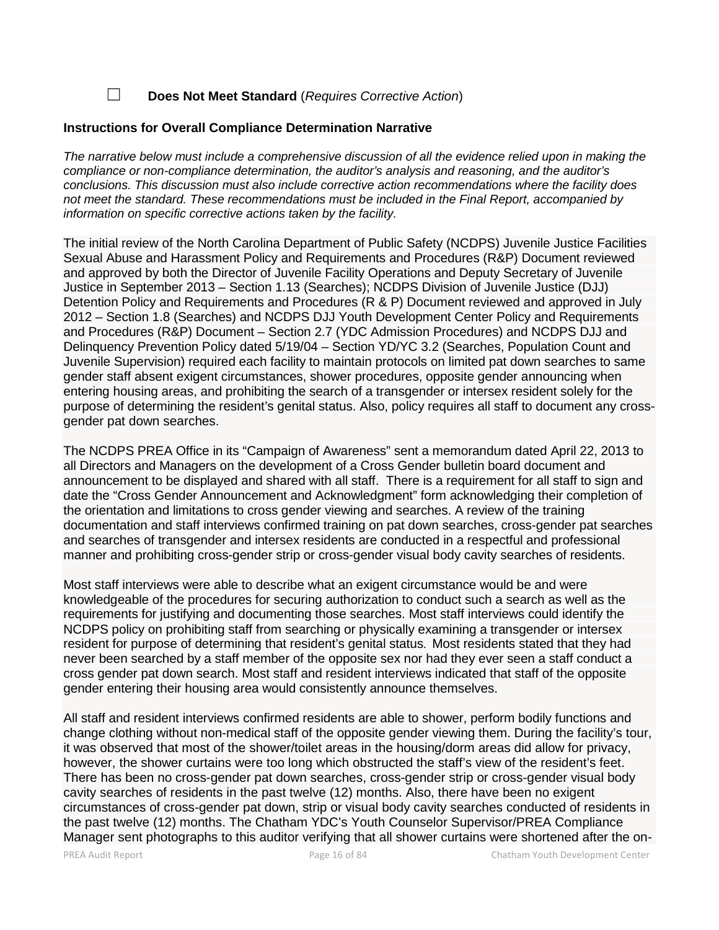☐ **Does Not Meet Standard** (*Requires Corrective Action*)

#### **Instructions for Overall Compliance Determination Narrative**

*The narrative below must include a comprehensive discussion of all the evidence relied upon in making the compliance or non-compliance determination, the auditor's analysis and reasoning, and the auditor's conclusions. This discussion must also include corrective action recommendations where the facility does not meet the standard. These recommendations must be included in the Final Report, accompanied by information on specific corrective actions taken by the facility.*

The initial review of the North Carolina Department of Public Safety (NCDPS) Juvenile Justice Facilities Sexual Abuse and Harassment Policy and Requirements and Procedures (R&P) Document reviewed and approved by both the Director of Juvenile Facility Operations and Deputy Secretary of Juvenile Justice in September 2013 – Section 1.13 (Searches); NCDPS Division of Juvenile Justice (DJJ) Detention Policy and Requirements and Procedures (R & P) Document reviewed and approved in July 2012 – Section 1.8 (Searches) and NCDPS DJJ Youth Development Center Policy and Requirements and Procedures (R&P) Document – Section 2.7 (YDC Admission Procedures) and NCDPS DJJ and Delinquency Prevention Policy dated 5/19/04 – Section YD/YC 3.2 (Searches, Population Count and Juvenile Supervision) required each facility to maintain protocols on limited pat down searches to same gender staff absent exigent circumstances, shower procedures, opposite gender announcing when entering housing areas, and prohibiting the search of a transgender or intersex resident solely for the purpose of determining the resident's genital status. Also, policy requires all staff to document any cross gender pat down searches.

The NCDPS PREA Office in its "Campaign of Awareness" sent a memorandum dated April 22, 2013 to all Directors and Managers on the development of a Cross Gender bulletin board document and announcement to be displayed and shared with all staff. There is a requirement for all staff to sign and date the "Cross Gender Announcement and Acknowledgment" form acknowledging their completion of the orientation and limitations to cross gender viewing and searches. A review of the training documentation and staff interviews confirmed training on pat down searches, cross-gender pat searches and searches of transgender and intersex residents are conducted in a respectful and professional manner and prohibiting cross-gender strip or cross-gender visual body cavity searches of residents.

Most staff interviews were able to describe what an exigent circumstance would be and were knowledgeable of the procedures for securing authorization to conduct such a search as well as the requirements for justifying and documenting those searches. Most staff interviews could identify the NCDPS policy on prohibiting staff from searching or physically examining a transgender or intersex resident for purpose of determining that resident's genital status. Most residents stated that they had never been searched by a staff member of the opposite sex nor had they ever seen a staff conduct a cross gender pat down search. Most staff and resident interviews indicated that staff of the opposite gender entering their housing area would consistently announce themselves.

All staff and resident interviews confirmed residents are able to shower, perform bodily functions and change clothing without non-medical staff of the opposite gender viewing them. During the facility's tour, it was observed that most of the shower/toilet areas in the housing/dorm areas did allow for privacy, however, the shower curtains were too long which obstructed the staff's view of the resident's feet. There has been no cross-gender pat down searches, cross-gender strip or cross-gender visual body cavity searches of residents in the past twelve (12) months. Also, there have been no exigent circumstances of cross-gender pat down, strip or visual body cavity searches conducted of residents in the past twelve (12) months. The Chatham YDC's Youth Counselor Supervisor/PREA Compliance Manager sent photographs to this auditor verifying that all shower curtains were shortened after the on-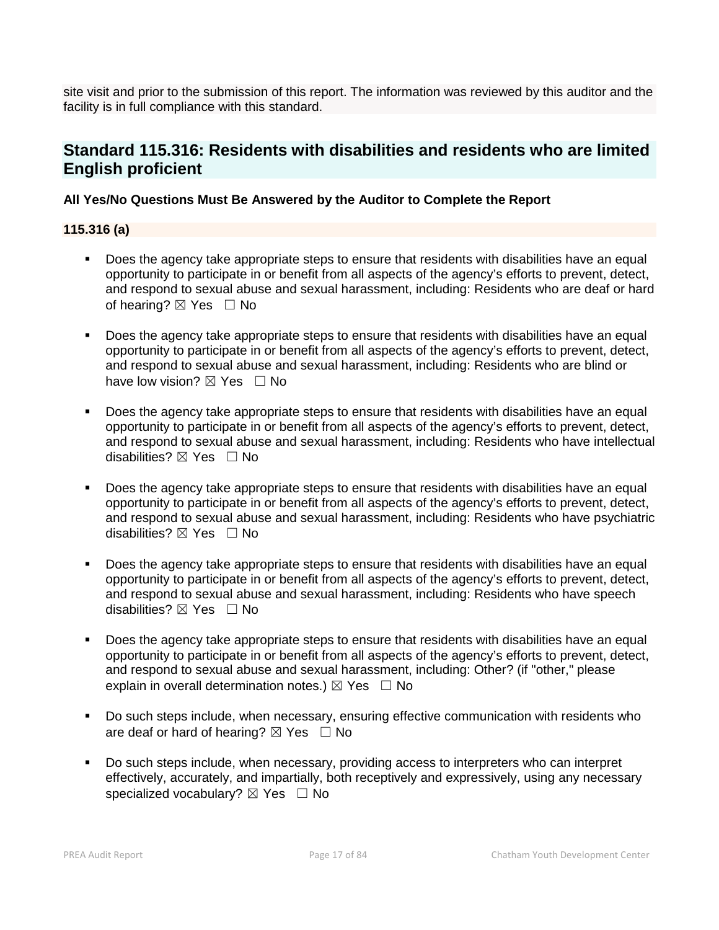site visit and prior to the submission of this report. The information was reviewed by this auditor and the facility is in full compliance with this standard.

## **Standard 115.316: Residents with disabilities and residents who are limited English proficient**

## **All Yes/No Questions Must Be Answered by the Auditor to Complete the Report**

## **115.316 (a)**

- Does the agency take appropriate steps to ensure that residents with disabilities have an equal opportunity to participate in or benefit from all aspects of the agency's efforts to prevent, detect, and respond to sexual abuse and sexual harassment, including: Residents who are deaf or hard of hearing?  $\boxtimes$  Yes  $\Box$  No
- **Does the agency take appropriate steps to ensure that residents with disabilities have an equal** opportunity to participate in or benefit from all aspects of the agency's efforts to prevent, detect, and respond to sexual abuse and sexual harassment, including: Residents who are blind or have low vision?  $\boxtimes$  Yes  $\Box$  No
- Does the agency take appropriate steps to ensure that residents with disabilities have an equal opportunity to participate in or benefit from all aspects of the agency's efforts to prevent, detect, and respond to sexual abuse and sexual harassment, including: Residents who have intellectual disabilities? ⊠ Yes □ No
- Does the agency take appropriate steps to ensure that residents with disabilities have an equal opportunity to participate in or benefit from all aspects of the agency's efforts to prevent, detect, and respond to sexual abuse and sexual harassment, including: Residents who have psychiatric disabilities?  $\boxtimes$  Yes  $\Box$  No
- Does the agency take appropriate steps to ensure that residents with disabilities have an equal opportunity to participate in or benefit from all aspects of the agency's efforts to prevent, detect, and respond to sexual abuse and sexual harassment, including: Residents who have speech disabilities?  $\boxtimes$  Yes  $\Box$  No
- Does the agency take appropriate steps to ensure that residents with disabilities have an equal opportunity to participate in or benefit from all aspects of the agency's efforts to prevent, detect, and respond to sexual abuse and sexual harassment, including: Other? (if "other," please explain in overall determination notes.)  $\boxtimes$  Yes  $\Box$  No
- Do such steps include, when necessary, ensuring effective communication with residents who are deaf or hard of hearing?  $\boxtimes$  Yes  $\Box$  No
- Do such steps include, when necessary, providing access to interpreters who can interpret effectively, accurately, and impartially, both receptively and expressively, using any necessary specialized vocabulary?  $\boxtimes$  Yes  $\Box$  No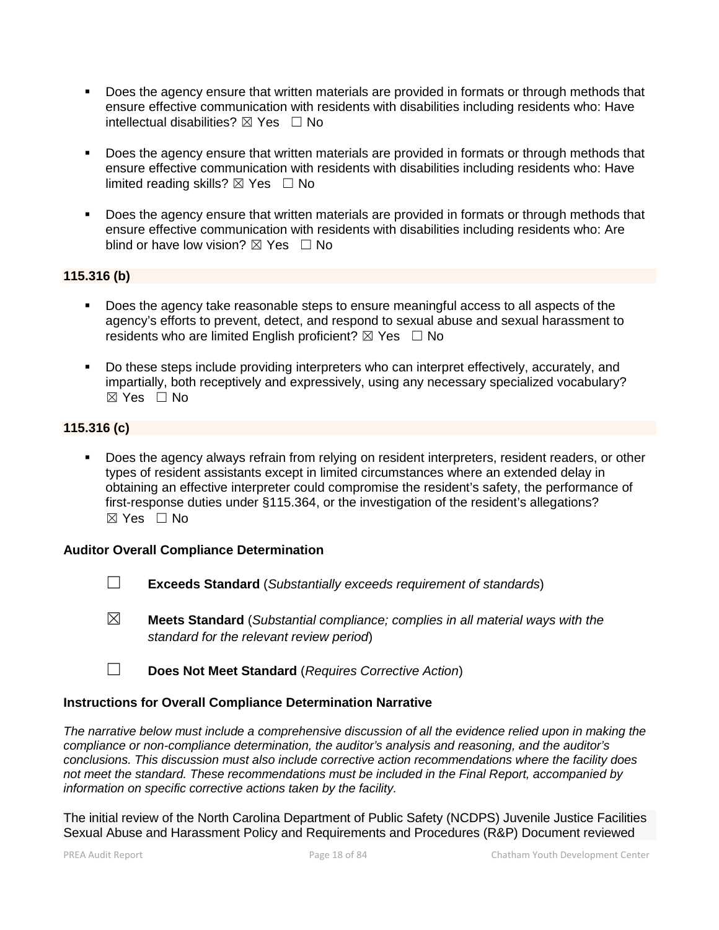- Does the agency ensure that written materials are provided in formats or through methods that ensure effective communication with residents with disabilities including residents who: Have intellectual disabilities?  $\boxtimes$  Yes  $\Box$  No
- Does the agency ensure that written materials are provided in formats or through methods that ensure effective communication with residents with disabilities including residents who: Have limited reading skills?  $\boxtimes$  Yes  $\Box$  No
- Does the agency ensure that written materials are provided in formats or through methods that ensure effective communication with residents with disabilities including residents who: Are blind or have low vision?  $\boxtimes$  Yes  $\Box$  No

#### **115.316 (b)**

- Does the agency take reasonable steps to ensure meaningful access to all aspects of the agency's efforts to prevent, detect, and respond to sexual abuse and sexual harassment to residents who are limited English proficient?  $\boxtimes$  Yes  $\Box$  No
- Do these steps include providing interpreters who can interpret effectively, accurately, and impartially, both receptively and expressively, using any necessary specialized vocabulary?  $\boxtimes$  Yes  $\Box$  No

## **115.316 (c)**

 Does the agency always refrain from relying on resident interpreters, resident readers, or other types of resident assistants except in limited circumstances where an extended delay in obtaining an effective interpreter could compromise the resident's safety, the performance of first-response duties under §115.364, or the investigation of the resident's allegations?  $\boxtimes$  Yes  $\Box$  No

#### **Auditor Overall Compliance Determination**

- ☐ **Exceeds Standard** (*Substantially exceeds requirement of standards*)
- ☒ **Meets Standard** (*Substantial compliance; complies in all material ways with the standard for the relevant review period*)
- ☐ **Does Not Meet Standard** (*Requires Corrective Action*)

## **Instructions for Overall Compliance Determination Narrative**

*The narrative below must include a comprehensive discussion of all the evidence relied upon in making the compliance or non-compliance determination, the auditor's analysis and reasoning, and the auditor's conclusions. This discussion must also include corrective action recommendations where the facility does not meet the standard. These recommendations must be included in the Final Report, accompanied by information on specific corrective actions taken by the facility.*

The initial review of the North Carolina Department of Public Safety (NCDPS) Juvenile Justice Facilities Sexual Abuse and Harassment Policy and Requirements and Procedures (R&P) Document reviewed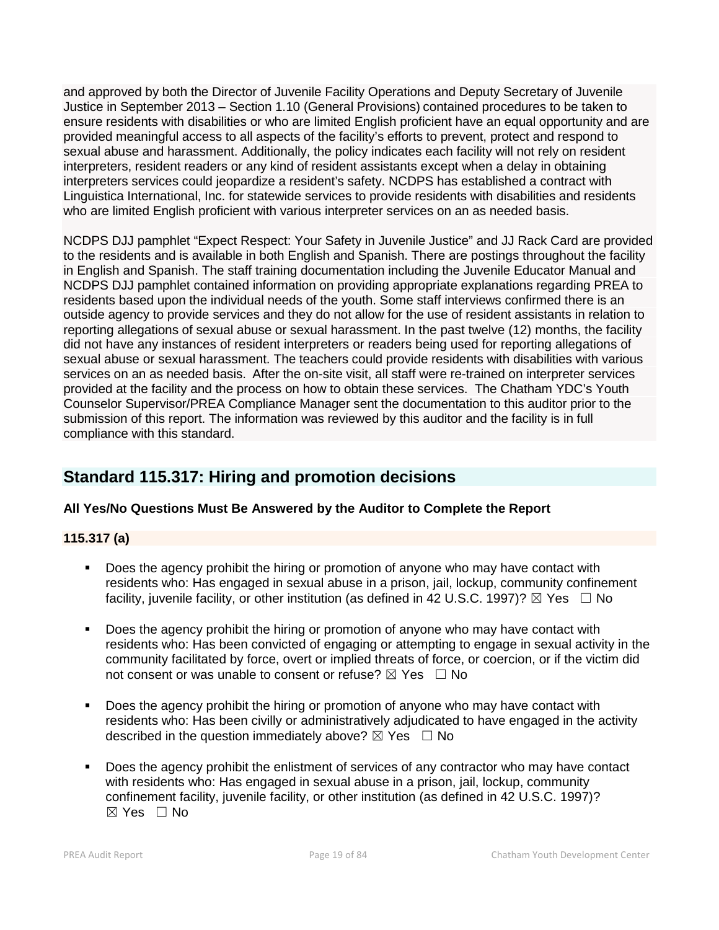and approved by both the Director of Juvenile Facility Operations and Deputy Secretary of Juvenile Justice in September 2013 – Section 1.10 (General Provisions) contained procedures to be taken to ensure residents with disabilities or who are limited English proficient have an equal opportunity and are provided meaningful access to all aspects of the facility's efforts to prevent, protect and respond to sexual abuse and harassment. Additionally, the policy indicates each facility will not rely on resident interpreters, resident readers or any kind of resident assistants except when a delay in obtaining interpreters services could jeopardize a resident's safety. NCDPS has established a contract with Linguistica International, Inc. for statewide services to provide residents with disabilities and residents who are limited English proficient with various interpreter services on an as needed basis.

NCDPS DJJ pamphlet "Expect Respect: Your Safety in Juvenile Justice" and JJ Rack Card are provided to the residents and is available in both English and Spanish. There are postings throughout the facility in English and Spanish. The staff training documentation including the Juvenile Educator Manual and NCDPS DJJ pamphlet contained information on providing appropriate explanations regarding PREA to residents based upon the individual needs of the youth. Some staff interviews confirmed there is an outside agency to provide services and they do not allow for the use of resident assistants in relation to reporting allegations of sexual abuse or sexual harassment. In the past twelve (12) months, the facility did not have any instances of resident interpreters or readers being used for reporting allegations of sexual abuse or sexual harassment. The teachers could provide residents with disabilities with various services on an as needed basis. After the on-site visit, all staff were re-trained on interpreter services provided at the facility and the process on how to obtain these services. The Chatham YDC's Youth Counselor Supervisor/PREA Compliance Manager sent the documentation to this auditor prior to the submission of this report. The information was reviewed by this auditor and the facility is in full compliance with this standard.

## **Standard 115.317: Hiring and promotion decisions**

## **All Yes/No Questions Must Be Answered by the Auditor to Complete the Report**

## **115.317 (a)**

- Does the agency prohibit the hiring or promotion of anyone who may have contact with residents who: Has engaged in sexual abuse in a prison, jail, lockup, community confinement facility, iuvenile facility, or other institution (as defined in 42 U.S.C. 1997)?  $\boxtimes$  Yes  $\Box$  No
- Does the agency prohibit the hiring or promotion of anyone who may have contact with residents who: Has been convicted of engaging or attempting to engage in sexual activity in the community facilitated by force, overt or implied threats of force, or coercion, or if the victim did not consent or was unable to consent or refuse?  $\boxtimes$  Yes  $\Box$  No
- Does the agency prohibit the hiring or promotion of anyone who may have contact with residents who: Has been civilly or administratively adjudicated to have engaged in the activity described in the question immediately above?  $\boxtimes$  Yes  $\Box$  No
- Does the agency prohibit the enlistment of services of any contractor who may have contact with residents who: Has engaged in sexual abuse in a prison, jail, lockup, community confinement facility, juvenile facility, or other institution (as defined in 42 U.S.C. 1997)?  $\boxtimes$  Yes  $\Box$  No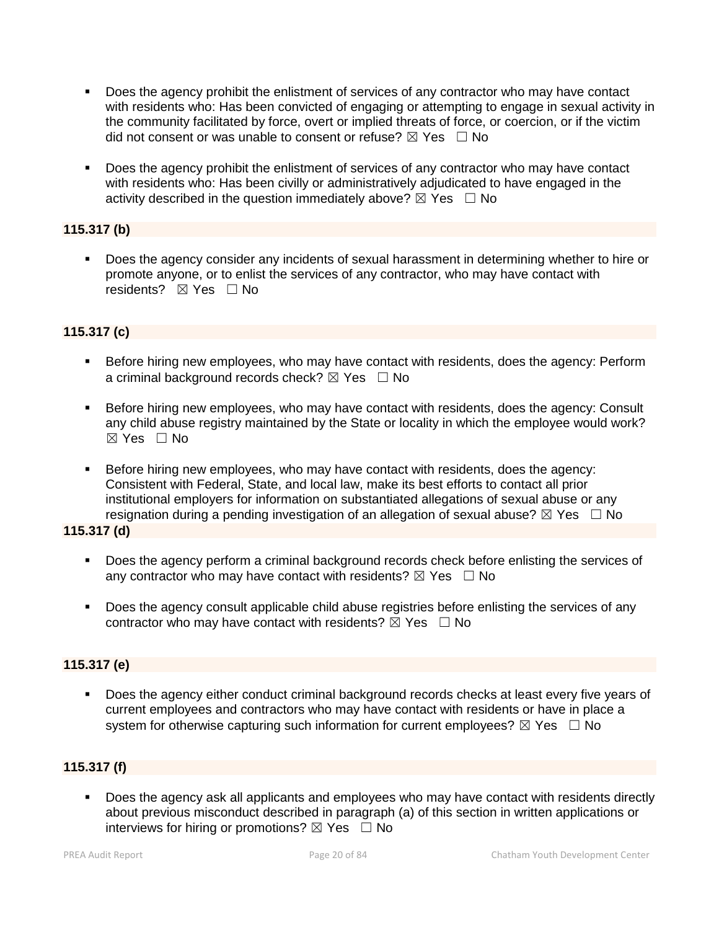- Does the agency prohibit the enlistment of services of any contractor who may have contact with residents who: Has been convicted of engaging or attempting to engage in sexual activity in the community facilitated by force, overt or implied threats of force, or coercion, or if the victim did not consent or was unable to consent or refuse?  $\boxtimes$  Yes  $\Box$  No
- Does the agency prohibit the enlistment of services of any contractor who may have contact with residents who: Has been civilly or administratively adjudicated to have engaged in the activity described in the question immediately above?  $\boxtimes$  Yes  $\Box$  No

## **115.317 (b)**

 Does the agency consider any incidents of sexual harassment in determining whether to hire or promote anyone, or to enlist the services of any contractor, who may have contact with residents? ⊠ Yes □ No

## **115.317 (c)**

- **Before hiring new employees, who may have contact with residents, does the agency: Perform** a criminal background records check?  $\boxtimes$  Yes  $\Box$  No
- Before hiring new employees, who may have contact with residents, does the agency: Consult any child abuse registry maintained by the State or locality in which the employee would work?  $\boxtimes$  Yes  $\Box$  No
- Before hiring new employees, who may have contact with residents, does the agency: Consistent with Federal, State, and local law, make its best efforts to contact all prior institutional employers for information on substantiated allegations of sexual abuse or any resignation during a pending investigation of an allegation of sexual abuse?  $\boxtimes$  Yes  $\Box$  No

## **115.317 (d)**

- Does the agency perform a criminal background records check before enlisting the services of any contractor who may have contact with residents?  $\boxtimes$  Yes  $\Box$  No
- Does the agency consult applicable child abuse registries before enlisting the services of any contractor who may have contact with residents?  $\overline{\boxtimes}$  Yes  $\Box$  No

## **115.317 (e)**

 Does the agency either conduct criminal background records checks at least every five years of current employees and contractors who may have contact with residents or have in place a system for otherwise capturing such information for current employees?  $\boxtimes$  Yes  $\Box$  No

## **115.317 (f)**

 Does the agency ask all applicants and employees who may have contact with residents directly about previous misconduct described in paragraph (a) of this section in written applications or interviews for hiring or promotions?  $\boxtimes$  Yes  $\Box$  No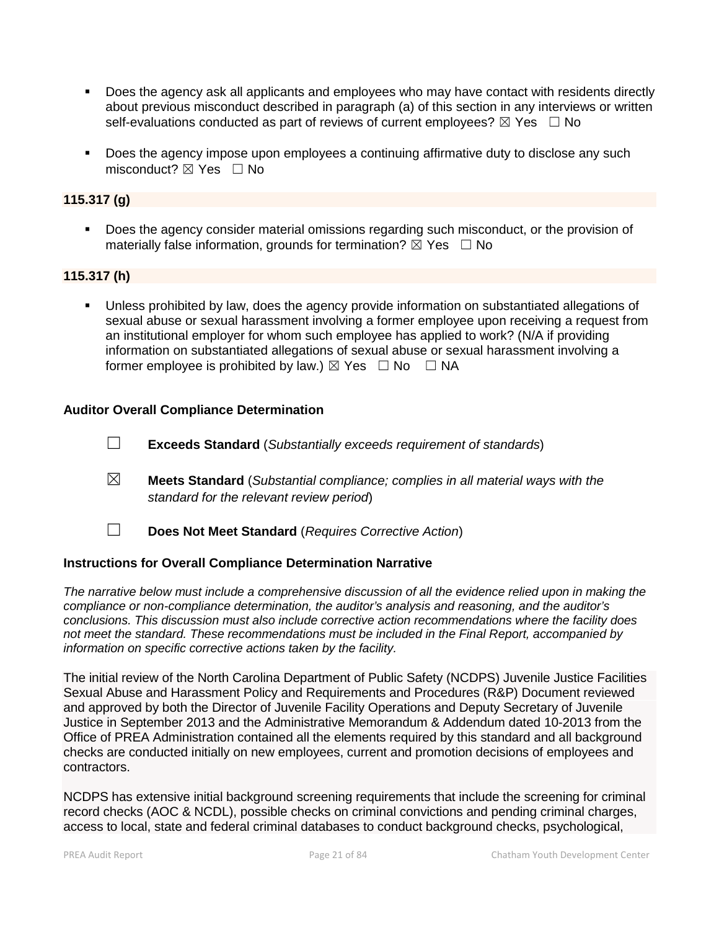- Does the agency ask all applicants and employees who may have contact with residents directly about previous misconduct described in paragraph (a) of this section in any interviews or written self-evaluations conducted as part of reviews of current employees?  $\boxtimes$  Yes  $\Box$  No
- **Does the agency impose upon employees a continuing affirmative duty to disclose any such** misconduct?  $\boxtimes$  Yes  $\Box$  No

### **115.317 (g)**

Does the agency consider material omissions regarding such misconduct, or the provision of materially false information, grounds for termination?  $\boxtimes$  Yes  $\Box$  No

#### **115.317 (h)**

 Unless prohibited by law, does the agency provide information on substantiated allegations of sexual abuse or sexual harassment involving a former employee upon receiving a request from an institutional employer for whom such employee has applied to work? (N/A if providing information on substantiated allegations of sexual abuse or sexual harassment involving a former employee is prohibited by law.)  $\boxtimes$  Yes  $\Box$  No  $\Box$  NA

#### **Auditor Overall Compliance Determination**

- ☐ **Exceeds Standard** (*Substantially exceeds requirement of standards*)
- ☒ **Meets Standard** (*Substantial compliance; complies in all material ways with the standard for the relevant review period*)
- ☐ **Does Not Meet Standard** (*Requires Corrective Action*)

#### **Instructions for Overall Compliance Determination Narrative**

*The narrative below must include a comprehensive discussion of all the evidence relied upon in making the compliance or non-compliance determination, the auditor's analysis and reasoning, and the auditor's conclusions. This discussion must also include corrective action recommendations where the facility does not meet the standard. These recommendations must be included in the Final Report, accompanied by information on specific corrective actions taken by the facility.*

The initial review of the North Carolina Department of Public Safety (NCDPS) Juvenile Justice Facilities Sexual Abuse and Harassment Policy and Requirements and Procedures (R&P) Document reviewed and approved by both the Director of Juvenile Facility Operations and Deputy Secretary of Juvenile Justice in September 2013 and the Administrative Memorandum & Addendum dated 10-2013 from the Office of PREA Administration contained all the elements required by this standard and all background checks are conducted initially on new employees, current and promotion decisions of employees and contractors.

NCDPS has extensive initial background screening requirements that include the screening for criminal record checks (AOC & NCDL), possible checks on criminal convictions and pending criminal charges, access to local, state and federal criminal databases to conduct background checks, psychological,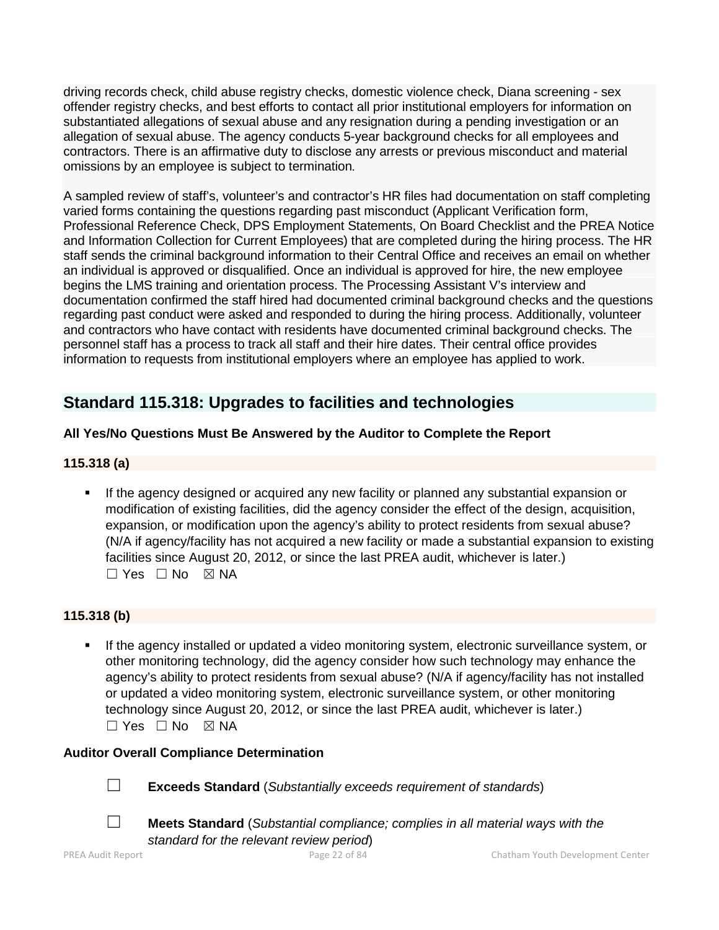driving records check, child abuse registry checks, domestic violence check, Diana screening - sex offender registry checks, and best efforts to contact all prior institutional employers for information on substantiated allegations of sexual abuse and any resignation during a pending investigation or an allegation of sexual abuse. The agency conducts 5-year background checks for all employees and contractors. There is an affirmative duty to disclose any arrests or previous misconduct and material omissions by an employee is subject to termination.

A sampled review of staff's, volunteer's and contractor's HR files had documentation on staff completing varied forms containing the questions regarding past misconduct (Applicant Verification form, Professional Reference Check, DPS Employment Statements, On Board Checklist and the PREA Notice and Information Collection for Current Employees) that are completed during the hiring process. The HR staff sends the criminal background information to their Central Office and receives an email on whether an individual is approved or disqualified. Once an individual is approved for hire, the new employee begins the LMS training and orientation process. The Processing Assistant V's interview and documentation confirmed the staff hired had documented criminal background checks and the questions regarding past conduct were asked and responded to during the hiring process. Additionally, volunteer and contractors who have contact with residents have documented criminal background checks. The personnel staff has a process to track all staff and their hire dates. Their central office provides information to requests from institutional employers where an employee has applied to work.

## **Standard 115.318: Upgrades to facilities and technologies**

## **All Yes/No Questions Must Be Answered by the Auditor to Complete the Report**

## **115.318 (a)**

 If the agency designed or acquired any new facility or planned any substantial expansion or modification of existing facilities, did the agency consider the effect of the design, acquisition, expansion, or modification upon the agency's ability to protect residents from sexual abuse? (N/A if agency/facility has not acquired a new facility or made a substantial expansion to existing facilities since August 20, 2012, or since the last PREA audit, whichever is later.)  $\square$  Yes  $\square$  No  $\square$  NA

## **115.318 (b)**

 If the agency installed or updated a video monitoring system, electronic surveillance system, or other monitoring technology, did the agency consider how such technology may enhance the agency's ability to protect residents from sexual abuse? (N/A if agency/facility has not installed or updated a video monitoring system, electronic surveillance system, or other monitoring technology since August 20, 2012, or since the last PREA audit, whichever is later.)  $\square$  Yes  $\square$  No  $\square$  NA

## **Auditor Overall Compliance Determination**

- ☐ **Exceeds Standard** (*Substantially exceeds requirement of standards*)
- ☐ **Meets Standard** (*Substantial compliance; complies in all material ways with the standard for the relevant review period*)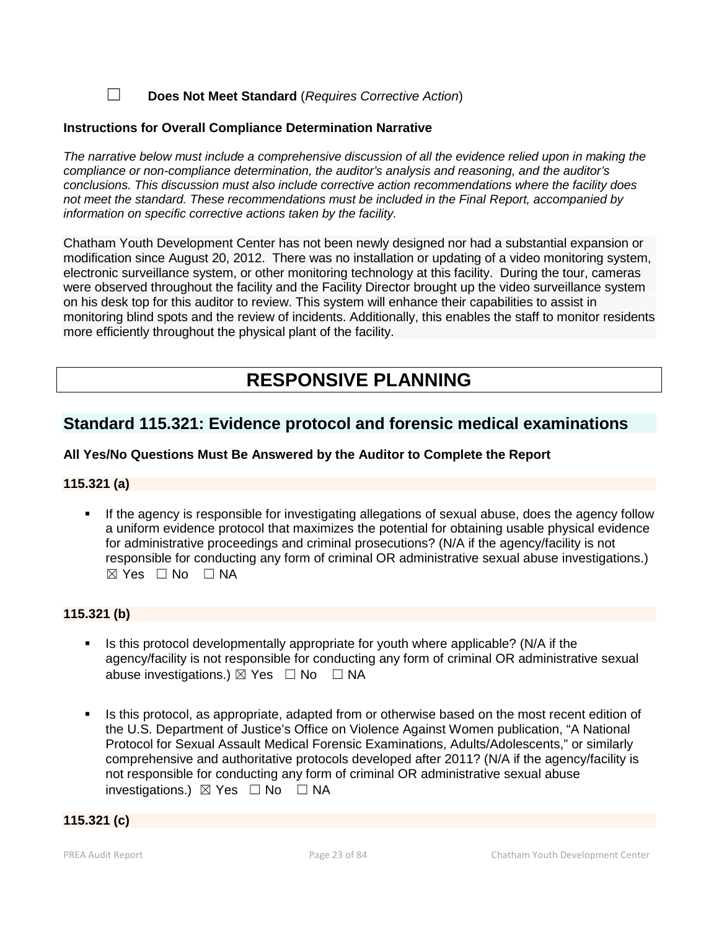☐ **Does Not Meet Standard** (*Requires Corrective Action*)

#### **Instructions for Overall Compliance Determination Narrative**

*The narrative below must include a comprehensive discussion of all the evidence relied upon in making the compliance or non-compliance determination, the auditor's analysis and reasoning, and the auditor's conclusions. This discussion must also include corrective action recommendations where the facility does not meet the standard. These recommendations must be included in the Final Report, accompanied by information on specific corrective actions taken by the facility.*

Chatham Youth Development Center has not been newly designed nor had a substantial expansion or modification since August 20, 2012. There was no installation or updating of a video monitoring system, electronic surveillance system, or other monitoring technology at this facility. During the tour, cameras were observed throughout the facility and the Facility Director brought up the video surveillance system on his desk top for this auditor to review. This system will enhance their capabilities to assist in monitoring blind spots and the review of incidents. Additionally, this enables the staff to monitor residents more efficiently throughout the physical plant of the facility.

# **RESPONSIVE PLANNING**

## **Standard 115.321: Evidence protocol and forensic medical examinations**

## **All Yes/No Questions Must Be Answered by the Auditor to Complete the Report**

#### **115.321 (a)**

 If the agency is responsible for investigating allegations of sexual abuse, does the agency follow a uniform evidence protocol that maximizes the potential for obtaining usable physical evidence for administrative proceedings and criminal prosecutions? (N/A if the agency/facility is not responsible for conducting any form of criminal OR administrative sexual abuse investigations.)  $\boxtimes$  Yes  $\Box$  No  $\Box$  NA

#### **115.321 (b)**

- $\blacksquare$  Is this protocol developmentally appropriate for youth where applicable? (N/A if the agency/facility is not responsible for conducting any form of criminal OR administrative sexual abuse investigations.)  $\boxtimes$  Yes  $\Box$  No  $\Box$  NA
- Is this protocol, as appropriate, adapted from or otherwise based on the most recent edition of the U.S. Department of Justice's Office on Violence Against Women publication, "A National Protocol for Sexual Assault Medical Forensic Examinations, Adults/Adolescents," or similarly comprehensive and authoritative protocols developed after 2011? (N/A if the agency/facility is not responsible for conducting any form of criminal OR administrative sexual abuse investigations.) ☒ Yes ☐ No ☐ NA

## **115.321 (c)**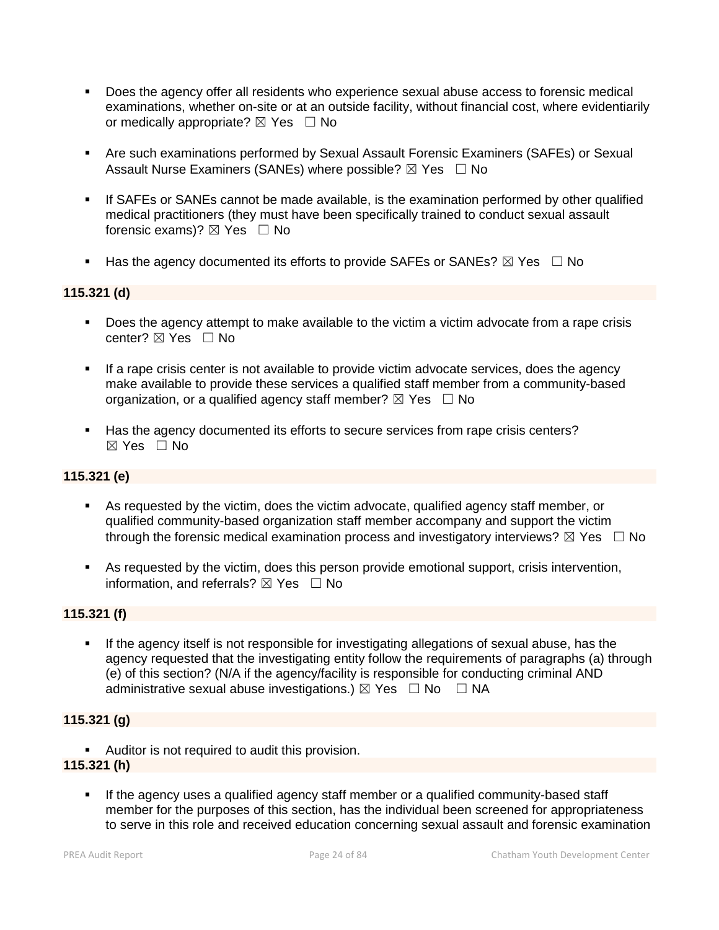- Does the agency offer all residents who experience sexual abuse access to forensic medical examinations, whether on-site or at an outside facility, without financial cost, where evidentiarily or medically appropriate?  $\boxtimes$  Yes  $\Box$  No
- Are such examinations performed by Sexual Assault Forensic Examiners (SAFEs) or Sexual Assault Nurse Examiners (SANEs) where possible?  $\boxtimes$  Yes  $\Box$  No
- If SAFEs or SANEs cannot be made available, is the examination performed by other qualified medical practitioners (they must have been specifically trained to conduct sexual assault forensic exams)?  $\boxtimes$  Yes  $\Box$  No
- Has the agency documented its efforts to provide SAFEs or SANEs?  $\boxtimes$  Yes  $\Box$  No

#### **115.321 (d)**

- Does the agency attempt to make available to the victim a victim advocate from a rape crisis center?  $\boxtimes$  Yes  $\Box$  No
- If a rape crisis center is not available to provide victim advocate services, does the agency make available to provide these services a qualified staff member from a community-based organization, or a qualified agency staff member?  $\boxtimes$  Yes  $\Box$  No
- Has the agency documented its efforts to secure services from rape crisis centers? ☒ Yes ☐ No

#### **115.321 (e)**

- As requested by the victim, does the victim advocate, qualified agency staff member, or qualified community-based organization staff member accompany and support the victim through the forensic medical examination process and investigatory interviews?  $\boxtimes$  Yes  $\Box$  No
- As requested by the victim, does this person provide emotional support, crisis intervention, information, and referrals?  $\boxtimes$  Yes  $\Box$  No

#### **115.321 (f)**

 If the agency itself is not responsible for investigating allegations of sexual abuse, has the agency requested that the investigating entity follow the requirements of paragraphs (a) through (e) of this section? (N/A if the agency/facility is responsible for conducting criminal AND administrative sexual abuse investigations.)  $\boxtimes$  Yes  $\Box$  No  $\Box$  NA

#### **115.321 (g)**

**Auditor is not required to audit this provision.** 

## **115.321 (h)**

If the agency uses a qualified agency staff member or a qualified community-based staff member for the purposes of this section, has the individual been screened for appropriateness to serve in this role and received education concerning sexual assault and forensic examination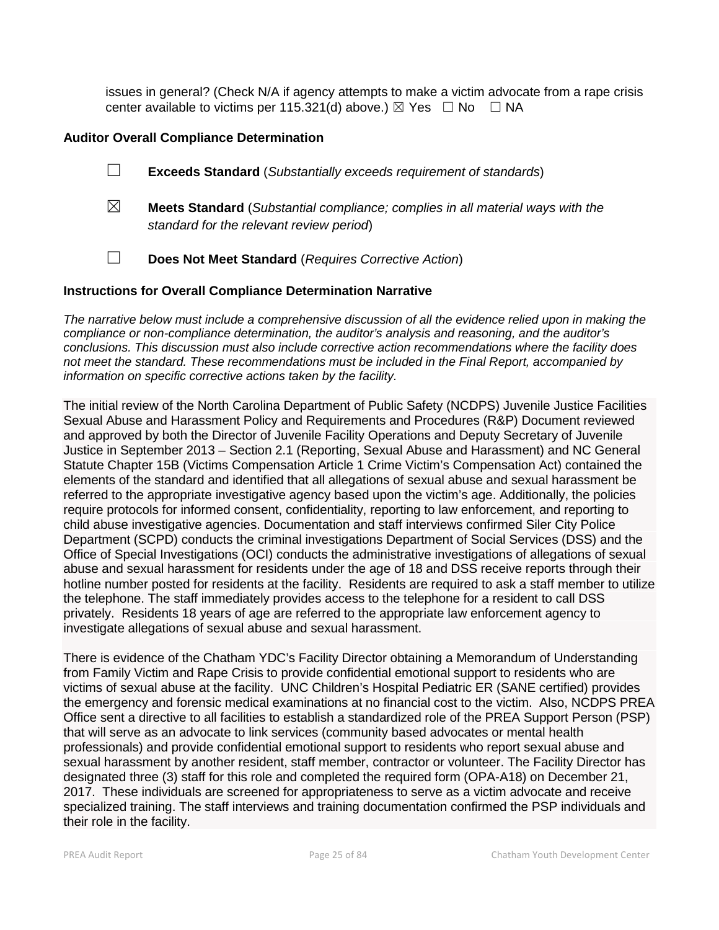issues in general? (Check N/A if agency attempts to make a victim advocate from a rape crisis center available to victims per 115.321(d) above.)  $\boxtimes$  Yes  $\Box$  No  $\Box$  NA

## **Auditor Overall Compliance Determination**

- ☐ **Exceeds Standard** (*Substantially exceeds requirement of standards*)
- ☒ **Meets Standard** (*Substantial compliance; complies in all material ways with the standard for the relevant review period*)
- ☐ **Does Not Meet Standard** (*Requires Corrective Action*)

#### **Instructions for Overall Compliance Determination Narrative**

*The narrative below must include a comprehensive discussion of all the evidence relied upon in making the compliance or non-compliance determination, the auditor's analysis and reasoning, and the auditor's conclusions. This discussion must also include corrective action recommendations where the facility does not meet the standard. These recommendations must be included in the Final Report, accompanied by information on specific corrective actions taken by the facility.*

The initial review of the North Carolina Department of Public Safety (NCDPS) Juvenile Justice Facilities Sexual Abuse and Harassment Policy and Requirements and Procedures (R&P) Document reviewed and approved by both the Director of Juvenile Facility Operations and Deputy Secretary of Juvenile Justice in September 2013 – Section 2.1 (Reporting, Sexual Abuse and Harassment) and NC General Statute Chapter 15B (Victims Compensation Article 1 Crime Victim's Compensation Act) contained the elements of the standard and identified that all allegations of sexual abuse and sexual harassment be referred to the appropriate investigative agency based upon the victim's age. Additionally, the policies require protocols for informed consent, confidentiality, reporting to law enforcement, and reporting to child abuse investigative agencies. Documentation and staff interviews confirmed Siler City Police Department (SCPD) conducts the criminal investigations Department of Social Services (DSS) and the Office of Special Investigations (OCI) conducts the administrative investigations of allegations of sexual abuse and sexual harassment for residents under the age of 18 and DSS receive reports through their hotline number posted for residents at the facility. Residents are required to ask a staff member to utilize the telephone. The staff immediately provides access to the telephone for a resident to call DSS privately. Residents 18 years of age are referred to the appropriate law enforcement agency to investigate allegations of sexual abuse and sexual harassment.

There is evidence of the Chatham YDC's Facility Director obtaining a Memorandum of Understanding from Family Victim and Rape Crisis to provide confidential emotional support to residents who are victims of sexual abuse at the facility. UNC Children's Hospital Pediatric ER (SANE certified) provides the emergency and forensic medical examinations at no financial cost to the victim. Also, NCDPS PREA Office sent a directive to all facilities to establish a standardized role of the PREA Support Person (PSP) that will serve as an advocate to link services (community based advocates or mental health professionals) and provide confidential emotional support to residents who report sexual abuse and sexual harassment by another resident, staff member, contractor or volunteer. The Facility Director has designated three (3) staff for this role and completed the required form (OPA-A18) on December 21, 2017. These individuals are screened for appropriateness to serve as a victim advocate and receive specialized training. The staff interviews and training documentation confirmed the PSP individuals and their role in the facility.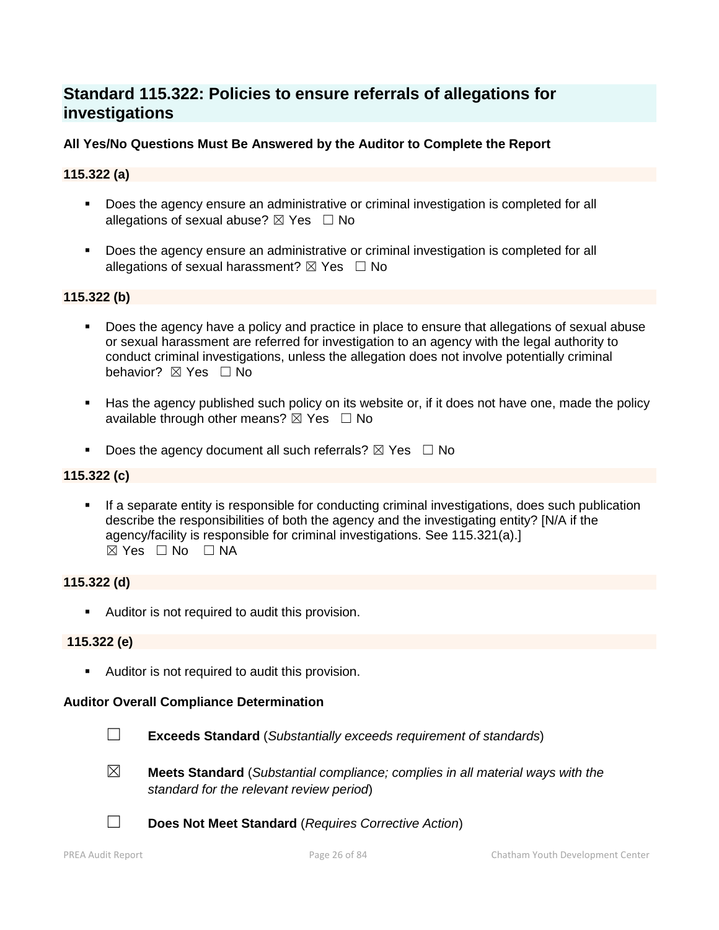## **Standard 115.322: Policies to ensure referrals of allegations for investigations**

## **All Yes/No Questions Must Be Answered by the Auditor to Complete the Report**

## **115.322 (a)**

- Does the agency ensure an administrative or criminal investigation is completed for all allegations of sexual abuse?  $\boxtimes$  Yes  $\Box$  No
- **Does the agency ensure an administrative or criminal investigation is completed for all** allegations of sexual harassment?  $\boxtimes$  Yes  $\Box$  No

## **115.322 (b)**

- Does the agency have a policy and practice in place to ensure that allegations of sexual abuse or sexual harassment are referred for investigation to an agency with the legal authority to conduct criminal investigations, unless the allegation does not involve potentially criminal behavior? **⊠** Yes □ No
- Has the agency published such policy on its website or, if it does not have one, made the policy available through other means?  $\boxtimes$  Yes  $\Box$  No
- Does the agency document all such referrals?  $\boxtimes$  Yes  $\Box$  No

## **115.322 (c)**

 If a separate entity is responsible for conducting criminal investigations, does such publication describe the responsibilities of both the agency and the investigating entity? [N/A if the agency/facility is responsible for criminal investigations. See 115.321(a).]  $\boxtimes$  Yes  $\Box$  No  $\Box$  NA

## **115.322 (d)**

**Auditor is not required to audit this provision.** 

## **115.322 (e)**

**Auditor is not required to audit this provision.** 

#### **Auditor Overall Compliance Determination**



☐ **Exceeds Standard** (*Substantially exceeds requirement of standards*)

- 
- ☒ **Meets Standard** (*Substantial compliance; complies in all material ways with the standard for the relevant review period*)
- ☐ **Does Not Meet Standard** (*Requires Corrective Action*)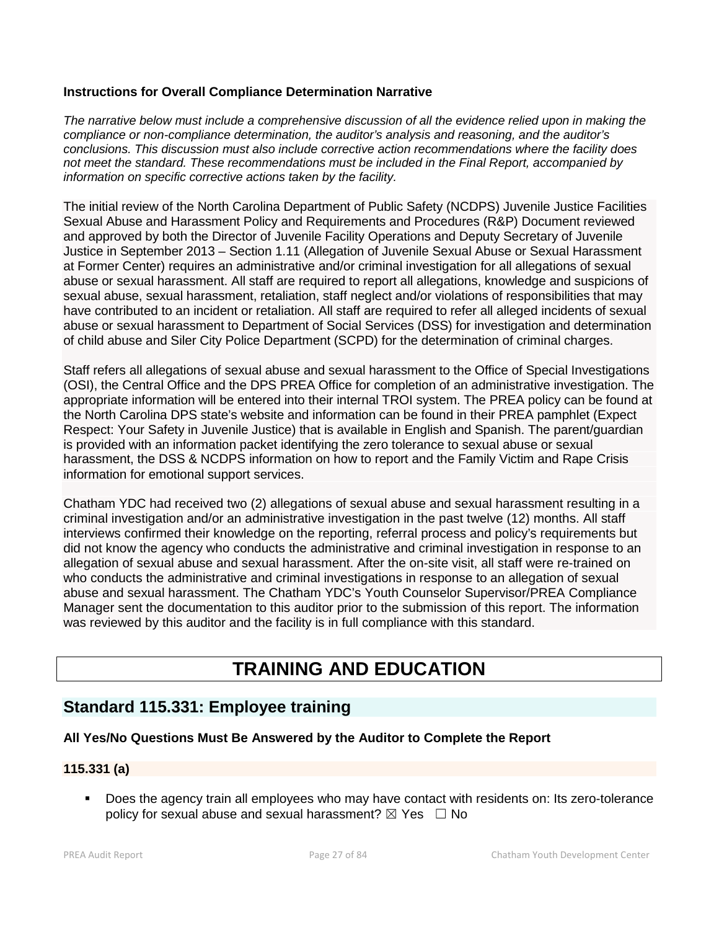## **Instructions for Overall Compliance Determination Narrative**

*The narrative below must include a comprehensive discussion of all the evidence relied upon in making the compliance or non-compliance determination, the auditor's analysis and reasoning, and the auditor's conclusions. This discussion must also include corrective action recommendations where the facility does not meet the standard. These recommendations must be included in the Final Report, accompanied by information on specific corrective actions taken by the facility.*

The initial review of the North Carolina Department of Public Safety (NCDPS) Juvenile Justice Facilities Sexual Abuse and Harassment Policy and Requirements and Procedures (R&P) Document reviewed and approved by both the Director of Juvenile Facility Operations and Deputy Secretary of Juvenile Justice in September 2013 – Section 1.11 (Allegation of Juvenile Sexual Abuse or Sexual Harassment at Former Center) requires an administrative and/or criminal investigation for all allegations of sexual abuse or sexual harassment. All staff are required to report all allegations, knowledge and suspicions of sexual abuse, sexual harassment, retaliation, staff neglect and/or violations of responsibilities that may have contributed to an incident or retaliation. All staff are required to refer all alleged incidents of sexual abuse or sexual harassment to Department of Social Services (DSS) for investigation and determination of child abuse and Siler City Police Department (SCPD) for the determination of criminal charges.

Staff refers all allegations of sexual abuse and sexual harassment to the Office of Special Investigations (OSI), the Central Office and the DPS PREA Office for completion of an administrative investigation. The appropriate information will be entered into their internal TROI system. The PREA policy can be found at the North Carolina DPS state's website and information can be found in their PREA pamphlet (Expect Respect: Your Safety in Juvenile Justice) that is available in English and Spanish. The parent/guardian is provided with an information packet identifying the zero tolerance to sexual abuse or sexual harassment, the DSS & NCDPS information on how to report and the Family Victim and Rape Crisis information for emotional support services.

Chatham YDC had received two (2) allegations of sexual abuse and sexual harassment resulting in a criminal investigation and/or an administrative investigation in the past twelve (12) months. All staff interviews confirmed their knowledge on the reporting, referral process and policy's requirements but did not know the agency who conducts the administrative and criminal investigation in response to an allegation of sexual abuse and sexual harassment. After the on-site visit, all staff were re-trained on who conducts the administrative and criminal investigations in response to an allegation of sexual abuse and sexual harassment. The Chatham YDC's Youth Counselor Supervisor/PREA Compliance Manager sent the documentation to this auditor prior to the submission of this report. The information was reviewed by this auditor and the facility is in full compliance with this standard.

# **TRAINING AND EDUCATION**

## **Standard 115.331: Employee training**

## **All Yes/No Questions Must Be Answered by the Auditor to Complete the Report**

## **115.331 (a)**

**Does the agency train all employees who may have contact with residents on: Its zero-tolerance** policy for sexual abuse and sexual harassment?  $\boxtimes$  Yes  $\Box$  No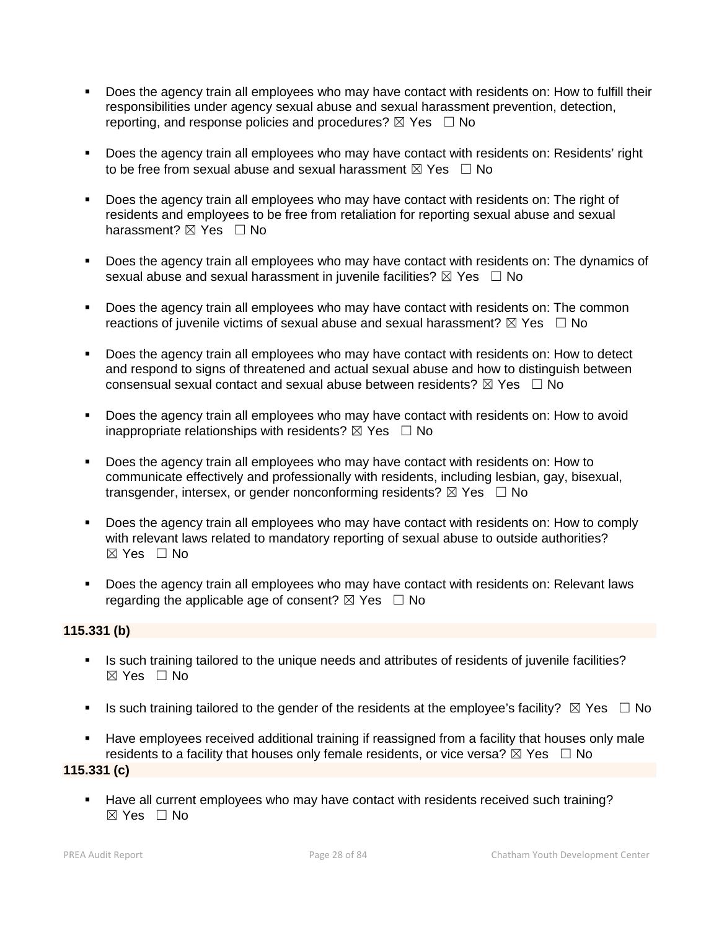- Does the agency train all employees who may have contact with residents on: How to fulfill their responsibilities under agency sexual abuse and sexual harassment prevention, detection, reporting, and response policies and procedures?  $\boxtimes$  Yes  $\Box$  No
- **Does the agency train all employees who may have contact with residents on: Residents' right** to be free from sexual abuse and sexual harassment  $\boxtimes$  Yes  $\Box$  No
- Does the agency train all employees who may have contact with residents on: The right of residents and employees to be free from retaliation for reporting sexual abuse and sexual harassment? ⊠ Yes □ No
- Does the agency train all employees who may have contact with residents on: The dynamics of sexual abuse and sexual harassment in juvenile facilities?  $\boxtimes$  Yes  $\Box$  No
- Does the agency train all employees who may have contact with residents on: The common reactions of juvenile victims of sexual abuse and sexual harassment?  $\boxtimes$  Yes  $\Box$  No
- **Does the agency train all employees who may have contact with residents on: How to detect** and respond to signs of threatened and actual sexual abuse and how to distinguish between consensual sexual contact and sexual abuse between residents?  $\boxtimes$  Yes  $\Box$  No
- Does the agency train all employees who may have contact with residents on: How to avoid inappropriate relationships with residents?  $\boxtimes$  Yes  $\Box$  No
- Does the agency train all employees who may have contact with residents on: How to communicate effectively and professionally with residents, including lesbian, gay, bisexual, transgender, intersex, or gender nonconforming residents?  $\boxtimes$  Yes  $\Box$  No
- Does the agency train all employees who may have contact with residents on: How to comply with relevant laws related to mandatory reporting of sexual abuse to outside authorities? ☒ Yes ☐ No
- **Does the agency train all employees who may have contact with residents on: Relevant laws** regarding the applicable age of consent?  $\boxtimes$  Yes  $\Box$  No

#### **115.331 (b)**

- Is such training tailored to the unique needs and attributes of residents of juvenile facilities?  $\boxtimes$  Yes  $\Box$  No
- Is such training tailored to the gender of the residents at the employee's facility?  $\boxtimes$  Yes  $\Box$  No
- Have employees received additional training if reassigned from a facility that houses only male residents to a facility that houses only female residents, or vice versa?  $\boxtimes$  Yes  $\Box$  No

### **115.331 (c)**

 Have all current employees who may have contact with residents received such training? ☒ Yes ☐ No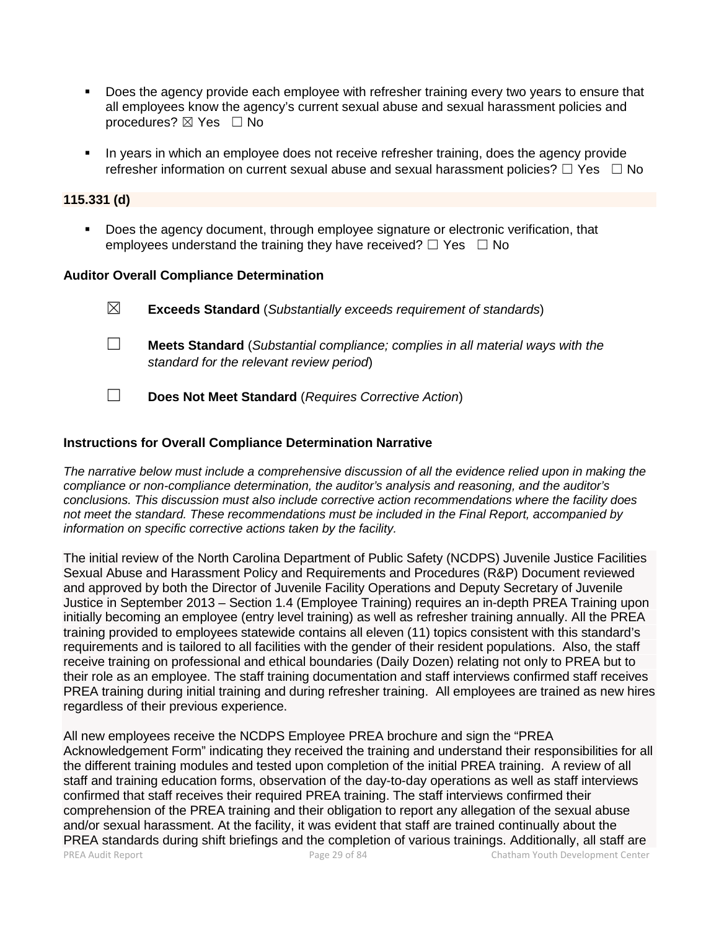- Does the agency provide each employee with refresher training every two years to ensure that all employees know the agency's current sexual abuse and sexual harassment policies and procedures? ⊠ Yes □ No
- In years in which an employee does not receive refresher training, does the agency provide refresher information on current sexual abuse and sexual harassment policies?  $\Box$  Yes  $\Box$  No

#### **115.331 (d)**

**Does the agency document, through employee signature or electronic verification, that** employees understand the training they have received?  $\Box$  Yes  $\Box$  No

#### **Auditor Overall Compliance Determination**

| $\boxtimes$ | <b>Exceeds Standard</b> (Substantially exceeds requirement of standards)                                                          |
|-------------|-----------------------------------------------------------------------------------------------------------------------------------|
|             | <b>Meets Standard</b> (Substantial compliance; complies in all material ways with the<br>standard for the relevant review period) |

☐ **Does Not Meet Standard** (*Requires Corrective Action*)

## **Instructions for Overall Compliance Determination Narrative**

*The narrative below must include a comprehensive discussion of all the evidence relied upon in making the compliance or non-compliance determination, the auditor's analysis and reasoning, and the auditor's conclusions. This discussion must also include corrective action recommendations where the facility does not meet the standard. These recommendations must be included in the Final Report, accompanied by information on specific corrective actions taken by the facility.*

The initial review of the North Carolina Department of Public Safety (NCDPS) Juvenile Justice Facilities Sexual Abuse and Harassment Policy and Requirements and Procedures (R&P) Document reviewed and approved by both the Director of Juvenile Facility Operations and Deputy Secretary of Juvenile Justice in September 2013 – Section 1.4 (Employee Training) requires an in-depth PREA Training upon initially becoming an employee (entry level training) as well as refresher training annually. All the PREA training provided to employees statewide contains all eleven (11) topics consistent with this standard's requirements and is tailored to all facilities with the gender of their resident populations. Also, the staff receive training on professional and ethical boundaries (Daily Dozen) relating not only to PREA but to their role as an employee. The staff training documentation and staff interviews confirmed staff receives PREA training during initial training and during refresher training. All employees are trained as new hires regardless of their previous experience.

PREA Audit Report Page 29 of 84 Chatham Youth Development Center All new employees receive the NCDPS Employee PREA brochure and sign the "PREA Acknowledgement Form" indicating they received the training and understand their responsibilities for all the different training modules and tested upon completion of the initial PREA training. A review of all staff and training education forms, observation of the day-to-day operations as well as staff interviews confirmed that staff receives their required PREA training. The staff interviews confirmed their comprehension of the PREA training and their obligation to report any allegation of the sexual abuse and/or sexual harassment. At the facility, it was evident that staff are trained continually about the PREA standards during shift briefings and the completion of various trainings. Additionally, all staff are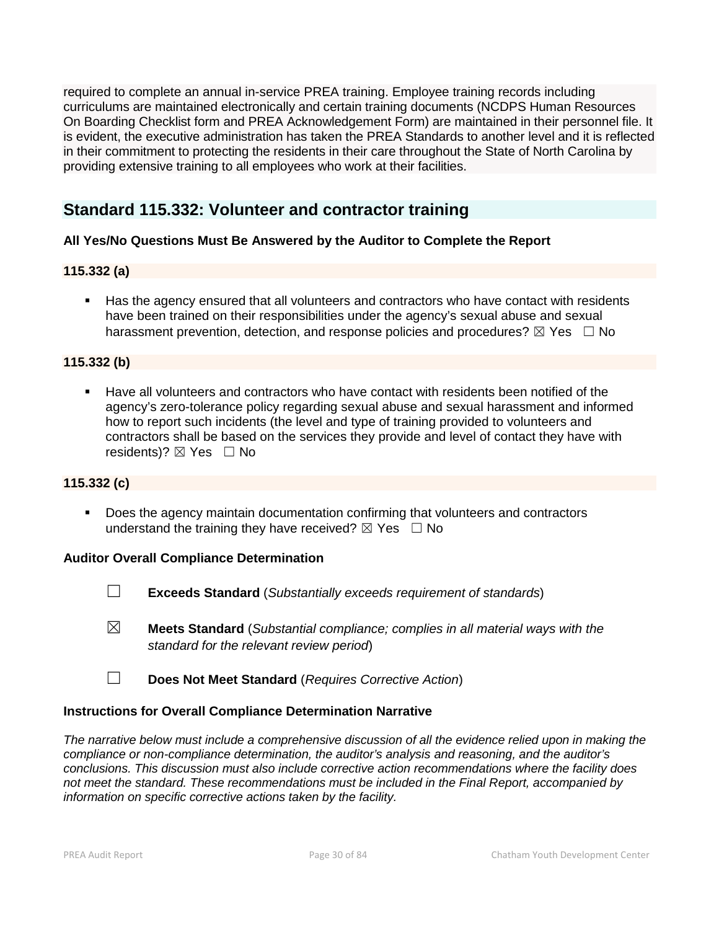required to complete an annual in-service PREA training. Employee training records including curriculums are maintained electronically and certain training documents (NCDPS Human Resources On Boarding Checklist form and PREA Acknowledgement Form) are maintained in their personnel file. It is evident, the executive administration has taken the PREA Standards to another level and it is reflected in their commitment to protecting the residents in their care throughout the State of North Carolina by providing extensive training to all employees who work at their facilities.

## **Standard 115.332: Volunteer and contractor training**

## **All Yes/No Questions Must Be Answered by the Auditor to Complete the Report**

## **115.332 (a)**

 Has the agency ensured that all volunteers and contractors who have contact with residents have been trained on their responsibilities under the agency's sexual abuse and sexual harassment prevention, detection, and response policies and procedures?  $\boxtimes$  Yes  $\Box$  No

#### **115.332 (b)**

 Have all volunteers and contractors who have contact with residents been notified of the agency's zero-tolerance policy regarding sexual abuse and sexual harassment and informed how to report such incidents (the level and type of training provided to volunteers and contractors shall be based on the services they provide and level of contact they have with residents)?  $\boxtimes$  Yes  $\Box$  No

#### **115.332 (c)**

 Does the agency maintain documentation confirming that volunteers and contractors understand the training they have received?  $\boxtimes$  Yes  $\Box$  No

#### **Auditor Overall Compliance Determination**

- ☐ **Exceeds Standard** (*Substantially exceeds requirement of standards*)
- ☒ **Meets Standard** (*Substantial compliance; complies in all material ways with the standard for the relevant review period*)
- ☐ **Does Not Meet Standard** (*Requires Corrective Action*)

#### **Instructions for Overall Compliance Determination Narrative**

*The narrative below must include a comprehensive discussion of all the evidence relied upon in making the compliance or non-compliance determination, the auditor's analysis and reasoning, and the auditor's conclusions. This discussion must also include corrective action recommendations where the facility does not meet the standard. These recommendations must be included in the Final Report, accompanied by information on specific corrective actions taken by the facility.*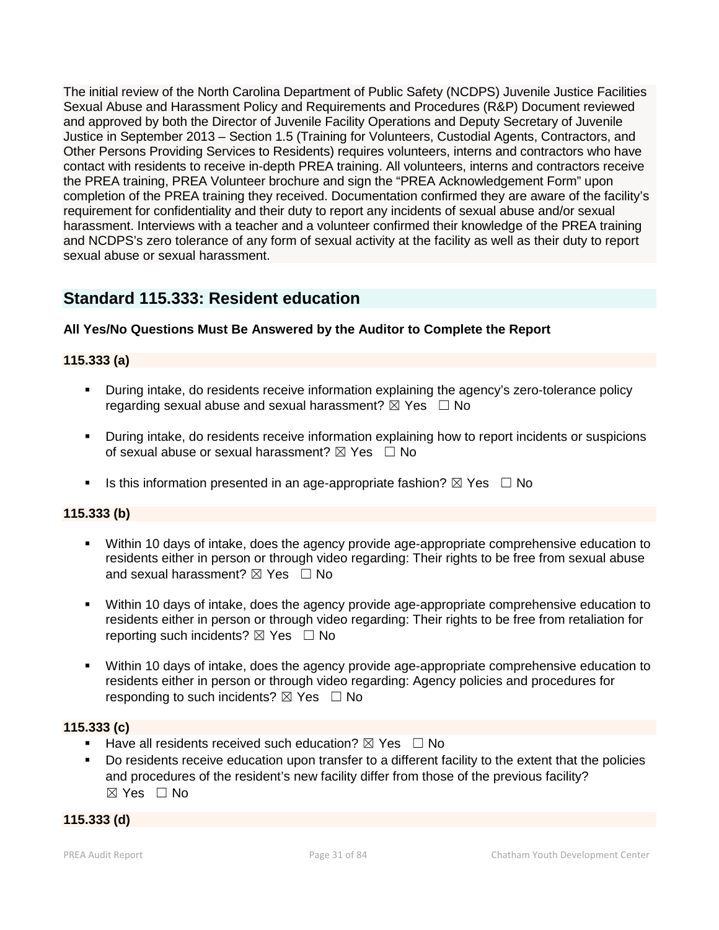The initial review of the North Carolina Department of Public Safety (NCDPS) Juvenile Justice Facilities Sexual Abuse and Harassment Policy and Requirements and Procedures (R&P) Document reviewed and approved by both the Director of Juvenile Facility Operations and Deputy Secretary of Juvenile Justice in September 2013 – Section 1.5 (Training for Volunteers, Custodial Agents, Contractors, and Other Persons Providing Services to Residents) requires volunteers, interns and contractors who have contact with residents to receive in-depth PREA training. All volunteers, interns and contractors receive the PREA training, PREA Volunteer brochure and sign the "PREA Acknowledgement Form" upon completion of the PREA training they received. Documentation confirmed they are aware of the facility's requirement for confidentiality and their duty to report any incidents of sexual abuse and/or sexual harassment. Interviews with a teacher and a volunteer confirmed their knowledge of the PREA training and NCDPS's zero tolerance of any form of sexual activity at the facility as well as their duty to report sexual abuse or sexual harassment.

## **Standard 115.333: Resident education**

## **All Yes/No Questions Must Be Answered by the Auditor to Complete the Report**

## **115.333 (a)**

- During intake, do residents receive information explaining the agency's zero-tolerance policy regarding sexual abuse and sexual harassment?  $\boxtimes$  Yes  $\Box$  No
- During intake, do residents receive information explaining how to report incidents or suspicions of sexual abuse or sexual harassment?  $\boxtimes$  Yes  $\Box$  No
- Is this information presented in an age-appropriate fashion?  $\boxtimes$  Yes  $\Box$  No

## **115.333 (b)**

- Within 10 days of intake, does the agency provide age-appropriate comprehensive education to residents either in person or through video regarding: Their rights to be free from sexual abuse and sexual harassment?  $\boxtimes$  Yes  $\Box$  No
- Within 10 days of intake, does the agency provide age-appropriate comprehensive education to residents either in person or through video regarding: Their rights to be free from retaliation for reporting such incidents?  $\boxtimes$  Yes  $\Box$  No
- Within 10 days of intake, does the agency provide age-appropriate comprehensive education to residents either in person or through video regarding: Agency policies and procedures for responding to such incidents?  $\boxtimes$  Yes  $\Box$  No

## **115.333 (c)**

- **Have all residents received such education?**  $\boxtimes$  Yes  $\Box$  No
- Do residents receive education upon transfer to a different facility to the extent that the policies and procedures of the resident's new facility differ from those of the previous facility? ☒ Yes ☐ No

## **115.333 (d)**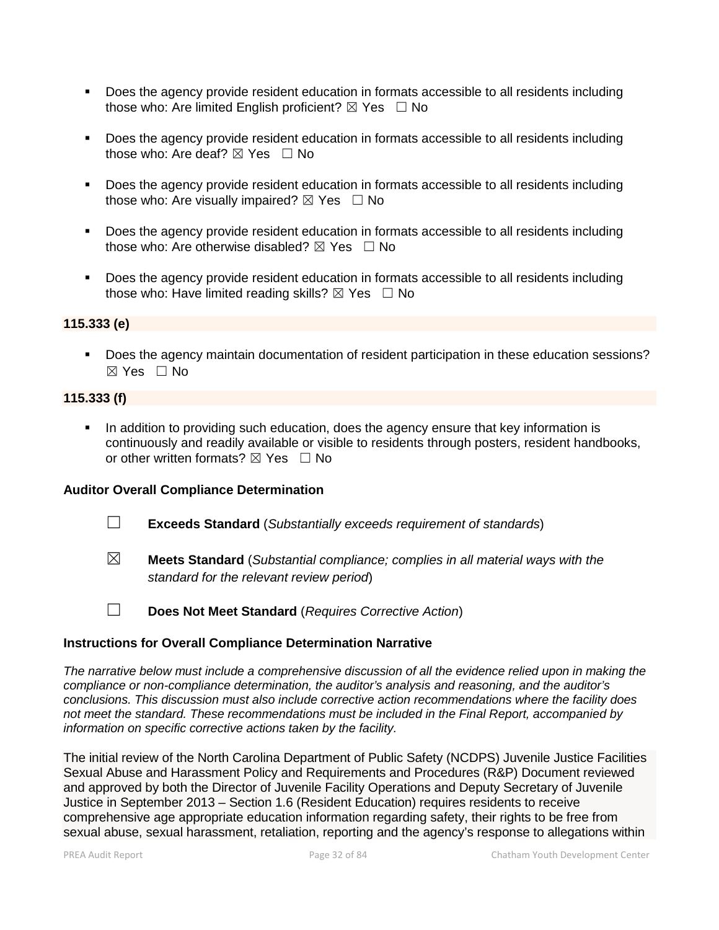- **Does the agency provide resident education in formats accessible to all residents including** those who: Are limited English proficient?  $\boxtimes$  Yes  $\Box$  No
- Does the agency provide resident education in formats accessible to all residents including those who: Are deaf?  $\boxtimes$  Yes  $\Box$  No
- Does the agency provide resident education in formats accessible to all residents including those who: Are visually impaired?  $\boxtimes$  Yes  $\Box$  No
- Does the agency provide resident education in formats accessible to all residents including those who: Are otherwise disabled?  $\boxtimes$  Yes  $\Box$  No
- **Does the agency provide resident education in formats accessible to all residents including** those who: Have limited reading skills?  $\boxtimes$  Yes  $\Box$  No

#### **115.333 (e)**

**Does the agency maintain documentation of resident participation in these education sessions?** ☒ Yes ☐ No

#### **115.333 (f)**

In addition to providing such education, does the agency ensure that key information is continuously and readily available or visible to residents through posters, resident handbooks, or other written formats?  $\boxtimes$  Yes  $\Box$  No

#### **Auditor Overall Compliance Determination**

- ☐ **Exceeds Standard** (*Substantially exceeds requirement of standards*)
- ☒ **Meets Standard** (*Substantial compliance; complies in all material ways with the standard for the relevant review period*)
- 
- ☐ **Does Not Meet Standard** (*Requires Corrective Action*)

## **Instructions for Overall Compliance Determination Narrative**

*The narrative below must include a comprehensive discussion of all the evidence relied upon in making the compliance or non-compliance determination, the auditor's analysis and reasoning, and the auditor's conclusions. This discussion must also include corrective action recommendations where the facility does not meet the standard. These recommendations must be included in the Final Report, accompanied by information on specific corrective actions taken by the facility.*

The initial review of the North Carolina Department of Public Safety (NCDPS) Juvenile Justice Facilities Sexual Abuse and Harassment Policy and Requirements and Procedures (R&P) Document reviewed and approved by both the Director of Juvenile Facility Operations and Deputy Secretary of Juvenile Justice in September 2013 – Section 1.6 (Resident Education) requires residents to receive comprehensive age appropriate education information regarding safety, their rights to be free from sexual abuse, sexual harassment, retaliation, reporting and the agency's response to allegations within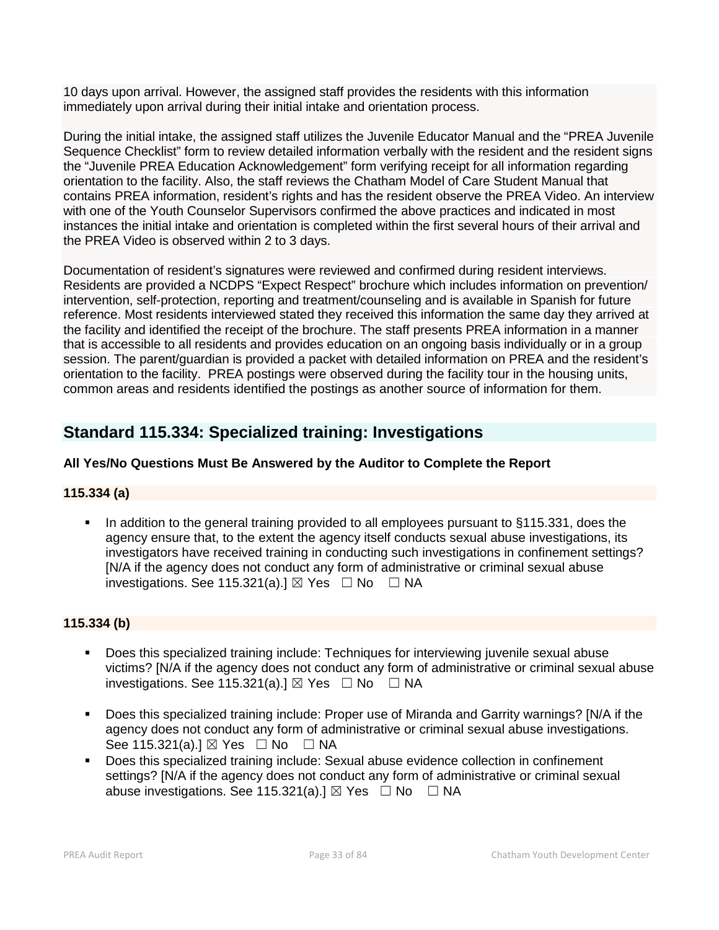10 days upon arrival. However, the assigned staff provides the residents with this information immediately upon arrival during their initial intake and orientation process.

During the initial intake, the assigned staff utilizes the Juvenile Educator Manual and the "PREA Juvenile Sequence Checklist" form to review detailed information verbally with the resident and the resident signs the "Juvenile PREA Education Acknowledgement" form verifying receipt for all information regarding orientation to the facility. Also, the staff reviews the Chatham Model of Care Student Manual that contains PREA information, resident's rights and has the resident observe the PREA Video. An interview with one of the Youth Counselor Supervisors confirmed the above practices and indicated in most instances the initial intake and orientation is completed within the first several hours of their arrival and the PREA Video is observed within 2 to 3 days.

Documentation of resident's signatures were reviewed and confirmed during resident interviews. Residents are provided a NCDPS "Expect Respect" brochure which includes information on prevention/ intervention, self-protection, reporting and treatment/counseling and is available in Spanish for future reference. Most residents interviewed stated they received this information the same day they arrived at the facility and identified the receipt of the brochure. The staff presents PREA information in a manner that is accessible to all residents and provides education on an ongoing basis individually or in a group session. The parent/guardian is provided a packet with detailed information on PREA and the resident's orientation to the facility. PREA postings were observed during the facility tour in the housing units, common areas and residents identified the postings as another source of information for them.

## **Standard 115.334: Specialized training: Investigations**

## **All Yes/No Questions Must Be Answered by the Auditor to Complete the Report**

## **115.334 (a)**

In addition to the general training provided to all employees pursuant to §115.331, does the agency ensure that, to the extent the agency itself conducts sexual abuse investigations, its investigators have received training in conducting such investigations in confinement settings? [N/A if the agency does not conduct any form of administrative or criminal sexual abuse investigations. See 115.321(a). $I \boxtimes$  Yes  $\Box$  No  $\Box$  NA

## **115.334 (b)**

- Does this specialized training include: Techniques for interviewing juvenile sexual abuse victims? [N/A if the agency does not conduct any form of administrative or criminal sexual abuse investigations. See 115.321(a).]  $\boxtimes$  Yes  $\Box$  No  $\Box$  NA
- Does this specialized training include: Proper use of Miranda and Garrity warnings? [N/A if the agency does not conduct any form of administrative or criminal sexual abuse investigations. See 115.321(a).]  $\boxtimes$  Yes  $\Box$  No  $\Box$  NA
- Does this specialized training include: Sexual abuse evidence collection in confinement settings? [N/A if the agency does not conduct any form of administrative or criminal sexual abuse investigations. See 115.321(a).]  $\boxtimes$  Yes  $\Box$  No  $\Box$  NA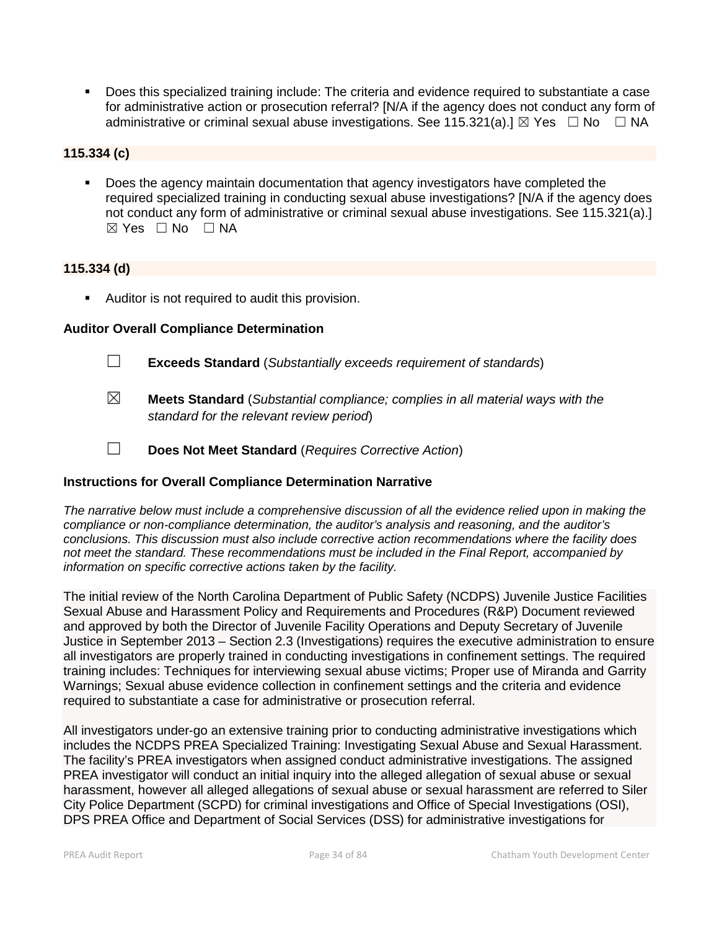Does this specialized training include: The criteria and evidence required to substantiate a case for administrative action or prosecution referral? [N/A if the agency does not conduct any form of administrative or criminal sexual abuse investigations. See 115.321(a).]  $\boxtimes$  Yes  $\Box$  No  $\Box$  NA

## **115.334 (c)**

 Does the agency maintain documentation that agency investigators have completed the required specialized training in conducting sexual abuse investigations? [N/A if the agency does not conduct any form of administrative or criminal sexual abuse investigations. See 115.321(a).]  $\boxtimes$  Yes  $\Box$  No  $\Box$  NA

## **115.334 (d)**

**Auditor is not required to audit this provision.** 

#### **Auditor Overall Compliance Determination**

- ☐ **Exceeds Standard** (*Substantially exceeds requirement of standards*)
- ☒ **Meets Standard** (*Substantial compliance; complies in all material ways with the standard for the relevant review period*)
- ☐ **Does Not Meet Standard** (*Requires Corrective Action*)

## **Instructions for Overall Compliance Determination Narrative**

*The narrative below must include a comprehensive discussion of all the evidence relied upon in making the compliance or non-compliance determination, the auditor's analysis and reasoning, and the auditor's conclusions. This discussion must also include corrective action recommendations where the facility does not meet the standard. These recommendations must be included in the Final Report, accompanied by information on specific corrective actions taken by the facility.*

The initial review of the North Carolina Department of Public Safety (NCDPS) Juvenile Justice Facilities Sexual Abuse and Harassment Policy and Requirements and Procedures (R&P) Document reviewed and approved by both the Director of Juvenile Facility Operations and Deputy Secretary of Juvenile Justice in September 2013 – Section 2.3 (Investigations) requires the executive administration to ensure all investigators are properly trained in conducting investigations in confinement settings. The required training includes: Techniques for interviewing sexual abuse victims; Proper use of Miranda and Garrity Warnings; Sexual abuse evidence collection in confinement settings and the criteria and evidence required to substantiate a case for administrative or prosecution referral.

All investigators under-go an extensive training prior to conducting administrative investigations which includes the NCDPS PREA Specialized Training: Investigating Sexual Abuse and Sexual Harassment. The facility's PREA investigators when assigned conduct administrative investigations. The assigned PREA investigator will conduct an initial inquiry into the alleged allegation of sexual abuse or sexual harassment, however all alleged allegations of sexual abuse or sexual harassment are referred to Siler City Police Department (SCPD) for criminal investigations and Office of Special Investigations (OSI), DPS PREA Office and Department of Social Services (DSS) for administrative investigations for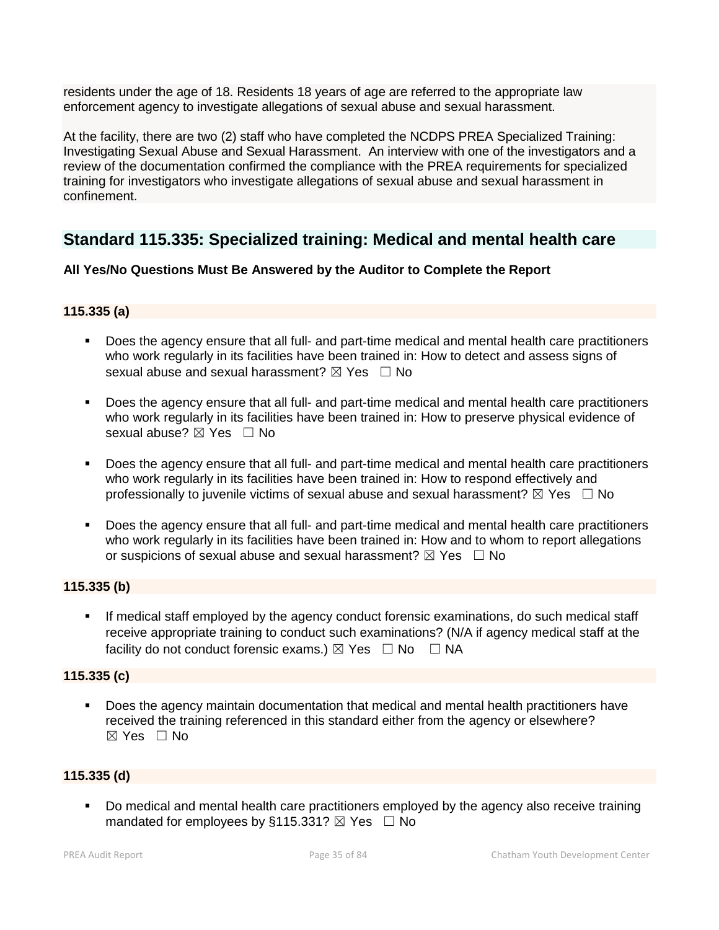residents under the age of 18. Residents 18 years of age are referred to the appropriate law enforcement agency to investigate allegations of sexual abuse and sexual harassment.

At the facility, there are two (2) staff who have completed the NCDPS PREA Specialized Training: Investigating Sexual Abuse and Sexual Harassment. An interview with one of the investigators and a review of the documentation confirmed the compliance with the PREA requirements for specialized training for investigators who investigate allegations of sexual abuse and sexual harassment in confinement.

## **Standard 115.335: Specialized training: Medical and mental health care**

## **All Yes/No Questions Must Be Answered by the Auditor to Complete the Report**

## **115.335 (a)**

- Does the agency ensure that all full- and part-time medical and mental health care practitioners who work regularly in its facilities have been trained in: How to detect and assess signs of sexual abuse and sexual harassment?  $\boxtimes$  Yes  $\Box$  No
- Does the agency ensure that all full- and part-time medical and mental health care practitioners who work regularly in its facilities have been trained in: How to preserve physical evidence of sexual abuse? ⊠ Yes □ No
- Does the agency ensure that all full- and part-time medical and mental health care practitioners who work regularly in its facilities have been trained in: How to respond effectively and professionally to juvenile victims of sexual abuse and sexual harassment?  $\boxtimes$  Yes  $\Box$  No
- Does the agency ensure that all full- and part-time medical and mental health care practitioners who work regularly in its facilities have been trained in: How and to whom to report allegations or suspicions of sexual abuse and sexual harassment?  $\boxtimes$  Yes  $\Box$  No

## **115.335 (b)**

 If medical staff employed by the agency conduct forensic examinations, do such medical staff receive appropriate training to conduct such examinations? (N/A if agency medical staff at the facility do not conduct forensic exams.)  $\boxtimes$  Yes  $\Box$  No  $\Box$  NA

## **115.335 (c)**

 Does the agency maintain documentation that medical and mental health practitioners have received the training referenced in this standard either from the agency or elsewhere?  $\boxtimes$  Yes  $\Box$  No

#### **115.335 (d)**

 Do medical and mental health care practitioners employed by the agency also receive training mandated for employees by §115.331?  $\boxtimes$  Yes  $\Box$  No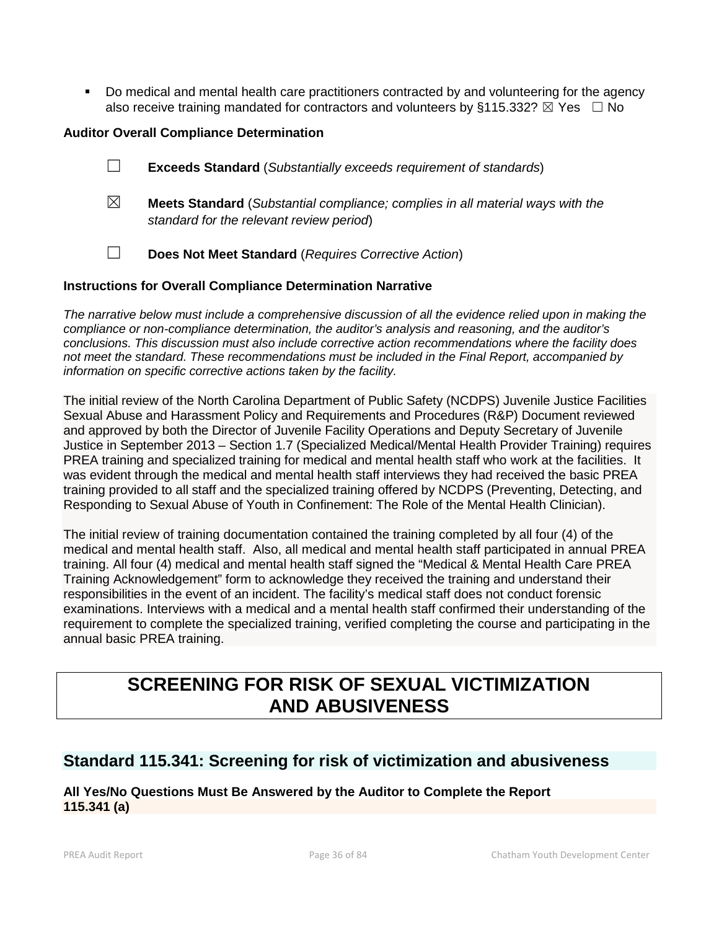Do medical and mental health care practitioners contracted by and volunteering for the agency also receive training mandated for contractors and volunteers by §115.332?  $\boxtimes$  Yes  $\Box$  No

## **Auditor Overall Compliance Determination**

- ☐ **Exceeds Standard** (*Substantially exceeds requirement of standards*)
- ☒ **Meets Standard** (*Substantial compliance; complies in all material ways with the standard for the relevant review period*)
- ☐ **Does Not Meet Standard** (*Requires Corrective Action*)

## **Instructions for Overall Compliance Determination Narrative**

*The narrative below must include a comprehensive discussion of all the evidence relied upon in making the compliance or non-compliance determination, the auditor's analysis and reasoning, and the auditor's conclusions. This discussion must also include corrective action recommendations where the facility does not meet the standard. These recommendations must be included in the Final Report, accompanied by information on specific corrective actions taken by the facility.*

The initial review of the North Carolina Department of Public Safety (NCDPS) Juvenile Justice Facilities Sexual Abuse and Harassment Policy and Requirements and Procedures (R&P) Document reviewed and approved by both the Director of Juvenile Facility Operations and Deputy Secretary of Juvenile Justice in September 2013 – Section 1.7 (Specialized Medical/Mental Health Provider Training) requires PREA training and specialized training for medical and mental health staff who work at the facilities. It was evident through the medical and mental health staff interviews they had received the basic PREA training provided to all staff and the specialized training offered by NCDPS (Preventing, Detecting, and Responding to Sexual Abuse of Youth in Confinement: The Role of the Mental Health Clinician).

The initial review of training documentation contained the training completed by all four (4) of the medical and mental health staff. Also, all medical and mental health staff participated in annual PREA training. All four (4) medical and mental health staff signed the "Medical & Mental Health Care PREA Training Acknowledgement" form to acknowledge they received the training and understand their responsibilities in the event of an incident. The facility's medical staff does not conduct forensic examinations. Interviews with a medical and a mental health staff confirmed their understanding of the requirement to complete the specialized training, verified completing the course and participating in the annual basic PREA training.

# **SCREENING FOR RISK OF SEXUAL VICTIMIZATION AND ABUSIVENESS**

## **Standard 115.341: Screening for risk of victimization and abusiveness**

## **All Yes/No Questions Must Be Answered by the Auditor to Complete the Report 115.341 (a)**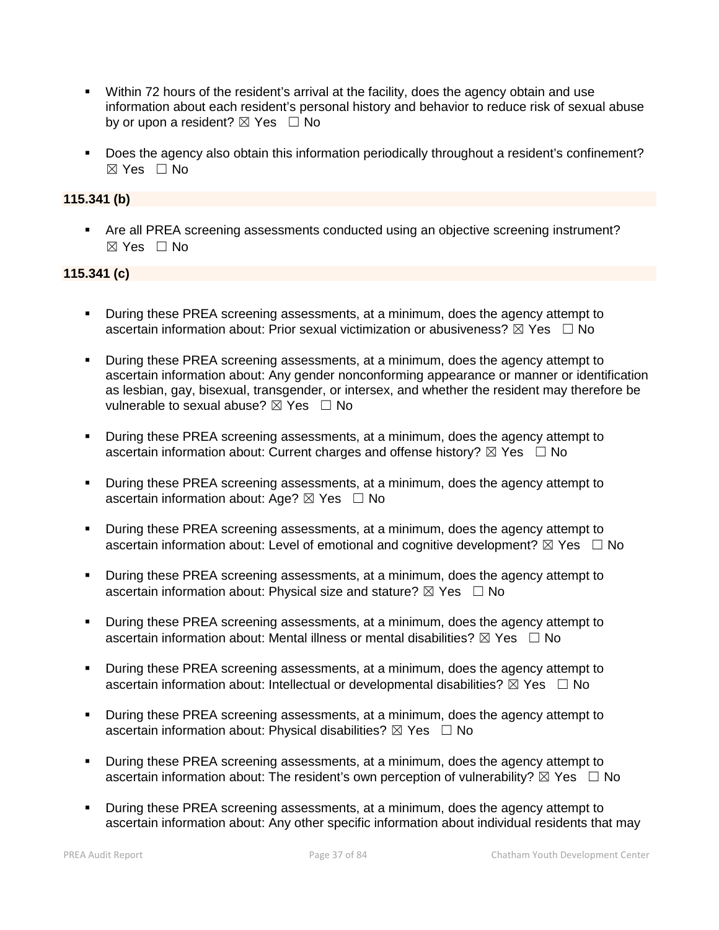- Within 72 hours of the resident's arrival at the facility, does the agency obtain and use information about each resident's personal history and behavior to reduce risk of sexual abuse by or upon a resident?  $\boxtimes$  Yes  $\Box$  No
- Does the agency also obtain this information periodically throughout a resident's confinement?  $\boxtimes$  Yes  $\Box$  No

# **115.341 (b)**

 Are all PREA screening assessments conducted using an objective screening instrument? ☒ Yes ☐ No

# **115.341 (c)**

- During these PREA screening assessments, at a minimum, does the agency attempt to ascertain information about: Prior sexual victimization or abusiveness?  $\boxtimes$  Yes  $\Box$  No
- **During these PREA screening assessments, at a minimum, does the agency attempt to** ascertain information about: Any gender nonconforming appearance or manner or identification as lesbian, gay, bisexual, transgender, or intersex, and whether the resident may therefore be vulnerable to sexual abuse?  $\boxtimes$  Yes  $\Box$  No
- During these PREA screening assessments, at a minimum, does the agency attempt to ascertain information about: Current charges and offense history?  $\boxtimes$  Yes  $\Box$  No
- **•** During these PREA screening assessments, at a minimum, does the agency attempt to ascertain information about: Age?  $\boxtimes$  Yes  $\Box$  No
- During these PREA screening assessments, at a minimum, does the agency attempt to ascertain information about: Level of emotional and cognitive development?  $\boxtimes$  Yes  $\Box$  No
- During these PREA screening assessments, at a minimum, does the agency attempt to ascertain information about: Physical size and stature?  $\boxtimes$  Yes  $\Box$  No
- **•** During these PREA screening assessments, at a minimum, does the agency attempt to ascertain information about: Mental illness or mental disabilities?  $\boxtimes$  Yes  $\Box$  No
- During these PREA screening assessments, at a minimum, does the agency attempt to ascertain information about: Intellectual or developmental disabilities?  $\boxtimes$  Yes  $\Box$  No
- During these PREA screening assessments, at a minimum, does the agency attempt to ascertain information about: Physical disabilities?  $\boxtimes$  Yes  $\Box$  No
- **During these PREA screening assessments, at a minimum, does the agency attempt to** ascertain information about: The resident's own perception of vulnerability?  $\boxtimes$  Yes  $\Box$  No
- During these PREA screening assessments, at a minimum, does the agency attempt to ascertain information about: Any other specific information about individual residents that may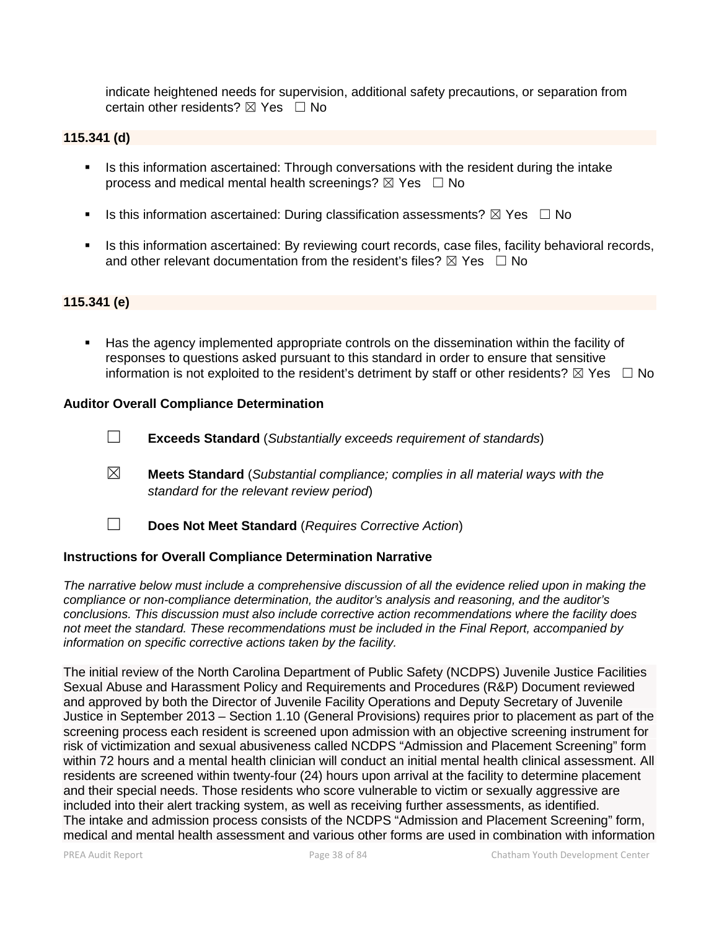indicate heightened needs for supervision, additional safety precautions, or separation from certain other residents?  $\boxtimes$  Yes  $\Box$  No

# **115.341 (d)**

- Is this information ascertained: Through conversations with the resident during the intake process and medical mental health screenings?  $\boxtimes$  Yes  $\Box$  No
- Is this information ascertained: During classification assessments?  $\boxtimes$  Yes  $\Box$  No
- **IS this information ascertained: By reviewing court records, case files, facility behavioral records,** and other relevant documentation from the resident's files?  $\boxtimes$  Yes  $\Box$  No

# **115.341 (e)**

 Has the agency implemented appropriate controls on the dissemination within the facility of responses to questions asked pursuant to this standard in order to ensure that sensitive information is not exploited to the resident's detriment by staff or other residents?  $\boxtimes$  Yes  $\Box$  No

### **Auditor Overall Compliance Determination**

- ☐ **Exceeds Standard** (*Substantially exceeds requirement of standards*)
- ☒ **Meets Standard** (*Substantial compliance; complies in all material ways with the standard for the relevant review period*)
- ☐ **Does Not Meet Standard** (*Requires Corrective Action*)

#### **Instructions for Overall Compliance Determination Narrative**

*The narrative below must include a comprehensive discussion of all the evidence relied upon in making the compliance or non-compliance determination, the auditor's analysis and reasoning, and the auditor's conclusions. This discussion must also include corrective action recommendations where the facility does not meet the standard. These recommendations must be included in the Final Report, accompanied by information on specific corrective actions taken by the facility.*

The initial review of the North Carolina Department of Public Safety (NCDPS) Juvenile Justice Facilities Sexual Abuse and Harassment Policy and Requirements and Procedures (R&P) Document reviewed and approved by both the Director of Juvenile Facility Operations and Deputy Secretary of Juvenile Justice in September 2013 – Section 1.10 (General Provisions) requires prior to placement as part of the screening process each resident is screened upon admission with an objective screening instrument for risk of victimization and sexual abusiveness called NCDPS "Admission and Placement Screening" form within 72 hours and a mental health clinician will conduct an initial mental health clinical assessment. All residents are screened within twenty-four (24) hours upon arrival at the facility to determine placement and their special needs. Those residents who score vulnerable to victim or sexually aggressive are included into their alert tracking system, as well as receiving further assessments, as identified. The intake and admission process consists of the NCDPS "Admission and Placement Screening" form, medical and mental health assessment and various other forms are used in combination with information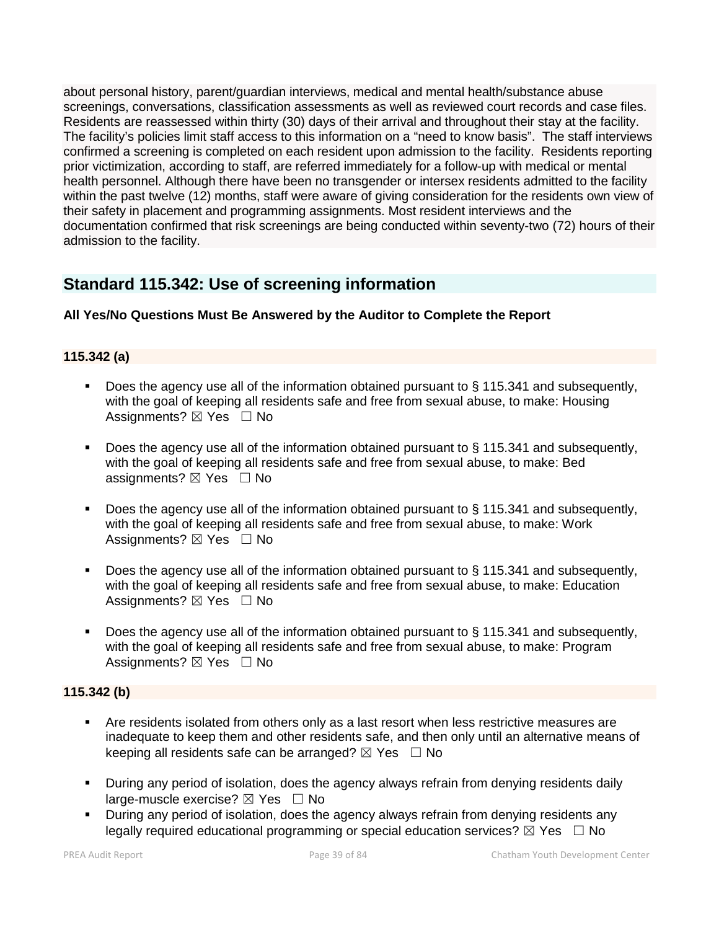about personal history, parent/guardian interviews, medical and mental health/substance abuse screenings, conversations, classification assessments as well as reviewed court records and case files. Residents are reassessed within thirty (30) days of their arrival and throughout their stay at the facility. The facility's policies limit staff access to this information on a "need to know basis". The staff interviews confirmed a screening is completed on each resident upon admission to the facility. Residents reporting prior victimization, according to staff, are referred immediately for a follow-up with medical or mental health personnel. Although there have been no transgender or intersex residents admitted to the facility within the past twelve (12) months, staff were aware of giving consideration for the residents own view of their safety in placement and programming assignments. Most resident interviews and the documentation confirmed that risk screenings are being conducted within seventy-two (72) hours of their admission to the facility.

# **Standard 115.342: Use of screening information**

# **All Yes/No Questions Must Be Answered by the Auditor to Complete the Report**

# **115.342 (a)**

- Does the agency use all of the information obtained pursuant to § 115.341 and subsequently, with the goal of keeping all residents safe and free from sexual abuse, to make: Housing Assignments?  $\boxtimes$  Yes  $\Box$  No
- Does the agency use all of the information obtained pursuant to § 115.341 and subsequently, with the goal of keeping all residents safe and free from sexual abuse, to make: Bed assignments?  $\boxtimes$  Yes  $\Box$  No
- Does the agency use all of the information obtained pursuant to § 115.341 and subsequently, with the goal of keeping all residents safe and free from sexual abuse, to make: Work Assignments?  $\boxtimes$  Yes  $\Box$  No
- Does the agency use all of the information obtained pursuant to § 115.341 and subsequently, with the goal of keeping all residents safe and free from sexual abuse, to make: Education Assignments? ⊠ Yes □ No
- Does the agency use all of the information obtained pursuant to § 115.341 and subsequently, with the goal of keeping all residents safe and free from sexual abuse, to make: Program Assignments?  $\boxtimes$  Yes  $\Box$  No

# **115.342 (b)**

- Are residents isolated from others only as a last resort when less restrictive measures are inadequate to keep them and other residents safe, and then only until an alternative means of keeping all residents safe can be arranged?  $\boxtimes$  Yes  $\Box$  No
- During any period of isolation, does the agency always refrain from denying residents daily large-muscle exercise?  $\boxtimes$  Yes  $\Box$  No
- During any period of isolation, does the agency always refrain from denying residents any legally required educational programming or special education services?  $\boxtimes$  Yes  $\Box$  No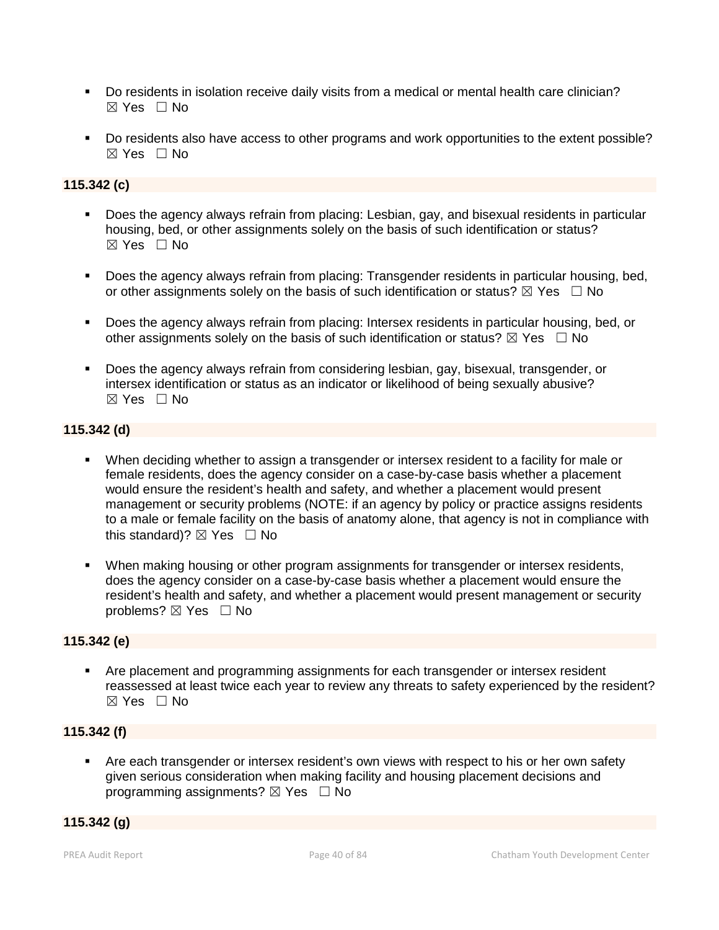- Do residents in isolation receive daily visits from a medical or mental health care clinician?  $\boxtimes$  Yes  $\Box$  No
- Do residents also have access to other programs and work opportunities to the extent possible?  $\boxtimes$  Yes  $\Box$  No

# **115.342 (c)**

- Does the agency always refrain from placing: Lesbian, gay, and bisexual residents in particular housing, bed, or other assignments solely on the basis of such identification or status? ☒ Yes ☐ No
- Does the agency always refrain from placing: Transgender residents in particular housing, bed, or other assignments solely on the basis of such identification or status?  $\boxtimes$  Yes  $\Box$  No
- Does the agency always refrain from placing: Intersex residents in particular housing, bed, or other assignments solely on the basis of such identification or status?  $\boxtimes$  Yes  $\Box$  No
- Does the agency always refrain from considering lesbian, gay, bisexual, transgender, or intersex identification or status as an indicator or likelihood of being sexually abusive?  $\boxtimes$  Yes  $\Box$  No

# **115.342 (d)**

- When deciding whether to assign a transgender or intersex resident to a facility for male or female residents, does the agency consider on a case-by-case basis whether a placement would ensure the resident's health and safety, and whether a placement would present management or security problems (NOTE: if an agency by policy or practice assigns residents to a male or female facility on the basis of anatomy alone, that agency is not in compliance with this standard)?  $\boxtimes$  Yes  $\Box$  No
- When making housing or other program assignments for transgender or intersex residents, does the agency consider on a case-by-case basis whether a placement would ensure the resident's health and safety, and whether a placement would present management or security problems? ⊠ Yes □ No

### **115.342 (e)**

**• Are placement and programming assignments for each transgender or intersex resident** reassessed at least twice each year to review any threats to safety experienced by the resident?  $\boxtimes$  Yes  $\Box$  No

#### **115.342 (f)**

 Are each transgender or intersex resident's own views with respect to his or her own safety given serious consideration when making facility and housing placement decisions and programming assignments?  $\boxtimes$  Yes  $\Box$  No

### **115.342 (g)**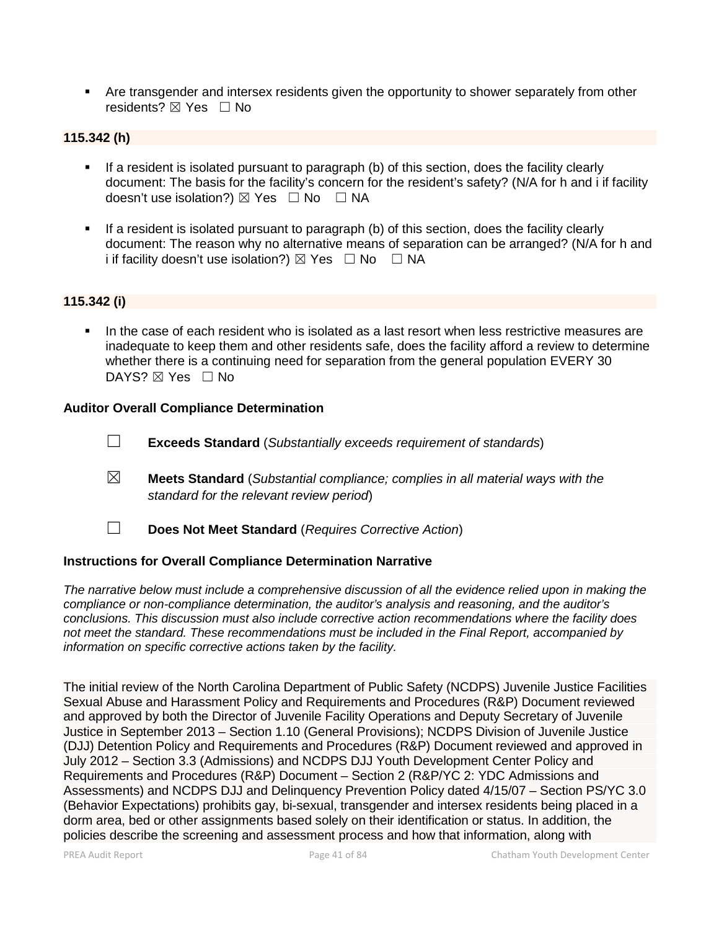Are transgender and intersex residents given the opportunity to shower separately from other residents?  $⊠$  **Yes**  $□$  No

# **115.342 (h)**

- If a resident is isolated pursuant to paragraph (b) of this section, does the facility clearly document: The basis for the facility's concern for the resident's safety? (N/A for h and i if facility doesn't use isolation?) ⊠ Yes □ No □ NA
- If a resident is isolated pursuant to paragraph (b) of this section, does the facility clearly document: The reason why no alternative means of separation can be arranged? (N/A for h and i if facility doesn't use isolation?)  $\boxtimes$  Yes  $\Box$  No  $\Box$  NA

### **115.342 (i)**

 In the case of each resident who is isolated as a last resort when less restrictive measures are inadequate to keep them and other residents safe, does the facility afford a review to determine whether there is a continuing need for separation from the general population EVERY 30 DAYS?  $\boxtimes$  Yes  $\Box$  No

#### **Auditor Overall Compliance Determination**

- ☐ **Exceeds Standard** (*Substantially exceeds requirement of standards*)
- ☒ **Meets Standard** (*Substantial compliance; complies in all material ways with the standard for the relevant review period*)
- ☐ **Does Not Meet Standard** (*Requires Corrective Action*)

# **Instructions for Overall Compliance Determination Narrative**

*The narrative below must include a comprehensive discussion of all the evidence relied upon in making the compliance or non-compliance determination, the auditor's analysis and reasoning, and the auditor's conclusions. This discussion must also include corrective action recommendations where the facility does not meet the standard. These recommendations must be included in the Final Report, accompanied by information on specific corrective actions taken by the facility.*

The initial review of the North Carolina Department of Public Safety (NCDPS) Juvenile Justice Facilities Sexual Abuse and Harassment Policy and Requirements and Procedures (R&P) Document reviewed and approved by both the Director of Juvenile Facility Operations and Deputy Secretary of Juvenile Justice in September 2013 – Section 1.10 (General Provisions); NCDPS Division of Juvenile Justice (DJJ) Detention Policy and Requirements and Procedures (R&P) Document reviewed and approved in July 2012 – Section 3.3 (Admissions) and NCDPS DJJ Youth Development Center Policy and Requirements and Procedures (R&P) Document – Section 2 (R&P/YC 2: YDC Admissions and Assessments) and NCDPS DJJ and Delinquency Prevention Policy dated 4/15/07 – Section PS/YC 3.0 (Behavior Expectations) prohibits gay, bi-sexual, transgender and intersex residents being placed in a dorm area, bed or other assignments based solely on their identification or status. In addition, the policies describe the screening and assessment process and how that information, along with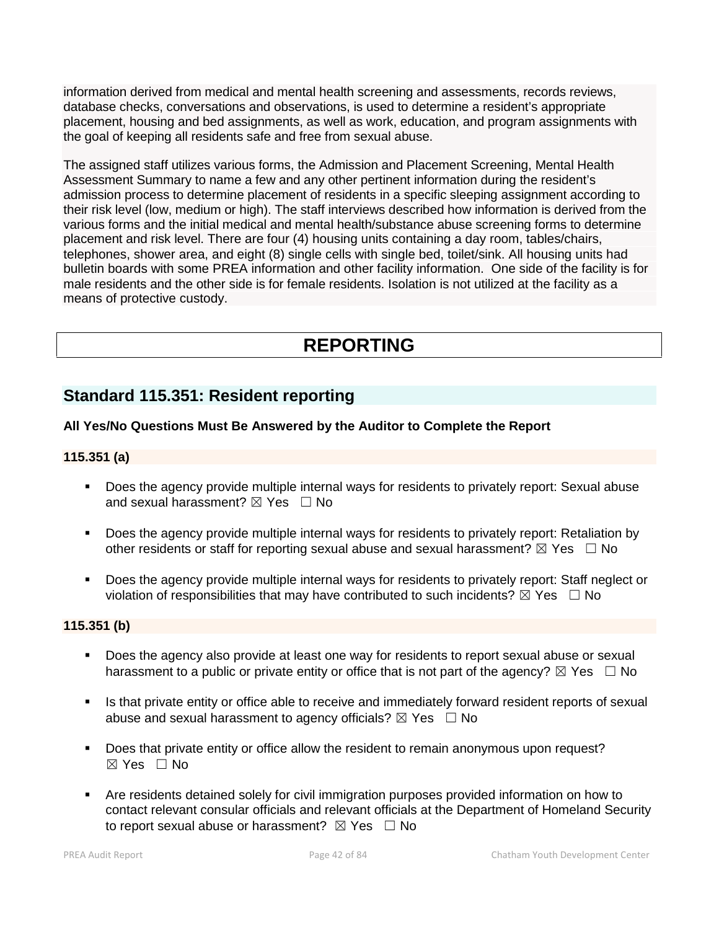information derived from medical and mental health screening and assessments, records reviews, database checks, conversations and observations, is used to determine a resident's appropriate placement, housing and bed assignments, as well as work, education, and program assignments with the goal of keeping all residents safe and free from sexual abuse.

The assigned staff utilizes various forms, the Admission and Placement Screening, Mental Health Assessment Summary to name a few and any other pertinent information during the resident's admission process to determine placement of residents in a specific sleeping assignment according to their risk level (low, medium or high). The staff interviews described how information is derived from the various forms and the initial medical and mental health/substance abuse screening forms to determine placement and risk level. There are four (4) housing units containing a day room, tables/chairs, telephones, shower area, and eight (8) single cells with single bed, toilet/sink. All housing units had bulletin boards with some PREA information and other facility information. One side of the facility is for male residents and the other side is for female residents. Isolation is not utilized at the facility as a means of protective custody.

# **REPORTING**

# **Standard 115.351: Resident reporting**

# **All Yes/No Questions Must Be Answered by the Auditor to Complete the Report**

### **115.351 (a)**

- Does the agency provide multiple internal ways for residents to privately report: Sexual abuse and sexual harassment?  $\boxtimes$  Yes  $\Box$  No
- **Does the agency provide multiple internal ways for residents to privately report: Retaliation by** other residents or staff for reporting sexual abuse and sexual harassment?  $\boxtimes$  Yes  $\Box$  No
- Does the agency provide multiple internal ways for residents to privately report: Staff neglect or violation of responsibilities that may have contributed to such incidents?  $\boxtimes$  Yes  $\Box$  No

# **115.351 (b)**

- Does the agency also provide at least one way for residents to report sexual abuse or sexual harassment to a public or private entity or office that is not part of the agency?  $\boxtimes$  Yes  $\Box$  No
- Is that private entity or office able to receive and immediately forward resident reports of sexual abuse and sexual harassment to agency officials?  $\boxtimes$  Yes  $\Box$  No
- Does that private entity or office allow the resident to remain anonymous upon request?  $\boxtimes$  Yes  $\Box$  No
- Are residents detained solely for civil immigration purposes provided information on how to contact relevant consular officials and relevant officials at the Department of Homeland Security to report sexual abuse or harassment?  $\boxtimes$  Yes  $\Box$  No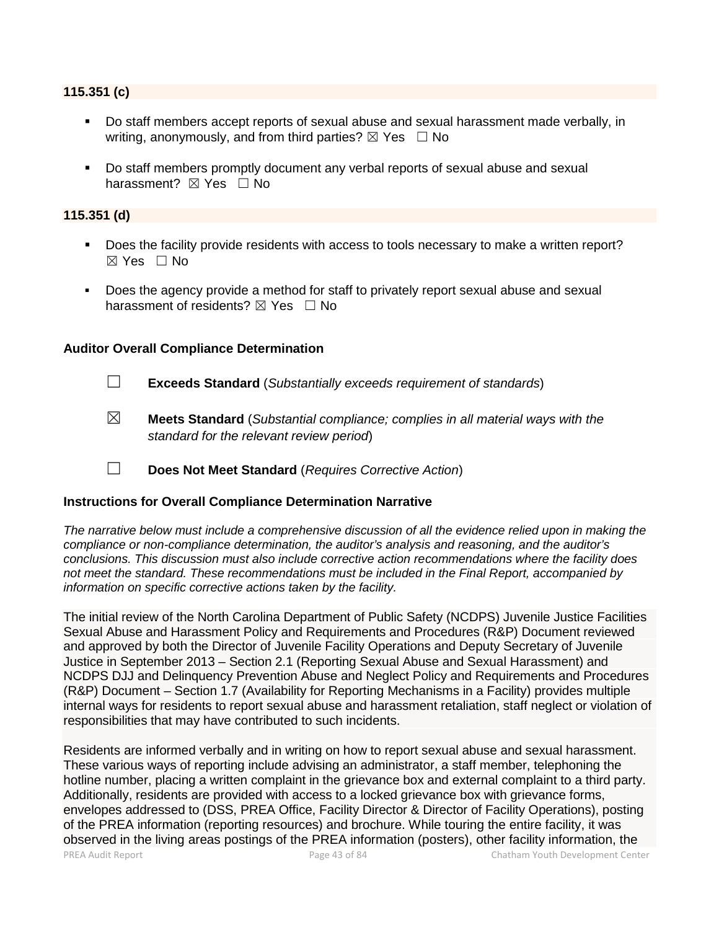#### **115.351 (c)**

- Do staff members accept reports of sexual abuse and sexual harassment made verbally, in writing, anonymously, and from third parties?  $\boxtimes$  Yes  $\Box$  No
- Do staff members promptly document any verbal reports of sexual abuse and sexual harassment? ⊠ Yes □ No

# **115.351 (d)**

- Does the facility provide residents with access to tools necessary to make a written report?  $\boxtimes$  Yes  $\Box$  No
- Does the agency provide a method for staff to privately report sexual abuse and sexual harassment of residents?  $\boxtimes$  Yes  $\Box$  No

### **Auditor Overall Compliance Determination**

- ☐ **Exceeds Standard** (*Substantially exceeds requirement of standards*)
- ☒ **Meets Standard** (*Substantial compliance; complies in all material ways with the standard for the relevant review period*)
- ☐ **Does Not Meet Standard** (*Requires Corrective Action*)

#### **Instructions for Overall Compliance Determination Narrative**

*The narrative below must include a comprehensive discussion of all the evidence relied upon in making the compliance or non-compliance determination, the auditor's analysis and reasoning, and the auditor's conclusions. This discussion must also include corrective action recommendations where the facility does not meet the standard. These recommendations must be included in the Final Report, accompanied by information on specific corrective actions taken by the facility.*

The initial review of the North Carolina Department of Public Safety (NCDPS) Juvenile Justice Facilities Sexual Abuse and Harassment Policy and Requirements and Procedures (R&P) Document reviewed and approved by both the Director of Juvenile Facility Operations and Deputy Secretary of Juvenile Justice in September 2013 – Section 2.1 (Reporting Sexual Abuse and Sexual Harassment) and NCDPS DJJ and Delinquency Prevention Abuse and Neglect Policy and Requirements and Procedures (R&P) Document – Section 1.7 (Availability for Reporting Mechanisms in a Facility) provides multiple internal ways for residents to report sexual abuse and harassment retaliation, staff neglect or violation of responsibilities that may have contributed to such incidents.

PREA Audit Report **Page 13 of 84** Page 43 of 84 Chatham Youth Development Center Residents are informed verbally and in writing on how to report sexual abuse and sexual harassment. These various ways of reporting include advising an administrator, a staff member, telephoning the hotline number, placing a written complaint in the grievance box and external complaint to a third party. Additionally, residents are provided with access to a locked grievance box with grievance forms, envelopes addressed to (DSS, PREA Office, Facility Director & Director of Facility Operations), posting of the PREA information (reporting resources) and brochure. While touring the entire facility, it was observed in the living areas postings of the PREA information (posters), other facility information, the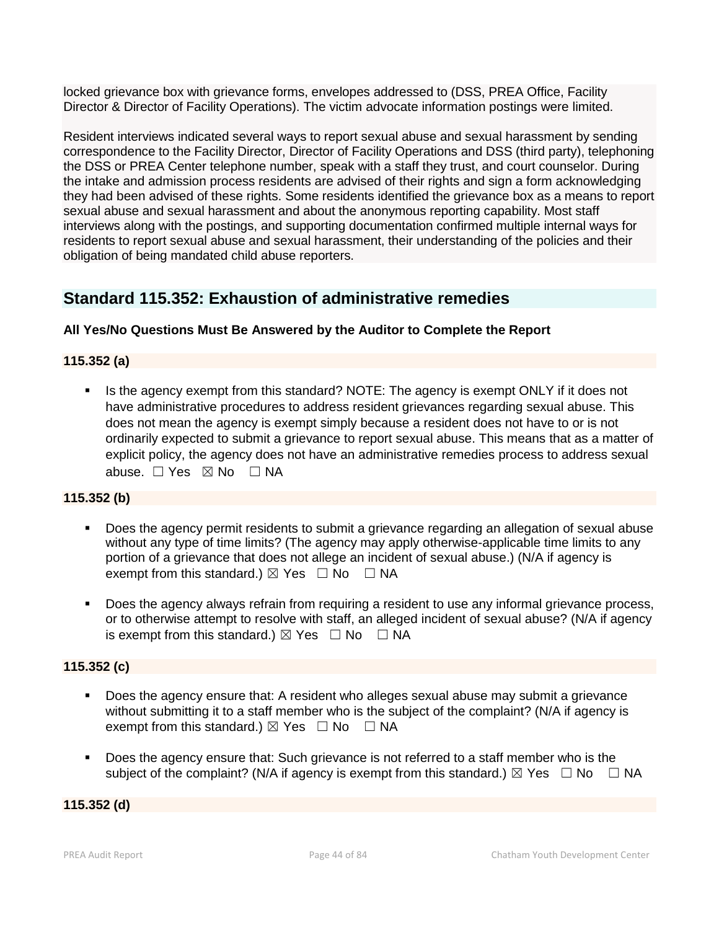locked grievance box with grievance forms, envelopes addressed to (DSS, PREA Office, Facility Director & Director of Facility Operations). The victim advocate information postings were limited.

Resident interviews indicated several ways to report sexual abuse and sexual harassment by sending correspondence to the Facility Director, Director of Facility Operations and DSS (third party), telephoning the DSS or PREA Center telephone number, speak with a staff they trust, and court counselor. During the intake and admission process residents are advised of their rights and sign a form acknowledging they had been advised of these rights. Some residents identified the grievance box as a means to report sexual abuse and sexual harassment and about the anonymous reporting capability. Most staff interviews along with the postings, and supporting documentation confirmed multiple internal ways for residents to report sexual abuse and sexual harassment, their understanding of the policies and their obligation of being mandated child abuse reporters.

# **Standard 115.352: Exhaustion of administrative remedies**

# **All Yes/No Questions Must Be Answered by the Auditor to Complete the Report**

### **115.352 (a)**

Is the agency exempt from this standard? NOTE: The agency is exempt ONLY if it does not have administrative procedures to address resident grievances regarding sexual abuse. This does not mean the agency is exempt simply because a resident does not have to or is not ordinarily expected to submit a grievance to report sexual abuse. This means that as a matter of explicit policy, the agency does not have an administrative remedies process to address sexual abuse. □ Yes ⊠ No □ NA

### **115.352 (b)**

- **Does the agency permit residents to submit a grievance regarding an allegation of sexual abuse** without any type of time limits? (The agency may apply otherwise-applicable time limits to any portion of a grievance that does not allege an incident of sexual abuse.) (N/A if agency is exempt from this standard.)  $\boxtimes$  Yes  $\Box$  No  $\Box$  NA
- Does the agency always refrain from requiring a resident to use any informal grievance process, or to otherwise attempt to resolve with staff, an alleged incident of sexual abuse? (N/A if agency is exempt from this standard.)  $\boxtimes$  Yes  $\Box$  No  $\Box$  NA

# **115.352 (c)**

- Does the agency ensure that: A resident who alleges sexual abuse may submit a grievance without submitting it to a staff member who is the subject of the complaint? (N/A if agency is exempt from this standard.)  $\boxtimes$  Yes  $\Box$  No  $\Box$  NA
- Does the agency ensure that: Such grievance is not referred to a staff member who is the subject of the complaint? (N/A if agency is exempt from this standard.)  $\boxtimes$  Yes  $\Box$  No  $\Box$  NA

**115.352 (d)**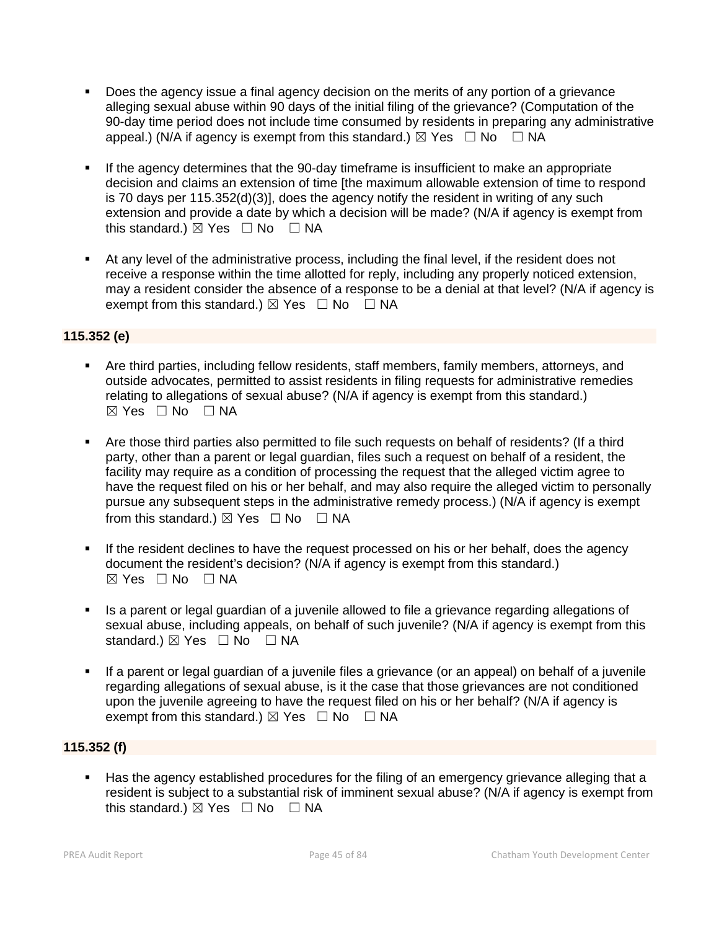- Does the agency issue a final agency decision on the merits of any portion of a grievance alleging sexual abuse within 90 days of the initial filing of the grievance? (Computation of the 90-day time period does not include time consumed by residents in preparing any administrative appeal.) (N/A if agency is exempt from this standard.)  $\boxtimes$  Yes  $\Box$  No  $\Box$  NA
- If the agency determines that the 90-day timeframe is insufficient to make an appropriate decision and claims an extension of time [the maximum allowable extension of time to respond is 70 days per 115.352(d)(3)], does the agency notify the resident in writing of any such extension and provide a date by which a decision will be made? (N/A if agency is exempt from this standard.)  $\boxtimes$  Yes  $\Box$  No  $\Box$  NA
- At any level of the administrative process, including the final level, if the resident does not receive a response within the time allotted for reply, including any properly noticed extension, may a resident consider the absence of a response to be a denial at that level? (N/A if agency is exempt from this standard.)  $\boxtimes$  Yes  $\Box$  No  $\Box$  NA

# **115.352 (e)**

- Are third parties, including fellow residents, staff members, family members, attorneys, and outside advocates, permitted to assist residents in filing requests for administrative remedies relating to allegations of sexual abuse? (N/A if agency is exempt from this standard.) ☒ Yes ☐ No ☐ NA
- Are those third parties also permitted to file such requests on behalf of residents? (If a third party, other than a parent or legal guardian, files such a request on behalf of a resident, the facility may require as a condition of processing the request that the alleged victim agree to have the request filed on his or her behalf, and may also require the alleged victim to personally pursue any subsequent steps in the administrative remedy process.) (N/A if agency is exempt from this standard.)  $\boxtimes$  Yes  $\Box$  No  $\Box$  NA
- If the resident declines to have the request processed on his or her behalf, does the agency document the resident's decision? (N/A if agency is exempt from this standard.)  $\boxtimes$  Yes  $\Box$  No  $\Box$  NA
- Is a parent or legal guardian of a juvenile allowed to file a grievance regarding allegations of sexual abuse, including appeals, on behalf of such juvenile? (N/A if agency is exempt from this standard.)  $\boxtimes$  Yes  $\Box$  No  $\Box$  NA
- If a parent or legal guardian of a juvenile files a grievance (or an appeal) on behalf of a juvenile regarding allegations of sexual abuse, is it the case that those grievances are not conditioned upon the juvenile agreeing to have the request filed on his or her behalf? (N/A if agency is exempt from this standard.)  $\boxtimes$  Yes  $\Box$  No  $\Box$  NA

# **115.352 (f)**

 Has the agency established procedures for the filing of an emergency grievance alleging that a resident is subject to a substantial risk of imminent sexual abuse? (N/A if agency is exempt from this standard.)  $\boxtimes$  Yes  $\Box$  No  $\Box$  NA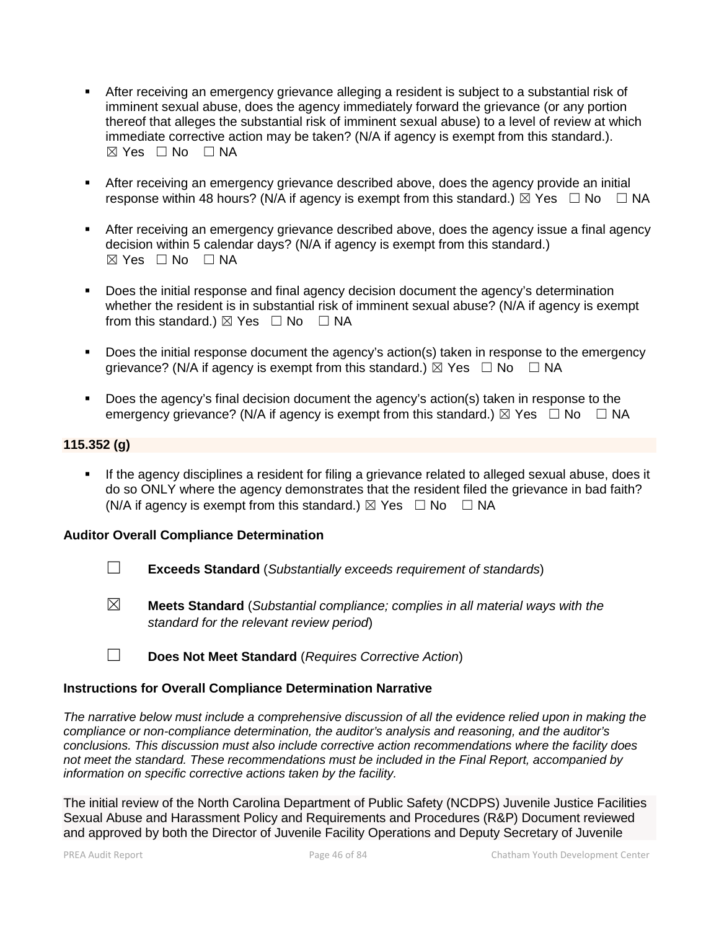- After receiving an emergency grievance alleging a resident is subject to a substantial risk of imminent sexual abuse, does the agency immediately forward the grievance (or any portion thereof that alleges the substantial risk of imminent sexual abuse) to a level of review at which immediate corrective action may be taken? (N/A if agency is exempt from this standard.).  $\boxtimes$  Yes  $\Box$  No  $\Box$  NA
- After receiving an emergency grievance described above, does the agency provide an initial response within 48 hours? (N/A if agency is exempt from this standard.)  $\boxtimes$  Yes  $\Box$  No  $\Box$  NA
- After receiving an emergency grievance described above, does the agency issue a final agency decision within 5 calendar days? (N/A if agency is exempt from this standard.)  $\boxtimes$  Yes  $\Box$  No  $\Box$  NA
- Does the initial response and final agency decision document the agency's determination whether the resident is in substantial risk of imminent sexual abuse? (N/A if agency is exempt from this standard.)  $\boxtimes$  Yes  $\Box$  No  $\Box$  NA
- Does the initial response document the agency's action(s) taken in response to the emergency grievance? (N/A if agency is exempt from this standard.)  $\boxtimes$  Yes  $\Box$  No  $\Box$  NA
- Does the agency's final decision document the agency's action(s) taken in response to the emergency grievance? (N/A if agency is exempt from this standard.)  $\boxtimes$  Yes  $\Box$  No  $\Box$  NA

# **115.352 (g)**

 If the agency disciplines a resident for filing a grievance related to alleged sexual abuse, does it do so ONLY where the agency demonstrates that the resident filed the grievance in bad faith? (N/A if agency is exempt from this standard.)  $\boxtimes$  Yes  $\Box$  No  $\Box$  NA

#### **Auditor Overall Compliance Determination**

- ☐ **Exceeds Standard** (*Substantially exceeds requirement of standards*)
- ☒ **Meets Standard** (*Substantial compliance; complies in all material ways with the standard for the relevant review period*)
- ☐ **Does Not Meet Standard** (*Requires Corrective Action*)

#### **Instructions for Overall Compliance Determination Narrative**

*The narrative below must include a comprehensive discussion of all the evidence relied upon in making the compliance or non-compliance determination, the auditor's analysis and reasoning, and the auditor's conclusions. This discussion must also include corrective action recommendations where the facility does not meet the standard. These recommendations must be included in the Final Report, accompanied by information on specific corrective actions taken by the facility.*

The initial review of the North Carolina Department of Public Safety (NCDPS) Juvenile Justice Facilities Sexual Abuse and Harassment Policy and Requirements and Procedures (R&P) Document reviewed and approved by both the Director of Juvenile Facility Operations and Deputy Secretary of Juvenile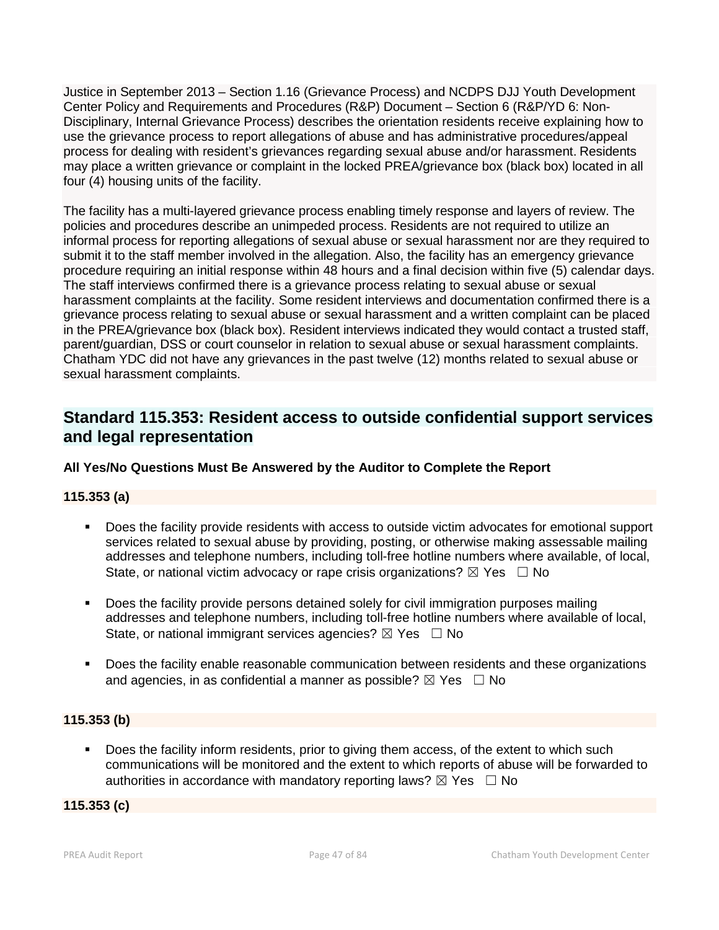Justice in September 2013 – Section 1.16 (Grievance Process) and NCDPS DJJ Youth Development Center Policy and Requirements and Procedures (R&P) Document – Section 6 (R&P/YD 6: Non- Disciplinary, Internal Grievance Process) describes the orientation residents receive explaining how to use the grievance process to report allegations of abuse and has administrative procedures/appeal process for dealing with resident's grievances regarding sexual abuse and/or harassment. Residents may place a written grievance or complaint in the locked PREA/grievance box (black box) located in all four (4) housing units of the facility.

The facility has a multi-layered grievance process enabling timely response and layers of review. The policies and procedures describe an unimpeded process. Residents are not required to utilize an informal process for reporting allegations of sexual abuse or sexual harassment nor are they required to submit it to the staff member involved in the allegation. Also, the facility has an emergency grievance procedure requiring an initial response within 48 hours and a final decision within five (5) calendar days. The staff interviews confirmed there is a grievance process relating to sexual abuse or sexual harassment complaints at the facility. Some resident interviews and documentation confirmed there is a grievance process relating to sexual abuse or sexual harassment and a written complaint can be placed in the PREA/grievance box (black box). Resident interviews indicated they would contact a trusted staff, parent/guardian, DSS or court counselor in relation to sexual abuse or sexual harassment complaints. Chatham YDC did not have any grievances in the past twelve (12) months related to sexual abuse or sexual harassment complaints.

# **Standard 115.353: Resident access to outside confidential support services and legal representation**

# **All Yes/No Questions Must Be Answered by the Auditor to Complete the Report**

# **115.353 (a)**

- Does the facility provide residents with access to outside victim advocates for emotional support services related to sexual abuse by providing, posting, or otherwise making assessable mailing addresses and telephone numbers, including toll-free hotline numbers where available, of local, State, or national victim advocacy or rape crisis organizations?  $\boxtimes$  Yes  $\Box$  No
- Does the facility provide persons detained solely for civil immigration purposes mailing addresses and telephone numbers, including toll-free hotline numbers where available of local, State, or national immigrant services agencies?  $\boxtimes$  Yes  $\Box$  No
- Does the facility enable reasonable communication between residents and these organizations and agencies, in as confidential a manner as possible?  $\boxtimes$  Yes  $\Box$  No

# **115.353 (b)**

Does the facility inform residents, prior to giving them access, of the extent to which such communications will be monitored and the extent to which reports of abuse will be forwarded to authorities in accordance with mandatory reporting laws?  $\boxtimes$  Yes  $\Box$  No

#### **115.353 (c)**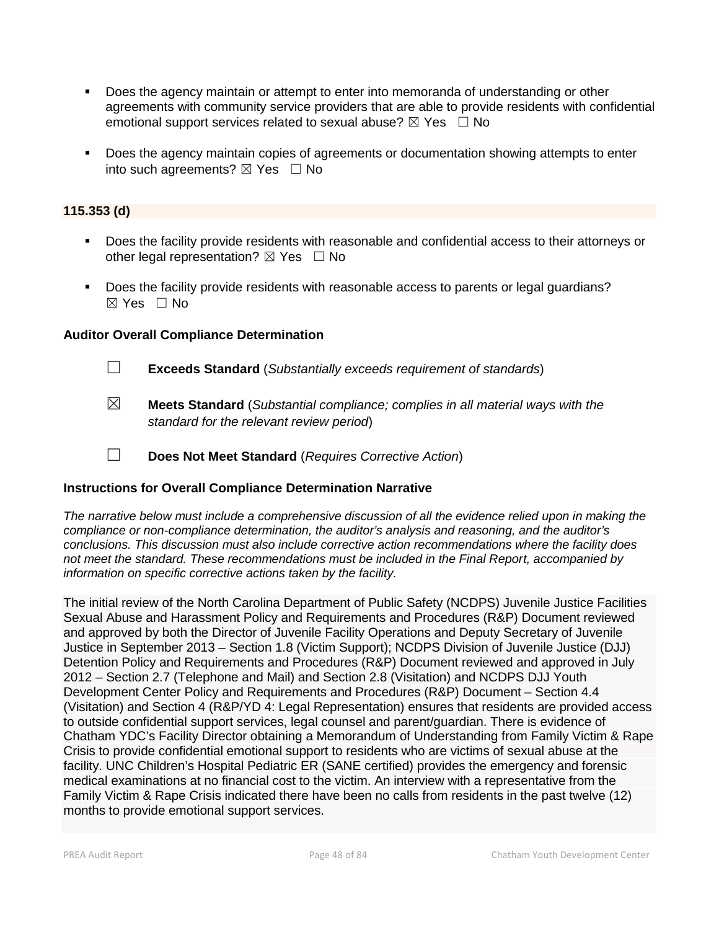- Does the agency maintain or attempt to enter into memoranda of understanding or other agreements with community service providers that are able to provide residents with confidential emotional support services related to sexual abuse?  $\boxtimes$  Yes  $\Box$  No
- **Does the agency maintain copies of agreements or documentation showing attempts to enter** into such agreements?  $\boxtimes$  Yes  $\Box$  No

### **115.353 (d)**

- Does the facility provide residents with reasonable and confidential access to their attorneys or other legal representation?  $\boxtimes$  Yes  $\Box$  No
- Does the facility provide residents with reasonable access to parents or legal guardians?  $\boxtimes$  Yes  $\Box$  No

### **Auditor Overall Compliance Determination**

☐ **Exceeds Standard** (*Substantially exceeds requirement of standards*)

- ☒ **Meets Standard** (*Substantial compliance; complies in all material ways with the standard for the relevant review period*)
- ☐ **Does Not Meet Standard** (*Requires Corrective Action*)

# **Instructions for Overall Compliance Determination Narrative**

*The narrative below must include a comprehensive discussion of all the evidence relied upon in making the compliance or non-compliance determination, the auditor's analysis and reasoning, and the auditor's conclusions. This discussion must also include corrective action recommendations where the facility does not meet the standard. These recommendations must be included in the Final Report, accompanied by information on specific corrective actions taken by the facility.*

The initial review of the North Carolina Department of Public Safety (NCDPS) Juvenile Justice Facilities Sexual Abuse and Harassment Policy and Requirements and Procedures (R&P) Document reviewed and approved by both the Director of Juvenile Facility Operations and Deputy Secretary of Juvenile Justice in September 2013 – Section 1.8 (Victim Support); NCDPS Division of Juvenile Justice (DJJ) Detention Policy and Requirements and Procedures (R&P) Document reviewed and approved in July 2012 – Section 2.7 (Telephone and Mail) and Section 2.8 (Visitation) and NCDPS DJJ Youth Development Center Policy and Requirements and Procedures (R&P) Document – Section 4.4 (Visitation) and Section 4 (R&P/YD 4: Legal Representation) ensures that residents are provided access to outside confidential support services, legal counsel and parent/guardian. There is evidence of Chatham YDC's Facility Director obtaining a Memorandum of Understanding from Family Victim & Rape Crisis to provide confidential emotional support to residents who are victims of sexual abuse at the facility. UNC Children's Hospital Pediatric ER (SANE certified) provides the emergency and forensic medical examinations at no financial cost to the victim. An interview with a representative from the Family Victim & Rape Crisis indicated there have been no calls from residents in the past twelve (12) months to provide emotional support services.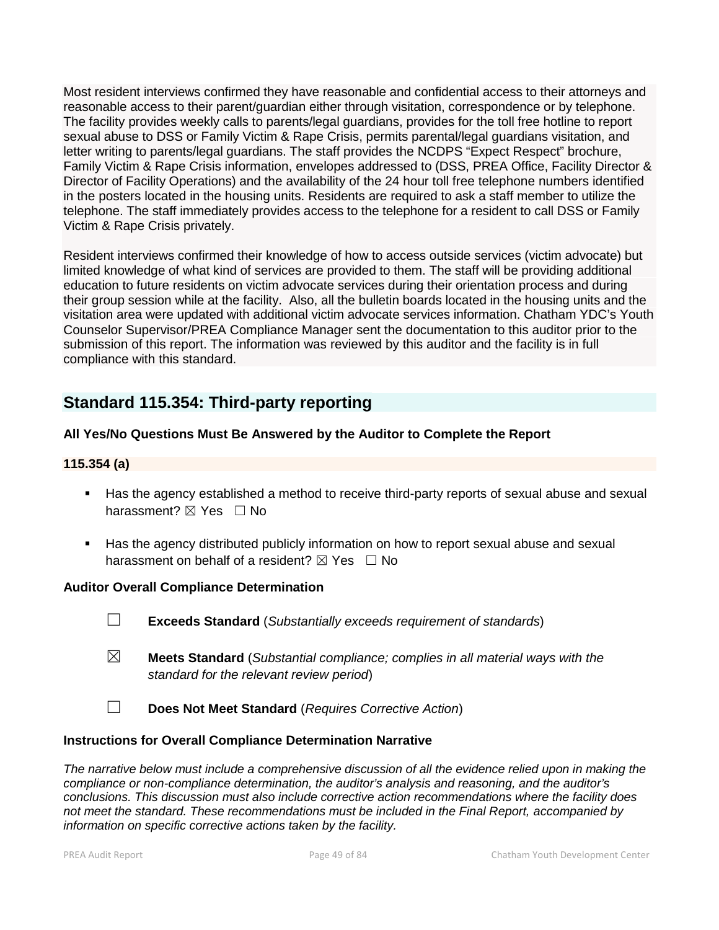Most resident interviews confirmed they have reasonable and confidential access to their attorneys and reasonable access to their parent/guardian either through visitation, correspondence or by telephone. The facility provides weekly calls to parents/legal guardians, provides for the toll free hotline to report sexual abuse to DSS or Family Victim & Rape Crisis, permits parental/legal guardians visitation, and letter writing to parents/legal guardians. The staff provides the NCDPS "Expect Respect" brochure, Family Victim & Rape Crisis information, envelopes addressed to (DSS, PREA Office, Facility Director & Director of Facility Operations) and the availability of the 24 hour toll free telephone numbers identified in the posters located in the housing units. Residents are required to ask a staff member to utilize the telephone. The staff immediately provides access to the telephone for a resident to call DSS or Family Victim & Rape Crisis privately.

Resident interviews confirmed their knowledge of how to access outside services (victim advocate) but limited knowledge of what kind of services are provided to them. The staff will be providing additional education to future residents on victim advocate services during their orientation process and during their group session while at the facility. Also, all the bulletin boards located in the housing units and the visitation area were updated with additional victim advocate services information. Chatham YDC's Youth Counselor Supervisor/PREA Compliance Manager sent the documentation to this auditor prior to the submission of this report. The information was reviewed by this auditor and the facility is in full compliance with this standard.

# **Standard 115.354: Third-party reporting**

# **All Yes/No Questions Must Be Answered by the Auditor to Complete the Report**

# **115.354 (a)**

- Has the agency established a method to receive third-party reports of sexual abuse and sexual harassment? ⊠ Yes □ No
- Has the agency distributed publicly information on how to report sexual abuse and sexual harassment on behalf of a resident?  $\boxtimes$  Yes  $\Box$  No

#### **Auditor Overall Compliance Determination**

- ☐ **Exceeds Standard** (*Substantially exceeds requirement of standards*)
- ☒ **Meets Standard** (*Substantial compliance; complies in all material ways with the standard for the relevant review period*)
- ☐ **Does Not Meet Standard** (*Requires Corrective Action*)

#### **Instructions for Overall Compliance Determination Narrative**

*The narrative below must include a comprehensive discussion of all the evidence relied upon in making the compliance or non-compliance determination, the auditor's analysis and reasoning, and the auditor's conclusions. This discussion must also include corrective action recommendations where the facility does not meet the standard. These recommendations must be included in the Final Report, accompanied by information on specific corrective actions taken by the facility.*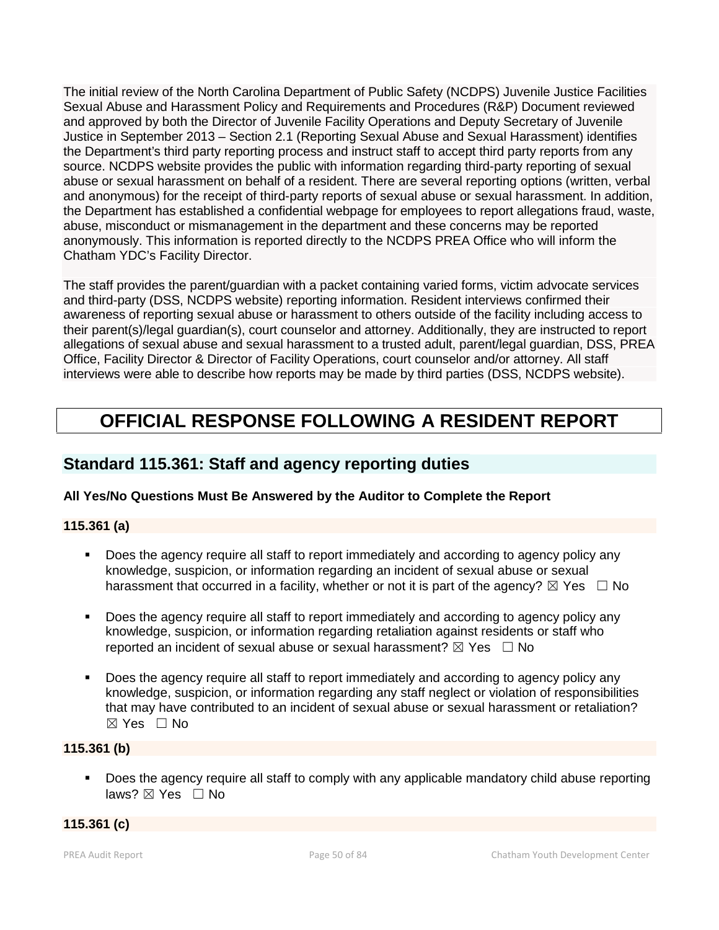The initial review of the North Carolina Department of Public Safety (NCDPS) Juvenile Justice Facilities Sexual Abuse and Harassment Policy and Requirements and Procedures (R&P) Document reviewed and approved by both the Director of Juvenile Facility Operations and Deputy Secretary of Juvenile Justice in September 2013 – Section 2.1 (Reporting Sexual Abuse and Sexual Harassment) identifies the Department's third party reporting process and instruct staff to accept third party reports from any source. NCDPS website provides the public with information regarding third-party reporting of sexual abuse or sexual harassment on behalf of a resident. There are several reporting options (written, verbal and anonymous) for the receipt of third-party reports of sexual abuse or sexual harassment. In addition, the Department has established a confidential webpage for employees to report allegations fraud, waste, abuse, misconduct or mismanagement in the department and these concerns may be reported anonymously. This information is reported directly to the NCDPS PREA Office who will inform the Chatham YDC's Facility Director.

The staff provides the parent/guardian with a packet containing varied forms, victim advocate services and third-party (DSS, NCDPS website) reporting information. Resident interviews confirmed their awareness of reporting sexual abuse or harassment to others outside of the facility including access to their parent(s)/legal guardian(s), court counselor and attorney. Additionally, they are instructed to report allegations of sexual abuse and sexual harassment to a trusted adult, parent/legal guardian, DSS, PREA Office, Facility Director & Director of Facility Operations, court counselor and/or attorney. All staff interviews were able to describe how reports may be made by third parties (DSS, NCDPS website).

# **OFFICIAL RESPONSE FOLLOWING A RESIDENT REPORT**

# **Standard 115.361: Staff and agency reporting duties**

# **All Yes/No Questions Must Be Answered by the Auditor to Complete the Report**

# **115.361 (a)**

- Does the agency require all staff to report immediately and according to agency policy any knowledge, suspicion, or information regarding an incident of sexual abuse or sexual harassment that occurred in a facility, whether or not it is part of the agency?  $\boxtimes$  Yes  $\Box$  No
- Does the agency require all staff to report immediately and according to agency policy any knowledge, suspicion, or information regarding retaliation against residents or staff who reported an incident of sexual abuse or sexual harassment?  $\boxtimes$  Yes  $\Box$  No
- Does the agency require all staff to report immediately and according to agency policy any knowledge, suspicion, or information regarding any staff neglect or violation of responsibilities that may have contributed to an incident of sexual abuse or sexual harassment or retaliation? ☒ Yes ☐ No

# **115.361 (b)**

**Does the agency require all staff to comply with any applicable mandatory child abuse reporting** laws? ⊠ Yes □ No

# **115.361 (c)**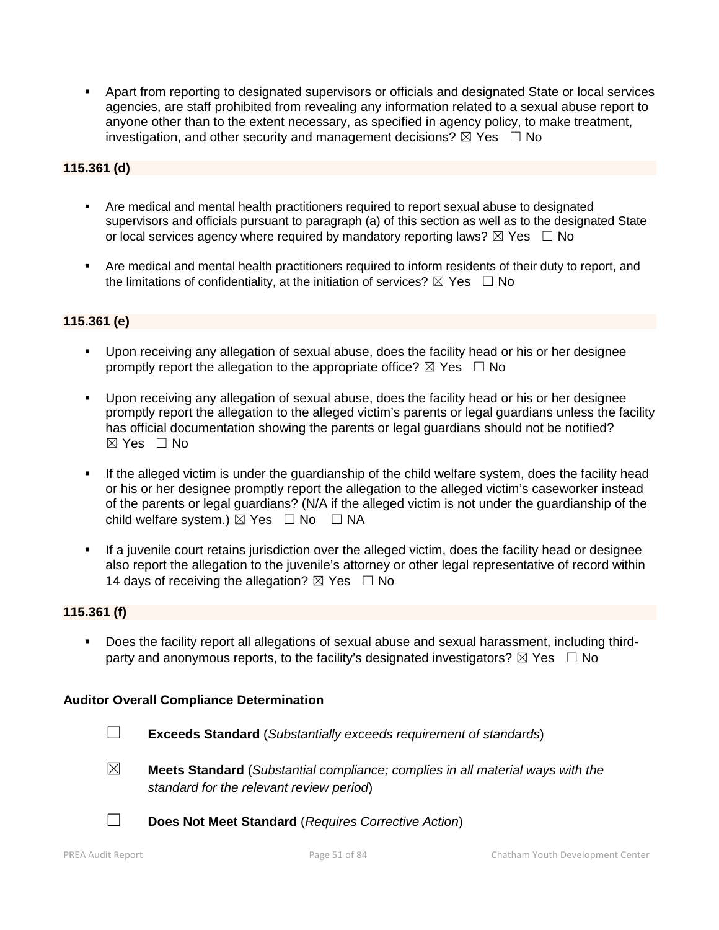Apart from reporting to designated supervisors or officials and designated State or local services agencies, are staff prohibited from revealing any information related to a sexual abuse report to anyone other than to the extent necessary, as specified in agency policy, to make treatment, investigation, and other security and management decisions?  $\boxtimes$  Yes  $\Box$  No

# **115.361 (d)**

- Are medical and mental health practitioners required to report sexual abuse to designated supervisors and officials pursuant to paragraph (a) of this section as well as to the designated State or local services agency where required by mandatory reporting laws?  $\boxtimes$  Yes  $\Box$  No
- Are medical and mental health practitioners required to inform residents of their duty to report, and the limitations of confidentiality, at the initiation of services?  $\boxtimes$  Yes  $\Box$  No

# **115.361 (e)**

- Upon receiving any allegation of sexual abuse, does the facility head or his or her designee promptly report the allegation to the appropriate office?  $\boxtimes$  Yes  $\Box$  No
- Upon receiving any allegation of sexual abuse, does the facility head or his or her designee promptly report the allegation to the alleged victim's parents or legal guardians unless the facility has official documentation showing the parents or legal guardians should not be notified?  $\boxtimes$  Yes  $\Box$  No
- If the alleged victim is under the guardianship of the child welfare system, does the facility head or his or her designee promptly report the allegation to the alleged victim's caseworker instead of the parents or legal guardians? (N/A if the alleged victim is not under the guardianship of the child welfare system.)  $\boxtimes$  Yes  $\Box$  No  $\Box$  NA
- If a juvenile court retains jurisdiction over the alleged victim, does the facility head or designee also report the allegation to the juvenile's attorney or other legal representative of record within 14 days of receiving the allegation?  $\boxtimes$  Yes  $\Box$  No

# **115.361 (f)**

 Does the facility report all allegations of sexual abuse and sexual harassment, including third party and anonymous reports, to the facility's designated investigators?  $\boxtimes$  Yes  $\Box$  No

# **Auditor Overall Compliance Determination**

- 
- ☐ **Exceeds Standard** (*Substantially exceeds requirement of standards*)
- ☒ **Meets Standard** (*Substantial compliance; complies in all material ways with the standard for the relevant review period*)
- ☐ **Does Not Meet Standard** (*Requires Corrective Action*)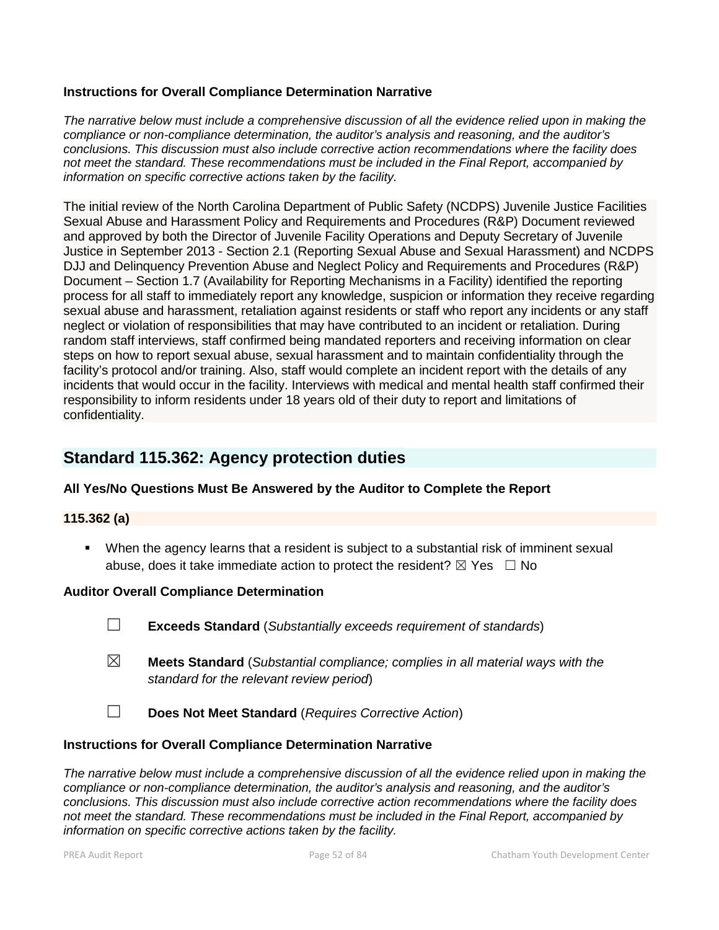### **Instructions for Overall Compliance Determination Narrative**

*The narrative below must include a comprehensive discussion of all the evidence relied upon in making the compliance or non-compliance determination, the auditor's analysis and reasoning, and the auditor's conclusions. This discussion must also include corrective action recommendations where the facility does not meet the standard. These recommendations must be included in the Final Report, accompanied by information on specific corrective actions taken by the facility.*

The initial review of the North Carolina Department of Public Safety (NCDPS) Juvenile Justice Facilities Sexual Abuse and Harassment Policy and Requirements and Procedures (R&P) Document reviewed and approved by both the Director of Juvenile Facility Operations and Deputy Secretary of Juvenile Justice in September 2013 - Section 2.1 (Reporting Sexual Abuse and Sexual Harassment) and NCDPS DJJ and Delinquency Prevention Abuse and Neglect Policy and Requirements and Procedures (R&P) Document – Section 1.7 (Availability for Reporting Mechanisms in a Facility) identified the reporting process for all staff to immediately report any knowledge, suspicion or information they receive regarding sexual abuse and harassment, retaliation against residents or staff who report any incidents or any staff neglect or violation of responsibilities that may have contributed to an incident or retaliation. During random staff interviews, staff confirmed being mandated reporters and receiving information on clear steps on how to report sexual abuse, sexual harassment and to maintain confidentiality through the facility's protocol and/or training. Also, staff would complete an incident report with the details of any incidents that would occur in the facility. Interviews with medical and mental health staff confirmed their responsibility to inform residents under 18 years old of their duty to report and limitations of confidentiality.

# **Standard 115.362: Agency protection duties**

# **All Yes/No Questions Must Be Answered by the Auditor to Complete the Report**

#### **115.362 (a)**

 When the agency learns that a resident is subject to a substantial risk of imminent sexual abuse, does it take immediate action to protect the resident?  $\boxtimes$  Yes  $\Box$  No

#### **Auditor Overall Compliance Determination**

☐ **Exceeds Standard** (*Substantially exceeds requirement of standards*)

- ☒ **Meets Standard** (*Substantial compliance; complies in all material ways with the standard for the relevant review period*)
- ☐ **Does Not Meet Standard** (*Requires Corrective Action*)

#### **Instructions for Overall Compliance Determination Narrative**

*The narrative below must include a comprehensive discussion of all the evidence relied upon in making the compliance or non-compliance determination, the auditor's analysis and reasoning, and the auditor's conclusions. This discussion must also include corrective action recommendations where the facility does not meet the standard. These recommendations must be included in the Final Report, accompanied by information on specific corrective actions taken by the facility.*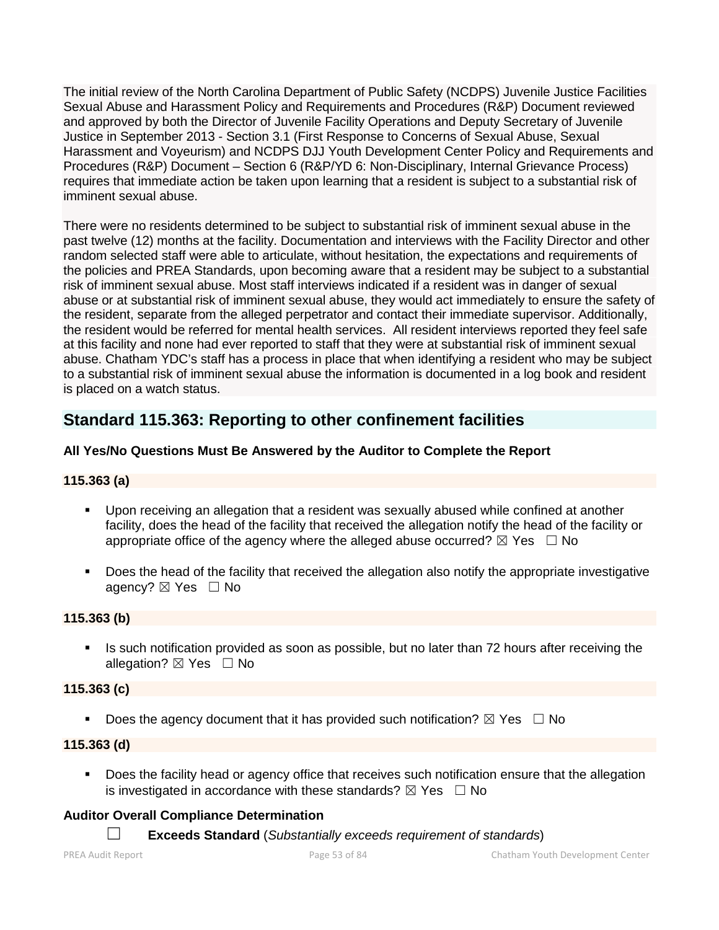The initial review of the North Carolina Department of Public Safety (NCDPS) Juvenile Justice Facilities Sexual Abuse and Harassment Policy and Requirements and Procedures (R&P) Document reviewed and approved by both the Director of Juvenile Facility Operations and Deputy Secretary of Juvenile Justice in September 2013 - Section 3.1 (First Response to Concerns of Sexual Abuse, Sexual Harassment and Voyeurism) and NCDPS DJJ Youth Development Center Policy and Requirements and Procedures (R&P) Document – Section 6 (R&P/YD 6: Non-Disciplinary, Internal Grievance Process) requires that immediate action be taken upon learning that a resident is subject to a substantial risk of imminent sexual abuse.

There were no residents determined to be subject to substantial risk of imminent sexual abuse in the past twelve (12) months at the facility. Documentation and interviews with the Facility Director and other random selected staff were able to articulate, without hesitation, the expectations and requirements of the policies and PREA Standards, upon becoming aware that a resident may be subject to a substantial risk of imminent sexual abuse. Most staff interviews indicated if a resident was in danger of sexual abuse or at substantial risk of imminent sexual abuse, they would act immediately to ensure the safety of the resident, separate from the alleged perpetrator and contact their immediate supervisor. Additionally, the resident would be referred for mental health services. All resident interviews reported they feel safe at this facility and none had ever reported to staff that they were at substantial risk of imminent sexual abuse. Chatham YDC's staff has a process in place that when identifying a resident who may be subject to a substantial risk of imminent sexual abuse the information is documented in a log book and resident is placed on a watch status.

# **Standard 115.363: Reporting to other confinement facilities**

# **All Yes/No Questions Must Be Answered by the Auditor to Complete the Report**

# **115.363 (a)**

- Upon receiving an allegation that a resident was sexually abused while confined at another facility, does the head of the facility that received the allegation notify the head of the facility or appropriate office of the agency where the alleged abuse occurred?  $\boxtimes$  Yes  $\Box$  No
- **Does the head of the facility that received the allegation also notify the appropriate investigative** agency? ⊠ Yes □ No

# **115.363 (b)**

Is such notification provided as soon as possible, but no later than 72 hours after receiving the allegation?  $\boxtimes$  Yes  $\Box$  No

# **115.363 (c)**

Does the agency document that it has provided such notification?  $\boxtimes$  Yes  $\Box$  No

# **115.363 (d)**

**Does the facility head or agency office that receives such notification ensure that the allegation** is investigated in accordance with these standards?  $\boxtimes$  Yes  $\Box$  No

# **Auditor Overall Compliance Determination**

☐ **Exceeds Standard** (*Substantially exceeds requirement of standards*)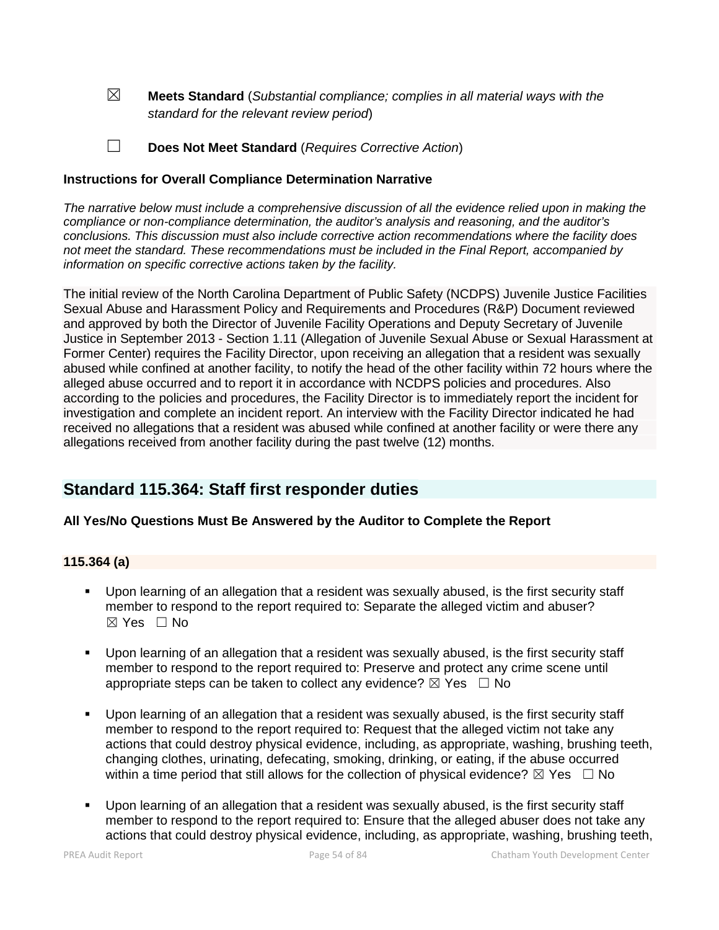☒ **Meets Standard** (*Substantial compliance; complies in all material ways with the standard for the relevant review period*)

☐ **Does Not Meet Standard** (*Requires Corrective Action*)

# **Instructions for Overall Compliance Determination Narrative**

*The narrative below must include a comprehensive discussion of all the evidence relied upon in making the compliance or non-compliance determination, the auditor's analysis and reasoning, and the auditor's conclusions. This discussion must also include corrective action recommendations where the facility does not meet the standard. These recommendations must be included in the Final Report, accompanied by information on specific corrective actions taken by the facility.*

The initial review of the North Carolina Department of Public Safety (NCDPS) Juvenile Justice Facilities Sexual Abuse and Harassment Policy and Requirements and Procedures (R&P) Document reviewed and approved by both the Director of Juvenile Facility Operations and Deputy Secretary of Juvenile Justice in September 2013 - Section 1.11 (Allegation of Juvenile Sexual Abuse or Sexual Harassment at Former Center) requires the Facility Director, upon receiving an allegation that a resident was sexually abused while confined at another facility, to notify the head of the other facility within 72 hours where the alleged abuse occurred and to report it in accordance with NCDPS policies and procedures. Also according to the policies and procedures, the Facility Director is to immediately report the incident for investigation and complete an incident report. An interview with the Facility Director indicated he had received no allegations that a resident was abused while confined at another facility or were there any allegations received from another facility during the past twelve (12) months.

# **Standard 115.364: Staff first responder duties**

# **All Yes/No Questions Must Be Answered by the Auditor to Complete the Report**

# **115.364 (a)**

- Upon learning of an allegation that a resident was sexually abused, is the first security staff member to respond to the report required to: Separate the alleged victim and abuser?  $\boxtimes$  Yes  $\Box$  No
- Upon learning of an allegation that a resident was sexually abused, is the first security staff member to respond to the report required to: Preserve and protect any crime scene until appropriate steps can be taken to collect any evidence?  $\boxtimes$  Yes  $\Box$  No
- Upon learning of an allegation that a resident was sexually abused, is the first security staff member to respond to the report required to: Request that the alleged victim not take any actions that could destroy physical evidence, including, as appropriate, washing, brushing teeth, changing clothes, urinating, defecating, smoking, drinking, or eating, if the abuse occurred within a time period that still allows for the collection of physical evidence?  $\boxtimes$  Yes  $\Box$  No
- Upon learning of an allegation that a resident was sexually abused, is the first security staff member to respond to the report required to: Ensure that the alleged abuser does not take any actions that could destroy physical evidence, including, as appropriate, washing, brushing teeth,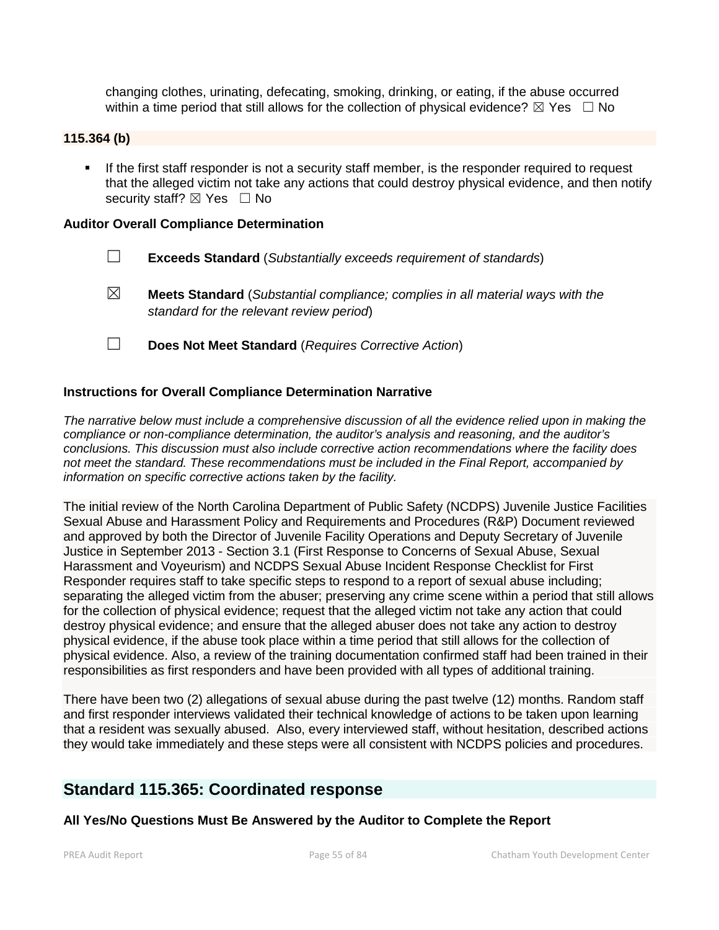changing clothes, urinating, defecating, smoking, drinking, or eating, if the abuse occurred within a time period that still allows for the collection of physical evidence?  $\boxtimes$  Yes  $\Box$  No

# **115.364 (b)**

**If the first staff responder is not a security staff member, is the responder required to request** that the alleged victim not take any actions that could destroy physical evidence, and then notify security staff? ⊠ Yes □ No

#### **Auditor Overall Compliance Determination**

- ☐ **Exceeds Standard** (*Substantially exceeds requirement of standards*)
- ☒ **Meets Standard** (*Substantial compliance; complies in all material ways with the standard for the relevant review period*)
- ☐ **Does Not Meet Standard** (*Requires Corrective Action*)

### **Instructions for Overall Compliance Determination Narrative**

*The narrative below must include a comprehensive discussion of all the evidence relied upon in making the compliance or non-compliance determination, the auditor's analysis and reasoning, and the auditor's conclusions. This discussion must also include corrective action recommendations where the facility does not meet the standard. These recommendations must be included in the Final Report, accompanied by information on specific corrective actions taken by the facility.*

The initial review of the North Carolina Department of Public Safety (NCDPS) Juvenile Justice Facilities Sexual Abuse and Harassment Policy and Requirements and Procedures (R&P) Document reviewed and approved by both the Director of Juvenile Facility Operations and Deputy Secretary of Juvenile Justice in September 2013 - Section 3.1 (First Response to Concerns of Sexual Abuse, Sexual Harassment and Voyeurism) and NCDPS Sexual Abuse Incident Response Checklist for First Responder requires staff to take specific steps to respond to a report of sexual abuse including; separating the alleged victim from the abuser; preserving any crime scene within a period that still allows for the collection of physical evidence; request that the alleged victim not take any action that could destroy physical evidence; and ensure that the alleged abuser does not take any action to destroy physical evidence, if the abuse took place within a time period that still allows for the collection of physical evidence. Also, a review of the training documentation confirmed staff had been trained in their responsibilities as first responders and have been provided with all types of additional training.

There have been two (2) allegations of sexual abuse during the past twelve (12) months. Random staff and first responder interviews validated their technical knowledge of actions to be taken upon learning that a resident was sexually abused. Also, every interviewed staff, without hesitation, described actions they would take immediately and these steps were all consistent with NCDPS policies and procedures.

# **Standard 115.365: Coordinated response**

# **All Yes/No Questions Must Be Answered by the Auditor to Complete the Report**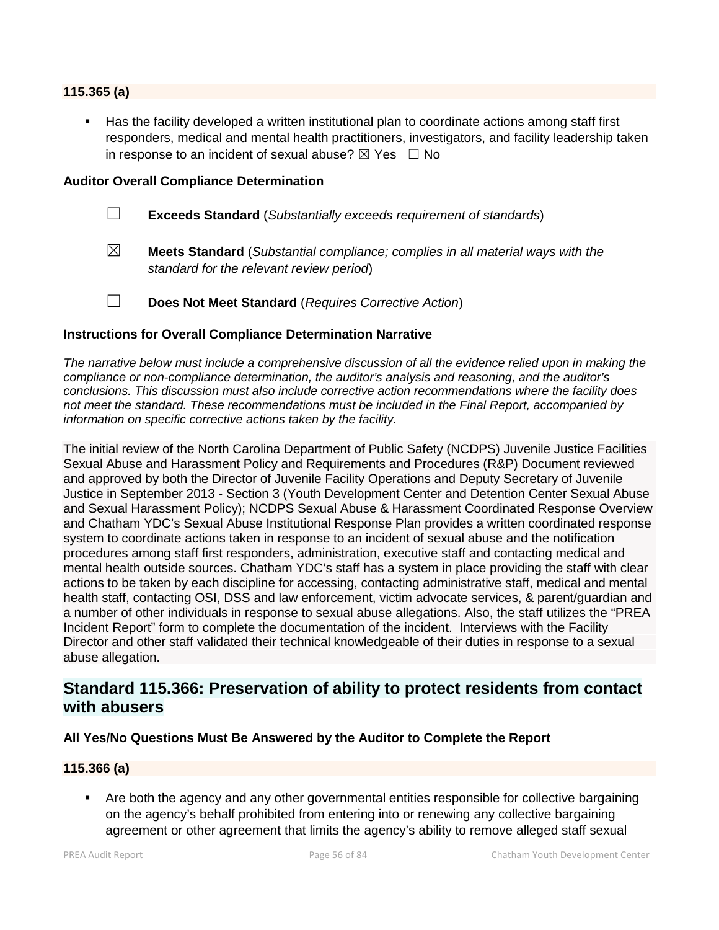#### **115.365 (a)**

 Has the facility developed a written institutional plan to coordinate actions among staff first responders, medical and mental health practitioners, investigators, and facility leadership taken in response to an incident of sexual abuse?  $\boxtimes$  Yes  $\Box$  No

#### **Auditor Overall Compliance Determination**

- ☐ **Exceeds Standard** (*Substantially exceeds requirement of standards*)
- ☒ **Meets Standard** (*Substantial compliance; complies in all material ways with the standard for the relevant review period*)
- ☐ **Does Not Meet Standard** (*Requires Corrective Action*)

#### **Instructions for Overall Compliance Determination Narrative**

*The narrative below must include a comprehensive discussion of all the evidence relied upon in making the compliance or non-compliance determination, the auditor's analysis and reasoning, and the auditor's conclusions. This discussion must also include corrective action recommendations where the facility does not meet the standard. These recommendations must be included in the Final Report, accompanied by information on specific corrective actions taken by the facility.*

The initial review of the North Carolina Department of Public Safety (NCDPS) Juvenile Justice Facilities Sexual Abuse and Harassment Policy and Requirements and Procedures (R&P) Document reviewed and approved by both the Director of Juvenile Facility Operations and Deputy Secretary of Juvenile Justice in September 2013 - Section 3 (Youth Development Center and Detention Center Sexual Abuse and Sexual Harassment Policy); NCDPS Sexual Abuse & Harassment Coordinated Response Overview and Chatham YDC's Sexual Abuse Institutional Response Plan provides a written coordinated response system to coordinate actions taken in response to an incident of sexual abuse and the notification procedures among staff first responders, administration, executive staff and contacting medical and mental health outside sources. Chatham YDC's staff has a system in place providing the staff with clear actions to be taken by each discipline for accessing, contacting administrative staff, medical and mental health staff, contacting OSI, DSS and law enforcement, victim advocate services, & parent/guardian and a number of other individuals in response to sexual abuse allegations. Also, the staff utilizes the "PREA Incident Report" form to complete the documentation of the incident. Interviews with the Facility Director and other staff validated their technical knowledgeable of their duties in response to a sexual abuse allegation.

# **Standard 115.366: Preservation of ability to protect residents from contact with abusers**

#### **All Yes/No Questions Must Be Answered by the Auditor to Complete the Report**

### **115.366 (a)**

 Are both the agency and any other governmental entities responsible for collective bargaining on the agency's behalf prohibited from entering into or renewing any collective bargaining agreement or other agreement that limits the agency's ability to remove alleged staff sexual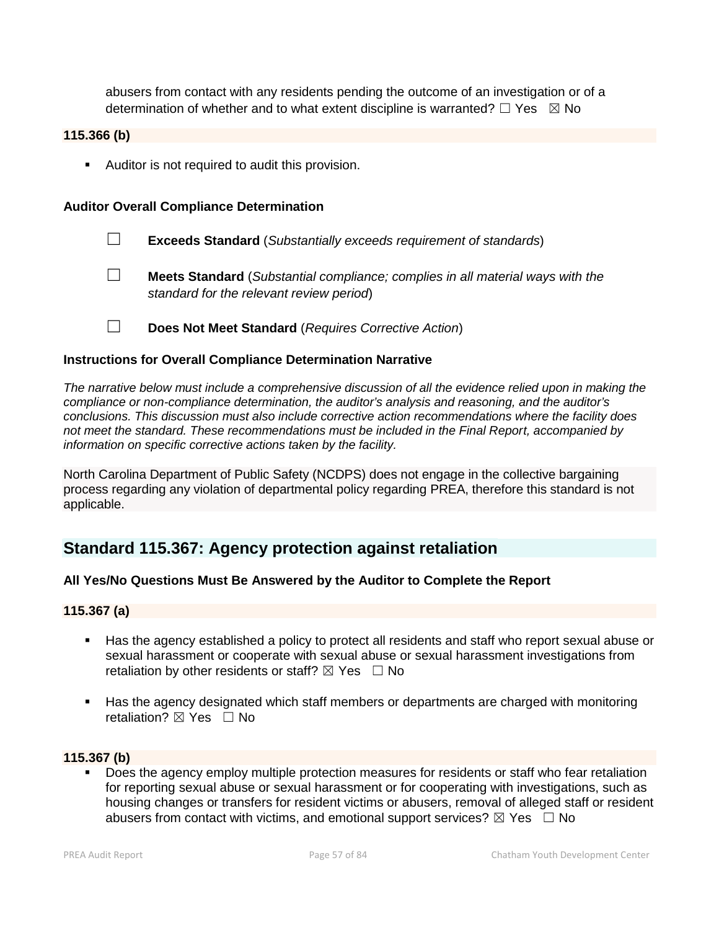abusers from contact with any residents pending the outcome of an investigation or of a determination of whether and to what extent discipline is warranted?  $\Box$  Yes  $\boxtimes$  No

### **115.366 (b)**

**Auditor is not required to audit this provision.** 

#### **Auditor Overall Compliance Determination**

- ☐ **Exceeds Standard** (*Substantially exceeds requirement of standards*)
- ☐ **Meets Standard** (*Substantial compliance; complies in all material ways with the standard for the relevant review period*)
- ☐ **Does Not Meet Standard** (*Requires Corrective Action*)

#### **Instructions for Overall Compliance Determination Narrative**

*The narrative below must include a comprehensive discussion of all the evidence relied upon in making the compliance or non-compliance determination, the auditor's analysis and reasoning, and the auditor's conclusions. This discussion must also include corrective action recommendations where the facility does not meet the standard. These recommendations must be included in the Final Report, accompanied by information on specific corrective actions taken by the facility.*

North Carolina Department of Public Safety (NCDPS) does not engage in the collective bargaining process regarding any violation of departmental policy regarding PREA, therefore this standard is not applicable.

# **Standard 115.367: Agency protection against retaliation**

# **All Yes/No Questions Must Be Answered by the Auditor to Complete the Report**

# **115.367 (a)**

- Has the agency established a policy to protect all residents and staff who report sexual abuse or sexual harassment or cooperate with sexual abuse or sexual harassment investigations from retaliation by other residents or staff?  $\boxtimes$  Yes  $\Box$  No
- Has the agency designated which staff members or departments are charged with monitoring retaliation? **⊠** Yes □ No

# **115.367 (b)**

**Does the agency employ multiple protection measures for residents or staff who fear retaliation** for reporting sexual abuse or sexual harassment or for cooperating with investigations, such as housing changes or transfers for resident victims or abusers, removal of alleged staff or resident abusers from contact with victims, and emotional support services?  $\boxtimes$  Yes  $\Box$  No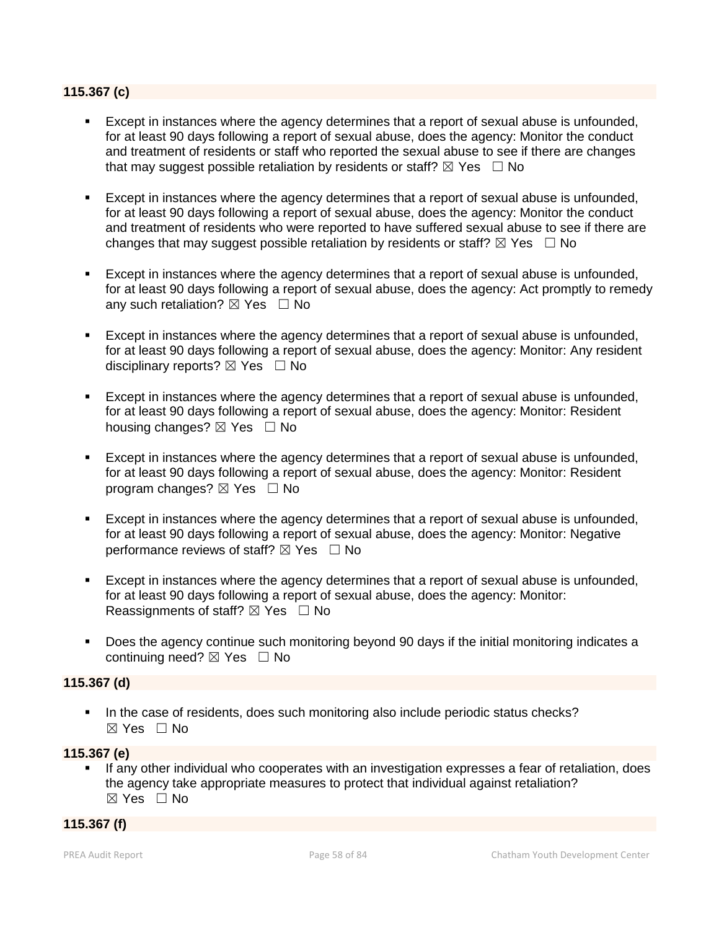#### **115.367 (c)**

- Except in instances where the agency determines that a report of sexual abuse is unfounded, for at least 90 days following a report of sexual abuse, does the agency: Monitor the conduct and treatment of residents or staff who reported the sexual abuse to see if there are changes that may suggest possible retaliation by residents or staff?  $\boxtimes$  Yes  $\Box$  No
- Except in instances where the agency determines that a report of sexual abuse is unfounded, for at least 90 days following a report of sexual abuse, does the agency: Monitor the conduct and treatment of residents who were reported to have suffered sexual abuse to see if there are changes that may suggest possible retaliation by residents or staff?  $\boxtimes$  Yes  $\Box$  No
- Except in instances where the agency determines that a report of sexual abuse is unfounded, for at least 90 days following a report of sexual abuse, does the agency: Act promptly to remedy any such retaliation?  $\boxtimes$  Yes  $\Box$  No
- Except in instances where the agency determines that a report of sexual abuse is unfounded, for at least 90 days following a report of sexual abuse, does the agency: Monitor: Any resident disciplinary reports?  $\boxtimes$  Yes  $\Box$  No
- Except in instances where the agency determines that a report of sexual abuse is unfounded, for at least 90 days following a report of sexual abuse, does the agency: Monitor: Resident housing changes?  $\boxtimes$  Yes  $\Box$  No
- Except in instances where the agency determines that a report of sexual abuse is unfounded, for at least 90 days following a report of sexual abuse, does the agency: Monitor: Resident program changes?  $\boxtimes$  Yes  $\Box$  No
- Except in instances where the agency determines that a report of sexual abuse is unfounded, for at least 90 days following a report of sexual abuse, does the agency: Monitor: Negative performance reviews of staff?  $\boxtimes$  Yes  $\Box$  No
- Except in instances where the agency determines that a report of sexual abuse is unfounded, for at least 90 days following a report of sexual abuse, does the agency: Monitor: Reassignments of staff?  $\boxtimes$  Yes  $\Box$  No
- Does the agency continue such monitoring beyond 90 days if the initial monitoring indicates a continuing need?  $\boxtimes$  Yes  $\Box$  No

#### **115.367 (d)**

In the case of residents, does such monitoring also include periodic status checks? ☒ Yes ☐ No

#### **115.367 (e)**

 If any other individual who cooperates with an investigation expresses a fear of retaliation, does the agency take appropriate measures to protect that individual against retaliation? ☒ Yes ☐ No

#### **115.367 (f)**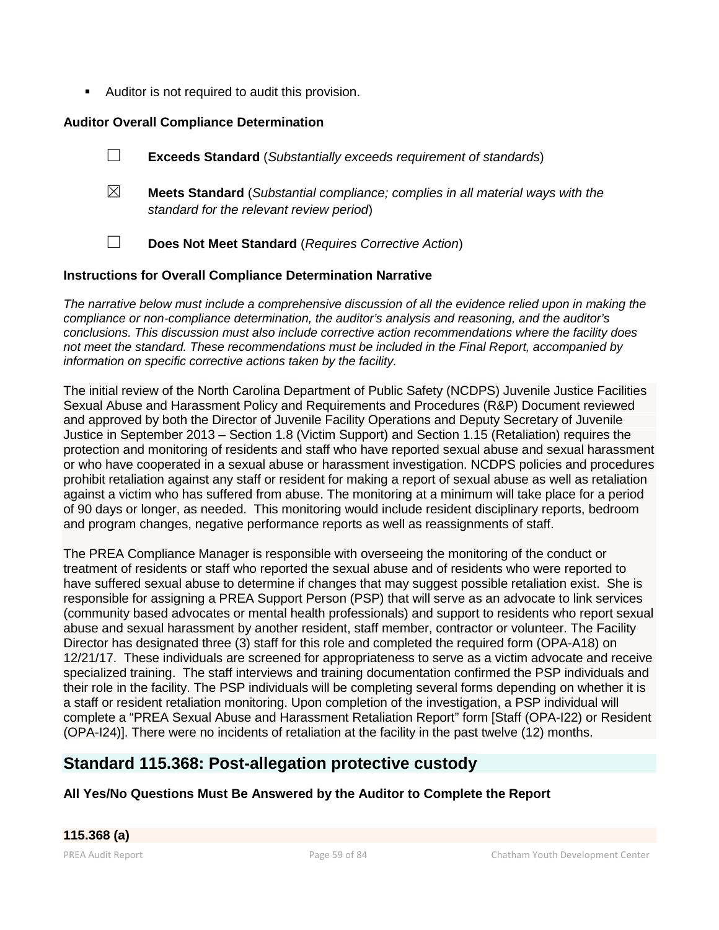Auditor is not required to audit this provision.

# **Auditor Overall Compliance Determination**

- ☐ **Exceeds Standard** (*Substantially exceeds requirement of standards*)
- ☒ **Meets Standard** (*Substantial compliance; complies in all material ways with the standard for the relevant review period*)
- ☐ **Does Not Meet Standard** (*Requires Corrective Action*)

# **Instructions for Overall Compliance Determination Narrative**

*The narrative below must include a comprehensive discussion of all the evidence relied upon in making the compliance or non-compliance determination, the auditor's analysis and reasoning, and the auditor's conclusions. This discussion must also include corrective action recommendations where the facility does not meet the standard. These recommendations must be included in the Final Report, accompanied by information on specific corrective actions taken by the facility.*

The initial review of the North Carolina Department of Public Safety (NCDPS) Juvenile Justice Facilities Sexual Abuse and Harassment Policy and Requirements and Procedures (R&P) Document reviewed and approved by both the Director of Juvenile Facility Operations and Deputy Secretary of Juvenile Justice in September 2013 – Section 1.8 (Victim Support) and Section 1.15 (Retaliation) requires the protection and monitoring of residents and staff who have reported sexual abuse and sexual harassment or who have cooperated in a sexual abuse or harassment investigation. NCDPS policies and procedures prohibit retaliation against any staff or resident for making a report of sexual abuse as well as retaliation against a victim who has suffered from abuse. The monitoring at a minimum will take place for a period of 90 days or longer, as needed. This monitoring would include resident disciplinary reports, bedroom and program changes, negative performance reports as well as reassignments of staff.

The PREA Compliance Manager is responsible with overseeing the monitoring of the conduct or treatment of residents or staff who reported the sexual abuse and of residents who were reported to have suffered sexual abuse to determine if changes that may suggest possible retaliation exist. She is responsible for assigning a PREA Support Person (PSP) that will serve as an advocate to link services (community based advocates or mental health professionals) and support to residents who report sexual abuse and sexual harassment by another resident, staff member, contractor or volunteer. The Facility Director has designated three (3) staff for this role and completed the required form (OPA-A18) on 12/21/17. These individuals are screened for appropriateness to serve as a victim advocate and receive specialized training. The staff interviews and training documentation confirmed the PSP individuals and their role in the facility. The PSP individuals will be completing several forms depending on whether it is a staff or resident retaliation monitoring. Upon completion of the investigation, a PSP individual will complete a "PREA Sexual Abuse and Harassment Retaliation Report" form [Staff (OPA-I22) or Resident (OPA-I24)]. There were no incidents of retaliation at the facility in the past twelve (12) months.

# **Standard 115.368: Post-allegation protective custody**

**All Yes/No Questions Must Be Answered by the Auditor to Complete the Report**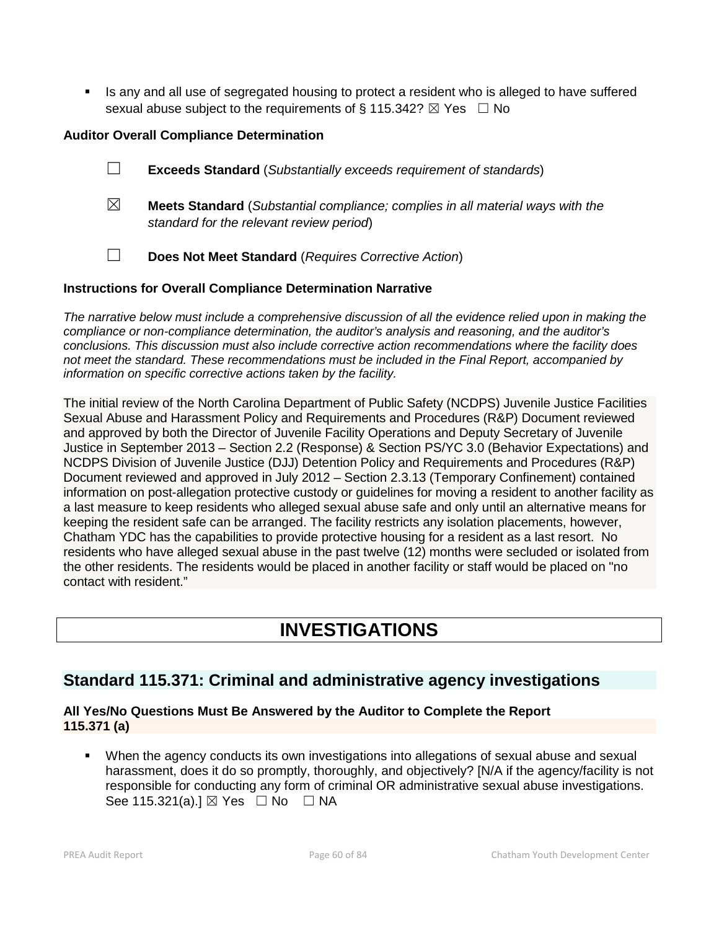Is any and all use of segregated housing to protect a resident who is alleged to have suffered sexual abuse subject to the requirements of § 115.342?  $\boxtimes$  Yes  $\Box$  No

# **Auditor Overall Compliance Determination**

- ☐ **Exceeds Standard** (*Substantially exceeds requirement of standards*)
- ☒ **Meets Standard** (*Substantial compliance; complies in all material ways with the standard for the relevant review period*)
- ☐ **Does Not Meet Standard** (*Requires Corrective Action*)

# **Instructions for Overall Compliance Determination Narrative**

*The narrative below must include a comprehensive discussion of all the evidence relied upon in making the compliance or non-compliance determination, the auditor's analysis and reasoning, and the auditor's conclusions. This discussion must also include corrective action recommendations where the facility does not meet the standard. These recommendations must be included in the Final Report, accompanied by information on specific corrective actions taken by the facility.*

The initial review of the North Carolina Department of Public Safety (NCDPS) Juvenile Justice Facilities Sexual Abuse and Harassment Policy and Requirements and Procedures (R&P) Document reviewed and approved by both the Director of Juvenile Facility Operations and Deputy Secretary of Juvenile Justice in September 2013 – Section 2.2 (Response) & Section PS/YC 3.0 (Behavior Expectations) and NCDPS Division of Juvenile Justice (DJJ) Detention Policy and Requirements and Procedures (R&P) Document reviewed and approved in July 2012 – Section 2.3.13 (Temporary Confinement) contained information on post-allegation protective custody or guidelines for moving a resident to another facility as a last measure to keep residents who alleged sexual abuse safe and only until an alternative means for keeping the resident safe can be arranged. The facility restricts any isolation placements, however, Chatham YDC has the capabilities to provide protective housing for a resident as a last resort. No residents who have alleged sexual abuse in the past twelve (12) months were secluded or isolated from the other residents. The residents would be placed in another facility or staff would be placed on "no contact with resident."

# **INVESTIGATIONS**

# **Standard 115.371: Criminal and administrative agency investigations**

# **All Yes/No Questions Must Be Answered by the Auditor to Complete the Report 115.371 (a)**

 When the agency conducts its own investigations into allegations of sexual abuse and sexual harassment, does it do so promptly, thoroughly, and objectively? [N/A if the agency/facility is not responsible for conducting any form of criminal OR administrative sexual abuse investigations. See 115.321(a).] ⊠ Yes □ No □ NA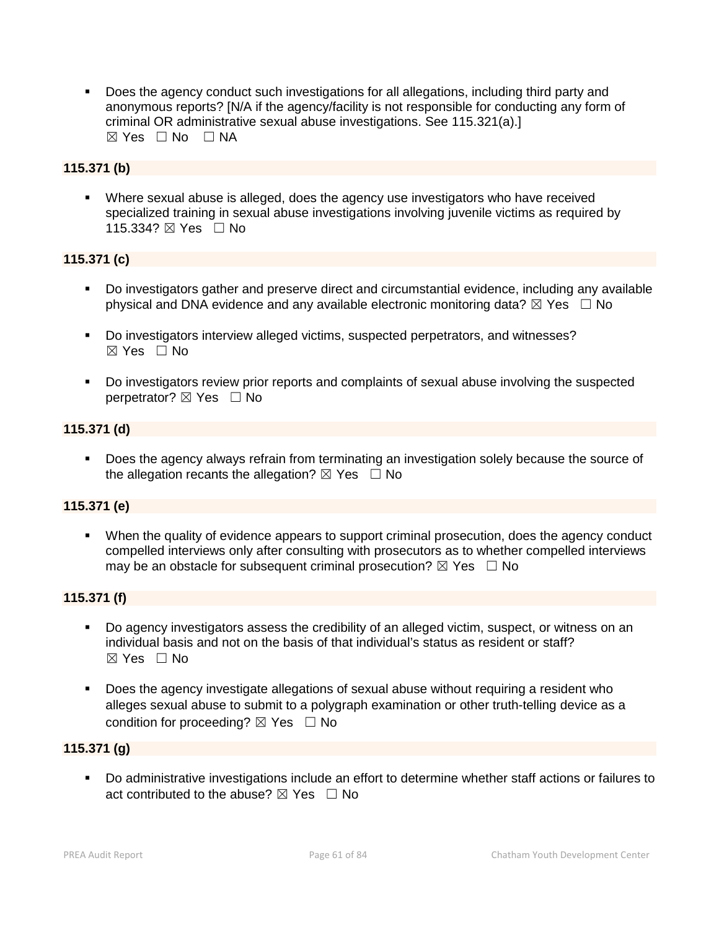Does the agency conduct such investigations for all allegations, including third party and anonymous reports? [N/A if the agency/facility is not responsible for conducting any form of criminal OR administrative sexual abuse investigations. See 115.321(a).]  $⊠ Yes ⊡ No ⊡ NA$ 

# **115.371 (b)**

 Where sexual abuse is alleged, does the agency use investigators who have received specialized training in sexual abuse investigations involving juvenile victims as required by 115.334? ⊠ Yes □ No

# **115.371 (c)**

- Do investigators gather and preserve direct and circumstantial evidence, including any available physical and DNA evidence and any available electronic monitoring data?  $\boxtimes$  Yes  $\Box$  No
- Do investigators interview alleged victims, suspected perpetrators, and witnesses?  $\boxtimes$  Yes  $\Box$  No
- Do investigators review prior reports and complaints of sexual abuse involving the suspected perpetrator? ⊠ Yes □ No

# **115.371 (d)**

**Does the agency always refrain from terminating an investigation solely because the source of** the allegation recants the allegation?  $\boxtimes$  Yes  $\Box$  No

# **115.371 (e)**

 When the quality of evidence appears to support criminal prosecution, does the agency conduct compelled interviews only after consulting with prosecutors as to whether compelled interviews may be an obstacle for subsequent criminal prosecution?  $\boxtimes$  Yes  $\Box$  No

# **115.371 (f)**

- Do agency investigators assess the credibility of an alleged victim, suspect, or witness on an individual basis and not on the basis of that individual's status as resident or staff?  $\boxtimes$  Yes  $\Box$  No
- **Does the agency investigate allegations of sexual abuse without requiring a resident who** alleges sexual abuse to submit to a polygraph examination or other truth-telling device as a condition for proceeding?  $\boxtimes$  Yes  $\Box$  No

### **115.371 (g)**

 Do administrative investigations include an effort to determine whether staff actions or failures to act contributed to the abuse?  $\boxtimes$  Yes  $\Box$  No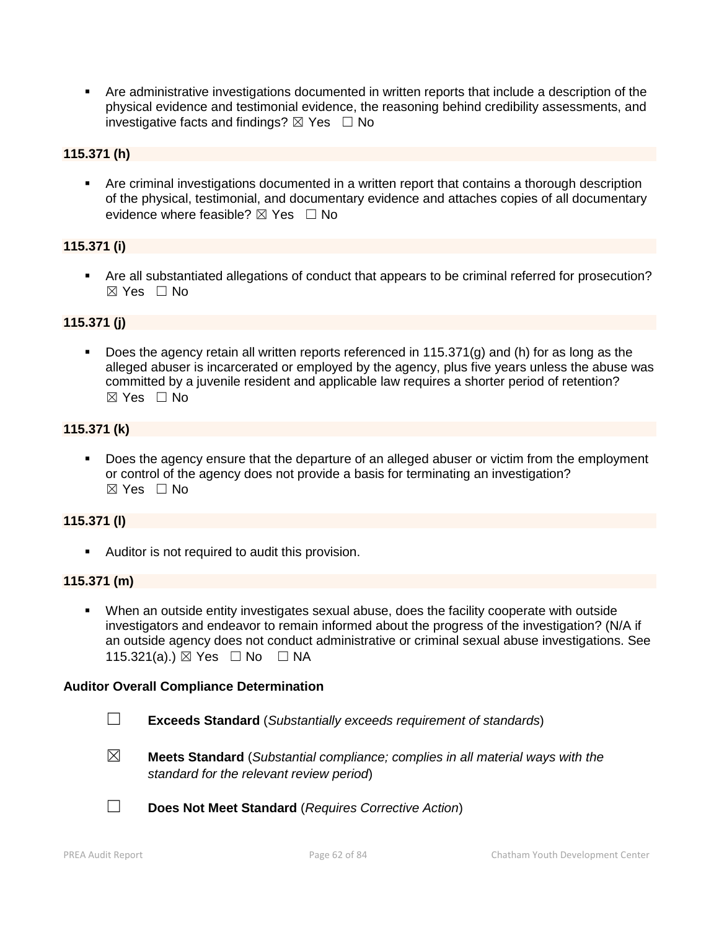Are administrative investigations documented in written reports that include a description of the physical evidence and testimonial evidence, the reasoning behind credibility assessments, and investigative facts and findings?  $\boxtimes$  Yes  $\Box$  No

# **115.371 (h)**

 Are criminal investigations documented in a written report that contains a thorough description of the physical, testimonial, and documentary evidence and attaches copies of all documentary evidence where feasible?  $\boxtimes$  Yes  $\Box$  No

# **115.371 (i)**

 Are all substantiated allegations of conduct that appears to be criminal referred for prosecution?  $\boxtimes$  Yes  $\Box$  No

# **115.371 (j)**

 Does the agency retain all written reports referenced in 115.371(g) and (h) for as long as the alleged abuser is incarcerated or employed by the agency, plus five years unless the abuse was committed by a juvenile resident and applicable law requires a shorter period of retention?  $\boxtimes$  Yes  $\Box$  No

# **115.371 (k)**

 Does the agency ensure that the departure of an alleged abuser or victim from the employment or control of the agency does not provide a basis for terminating an investigation?  $\boxtimes$  Yes  $\Box$  No

#### **115.371 (l)**

**Auditor is not required to audit this provision.** 

#### **115.371 (m)**

 When an outside entity investigates sexual abuse, does the facility cooperate with outside investigators and endeavor to remain informed about the progress of the investigation? (N/A if an outside agency does not conduct administrative or criminal sexual abuse investigations. See 115.321(a).)  $\boxtimes$  Yes  $\Box$  No  $\Box$  NA

#### **Auditor Overall Compliance Determination**

- ☐ **Exceeds Standard** (*Substantially exceeds requirement of standards*)
- ☒ **Meets Standard** (*Substantial compliance; complies in all material ways with the standard for the relevant review period*)
- ☐ **Does Not Meet Standard** (*Requires Corrective Action*)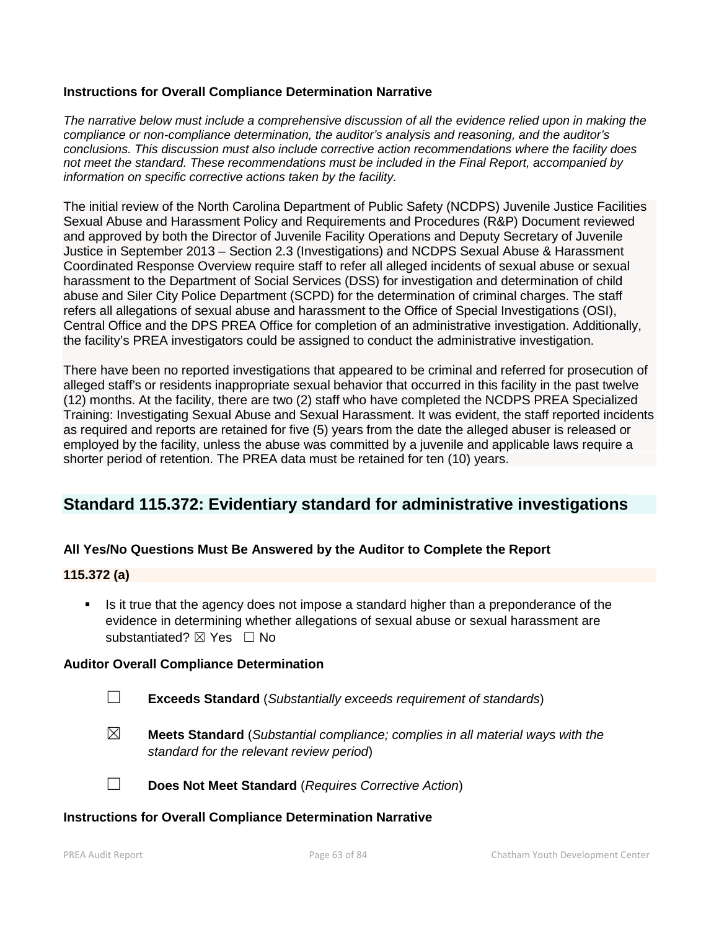### **Instructions for Overall Compliance Determination Narrative**

*The narrative below must include a comprehensive discussion of all the evidence relied upon in making the compliance or non-compliance determination, the auditor's analysis and reasoning, and the auditor's conclusions. This discussion must also include corrective action recommendations where the facility does not meet the standard. These recommendations must be included in the Final Report, accompanied by information on specific corrective actions taken by the facility.*

The initial review of the North Carolina Department of Public Safety (NCDPS) Juvenile Justice Facilities Sexual Abuse and Harassment Policy and Requirements and Procedures (R&P) Document reviewed and approved by both the Director of Juvenile Facility Operations and Deputy Secretary of Juvenile Justice in September 2013 – Section 2.3 (Investigations) and NCDPS Sexual Abuse & Harassment Coordinated Response Overview require staff to refer all alleged incidents of sexual abuse or sexual harassment to the Department of Social Services (DSS) for investigation and determination of child abuse and Siler City Police Department (SCPD) for the determination of criminal charges. The staff refers all allegations of sexual abuse and harassment to the Office of Special Investigations (OSI), Central Office and the DPS PREA Office for completion of an administrative investigation. Additionally, the facility's PREA investigators could be assigned to conduct the administrative investigation.

There have been no reported investigations that appeared to be criminal and referred for prosecution of alleged staff's or residents inappropriate sexual behavior that occurred in this facility in the past twelve (12) months. At the facility, there are two (2) staff who have completed the NCDPS PREA Specialized Training: Investigating Sexual Abuse and Sexual Harassment. It was evident, the staff reported incidents as required and reports are retained for five (5) years from the date the alleged abuser is released or employed by the facility, unless the abuse was committed by a juvenile and applicable laws require a shorter period of retention. The PREA data must be retained for ten (10) years.

# **Standard 115.372: Evidentiary standard for administrative investigations**

# **All Yes/No Questions Must Be Answered by the Auditor to Complete the Report**

#### **115.372 (a)**

 Is it true that the agency does not impose a standard higher than a preponderance of the evidence in determining whether allegations of sexual abuse or sexual harassment are substantiated? **⊠** Yes □ No

#### **Auditor Overall Compliance Determination**

- ☐ **Exceeds Standard** (*Substantially exceeds requirement of standards*)
- ☒ **Meets Standard** (*Substantial compliance; complies in all material ways with the standard for the relevant review period*)

☐ **Does Not Meet Standard** (*Requires Corrective Action*)

#### **Instructions for Overall Compliance Determination Narrative**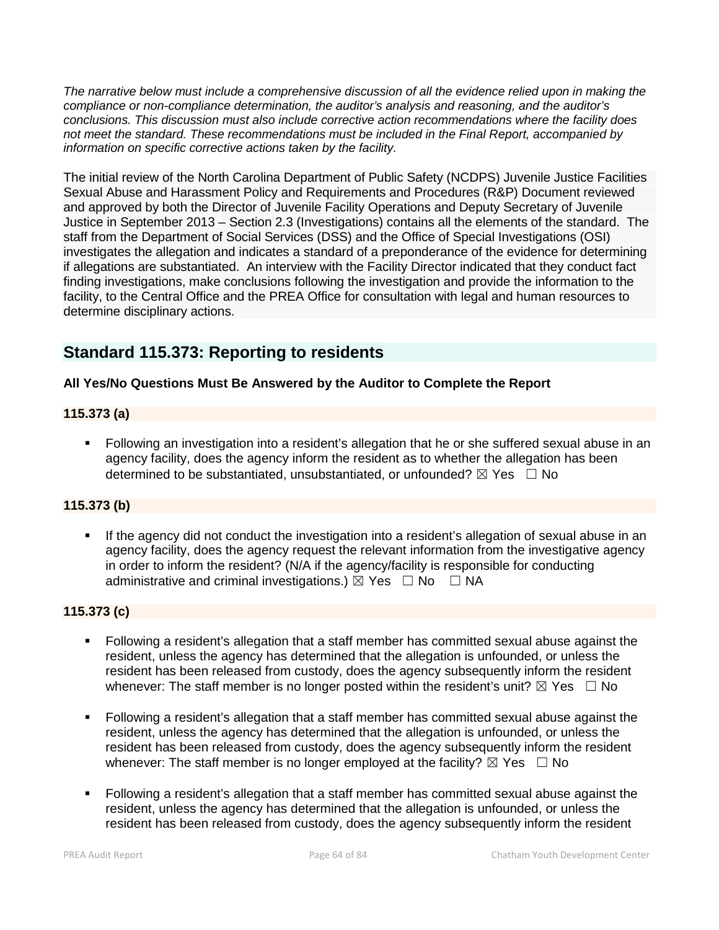*The narrative below must include a comprehensive discussion of all the evidence relied upon in making the compliance or non-compliance determination, the auditor's analysis and reasoning, and the auditor's conclusions. This discussion must also include corrective action recommendations where the facility does not meet the standard. These recommendations must be included in the Final Report, accompanied by information on specific corrective actions taken by the facility.*

The initial review of the North Carolina Department of Public Safety (NCDPS) Juvenile Justice Facilities Sexual Abuse and Harassment Policy and Requirements and Procedures (R&P) Document reviewed and approved by both the Director of Juvenile Facility Operations and Deputy Secretary of Juvenile Justice in September 2013 – Section 2.3 (Investigations) contains all the elements of the standard. The staff from the Department of Social Services (DSS) and the Office of Special Investigations (OSI) investigates the allegation and indicates a standard of a preponderance of the evidence for determining if allegations are substantiated. An interview with the Facility Director indicated that they conduct fact finding investigations, make conclusions following the investigation and provide the information to the facility, to the Central Office and the PREA Office for consultation with legal and human resources to determine disciplinary actions.

# **Standard 115.373: Reporting to residents**

# **All Yes/No Questions Must Be Answered by the Auditor to Complete the Report**

# **115.373 (a)**

 Following an investigation into a resident's allegation that he or she suffered sexual abuse in an agency facility, does the agency inform the resident as to whether the allegation has been determined to be substantiated, unsubstantiated, or unfounded?  $\boxtimes$  Yes  $\Box$  No

# **115.373 (b)**

 If the agency did not conduct the investigation into a resident's allegation of sexual abuse in an agency facility, does the agency request the relevant information from the investigative agency in order to inform the resident? (N/A if the agency/facility is responsible for conducting administrative and criminal investigations.)  $\boxtimes$  Yes  $\Box$  No  $\Box$  NA

# **115.373 (c)**

- Following a resident's allegation that a staff member has committed sexual abuse against the resident, unless the agency has determined that the allegation is unfounded, or unless the resident has been released from custody, does the agency subsequently inform the resident whenever: The staff member is no longer posted within the resident's unit?  $\boxtimes$  Yes  $\Box$  No
- Following a resident's allegation that a staff member has committed sexual abuse against the resident, unless the agency has determined that the allegation is unfounded, or unless the resident has been released from custody, does the agency subsequently inform the resident whenever: The staff member is no longer employed at the facility?  $\boxtimes$  Yes  $\Box$  No
- Following a resident's allegation that a staff member has committed sexual abuse against the resident, unless the agency has determined that the allegation is unfounded, or unless the resident has been released from custody, does the agency subsequently inform the resident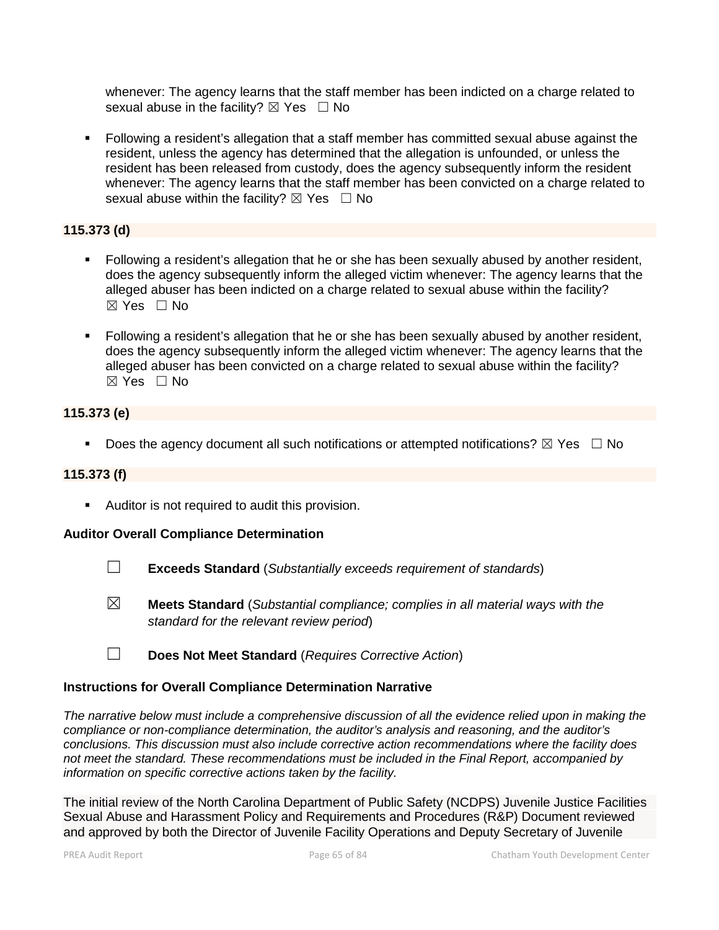whenever: The agency learns that the staff member has been indicted on a charge related to sexual abuse in the facility?  $\boxtimes$  Yes  $\Box$  No

 Following a resident's allegation that a staff member has committed sexual abuse against the resident, unless the agency has determined that the allegation is unfounded, or unless the resident has been released from custody, does the agency subsequently inform the resident whenever: The agency learns that the staff member has been convicted on a charge related to sexual abuse within the facility?  $\boxtimes$  Yes  $\Box$  No

# **115.373 (d)**

- Following a resident's allegation that he or she has been sexually abused by another resident, does the agency subsequently inform the alleged victim whenever: The agency learns that the alleged abuser has been indicted on a charge related to sexual abuse within the facility? ☒ Yes ☐ No
- Following a resident's allegation that he or she has been sexually abused by another resident, does the agency subsequently inform the alleged victim whenever: The agency learns that the alleged abuser has been convicted on a charge related to sexual abuse within the facility? ☒ Yes ☐ No

# **115.373 (e)**

Does the agency document all such notifications or attempted notifications?  $\boxtimes$  Yes  $\Box$  No

# **115.373 (f)**

**Auditor is not required to audit this provision.** 

# **Auditor Overall Compliance Determination**

- ☐ **Exceeds Standard** (*Substantially exceeds requirement of standards*)
- ☒ **Meets Standard** (*Substantial compliance; complies in all material ways with the standard for the relevant review period*)
- ☐ **Does Not Meet Standard** (*Requires Corrective Action*)

# **Instructions for Overall Compliance Determination Narrative**

*The narrative below must include a comprehensive discussion of all the evidence relied upon in making the compliance or non-compliance determination, the auditor's analysis and reasoning, and the auditor's conclusions. This discussion must also include corrective action recommendations where the facility does not meet the standard. These recommendations must be included in the Final Report, accompanied by information on specific corrective actions taken by the facility.*

The initial review of the North Carolina Department of Public Safety (NCDPS) Juvenile Justice Facilities Sexual Abuse and Harassment Policy and Requirements and Procedures (R&P) Document reviewed and approved by both the Director of Juvenile Facility Operations and Deputy Secretary of Juvenile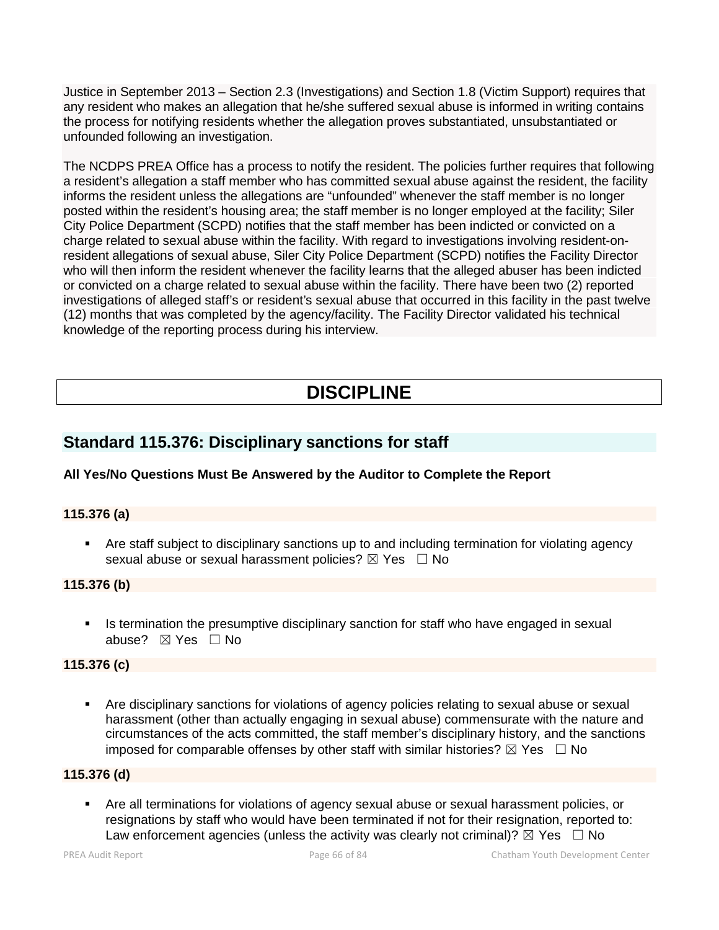Justice in September 2013 – Section 2.3 (Investigations) and Section 1.8 (Victim Support) requires that any resident who makes an allegation that he/she suffered sexual abuse is informed in writing contains the process for notifying residents whether the allegation proves substantiated, unsubstantiated or unfounded following an investigation.

The NCDPS PREA Office has a process to notify the resident. The policies further requires that following a resident's allegation a staff member who has committed sexual abuse against the resident, the facility informs the resident unless the allegations are "unfounded" whenever the staff member is no longer posted within the resident's housing area; the staff member is no longer employed at the facility; Siler City Police Department (SCPD) notifies that the staff member has been indicted or convicted on a charge related to sexual abuse within the facility. With regard to investigations involving resident-onresident allegations of sexual abuse, Siler City Police Department (SCPD) notifies the Facility Director who will then inform the resident whenever the facility learns that the alleged abuser has been indicted or convicted on a charge related to sexual abuse within the facility. There have been two (2) reported investigations of alleged staff's or resident's sexual abuse that occurred in this facility in the past twelve (12) months that was completed by the agency/facility. The Facility Director validated his technical knowledge of the reporting process during his interview.

# **DISCIPLINE**

# **Standard 115.376: Disciplinary sanctions for staff**

# **All Yes/No Questions Must Be Answered by the Auditor to Complete the Report**

# **115.376 (a)**

 Are staff subject to disciplinary sanctions up to and including termination for violating agency sexual abuse or sexual harassment policies?  $\boxtimes$  Yes  $\Box$  No

# **115.376 (b)**

Is termination the presumptive disciplinary sanction for staff who have engaged in sexual abuse? ☒ Yes ☐ No

# **115.376 (c)**

 Are disciplinary sanctions for violations of agency policies relating to sexual abuse or sexual harassment (other than actually engaging in sexual abuse) commensurate with the nature and circumstances of the acts committed, the staff member's disciplinary history, and the sanctions imposed for comparable offenses by other staff with similar histories?  $\boxtimes$  Yes  $\Box$  No

# **115.376 (d)**

 Are all terminations for violations of agency sexual abuse or sexual harassment policies, or resignations by staff who would have been terminated if not for their resignation, reported to: Law enforcement agencies (unless the activity was clearly not criminal)?  $\boxtimes$  Yes  $\Box$  No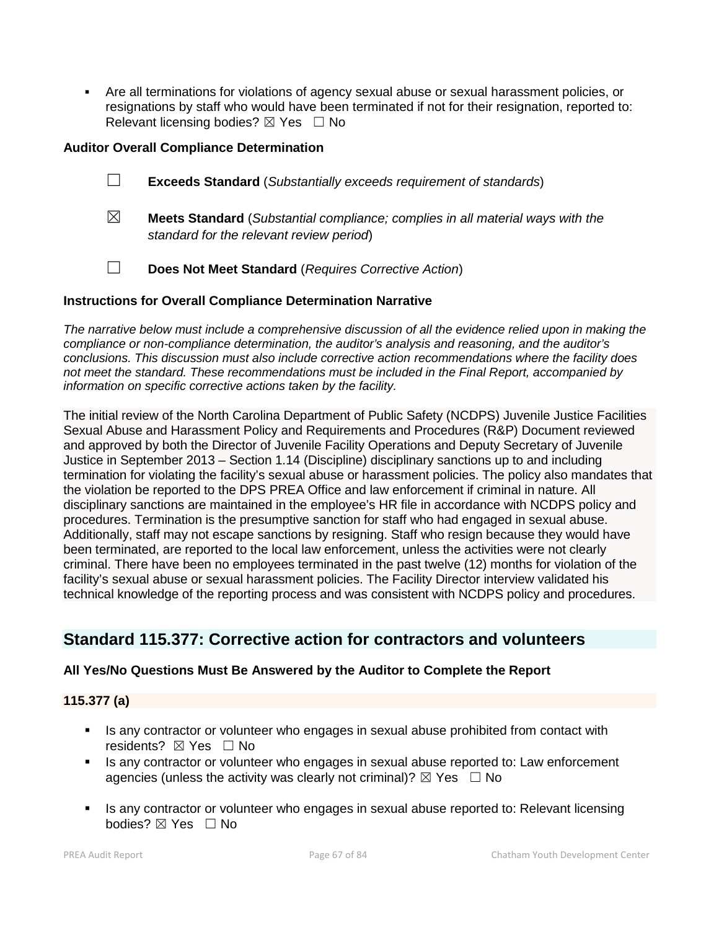Are all terminations for violations of agency sexual abuse or sexual harassment policies, or resignations by staff who would have been terminated if not for their resignation, reported to: Relevant licensing bodies?  $\boxtimes$  Yes  $\Box$  No

### **Auditor Overall Compliance Determination**

- ☐ **Exceeds Standard** (*Substantially exceeds requirement of standards*)
- ☒ **Meets Standard** (*Substantial compliance; complies in all material ways with the standard for the relevant review period*)
- ☐ **Does Not Meet Standard** (*Requires Corrective Action*)

#### **Instructions for Overall Compliance Determination Narrative**

*The narrative below must include a comprehensive discussion of all the evidence relied upon in making the compliance or non-compliance determination, the auditor's analysis and reasoning, and the auditor's conclusions. This discussion must also include corrective action recommendations where the facility does not meet the standard. These recommendations must be included in the Final Report, accompanied by information on specific corrective actions taken by the facility.*

The initial review of the North Carolina Department of Public Safety (NCDPS) Juvenile Justice Facilities Sexual Abuse and Harassment Policy and Requirements and Procedures (R&P) Document reviewed and approved by both the Director of Juvenile Facility Operations and Deputy Secretary of Juvenile Justice in September 2013 – Section 1.14 (Discipline) disciplinary sanctions up to and including termination for violating the facility's sexual abuse or harassment policies. The policy also mandates that the violation be reported to the DPS PREA Office and law enforcement if criminal in nature. All disciplinary sanctions are maintained in the employee's HR file in accordance with NCDPS policy and procedures. Termination is the presumptive sanction for staff who had engaged in sexual abuse. Additionally, staff may not escape sanctions by resigning. Staff who resign because they would have been terminated, are reported to the local law enforcement, unless the activities were not clearly criminal. There have been no employees terminated in the past twelve (12) months for violation of the facility's sexual abuse or sexual harassment policies. The Facility Director interview validated his technical knowledge of the reporting process and was consistent with NCDPS policy and procedures.

# **Standard 115.377: Corrective action for contractors and volunteers**

#### **All Yes/No Questions Must Be Answered by the Auditor to Complete the Report**

#### **115.377 (a)**

- Is any contractor or volunteer who engages in sexual abuse prohibited from contact with residents? ⊠ Yes □ No
- Is any contractor or volunteer who engages in sexual abuse reported to: Law enforcement agencies (unless the activity was clearly not criminal)?  $\boxtimes$  Yes  $\Box$  No
- Is any contractor or volunteer who engages in sexual abuse reported to: Relevant licensing bodies? ⊠ Yes □ No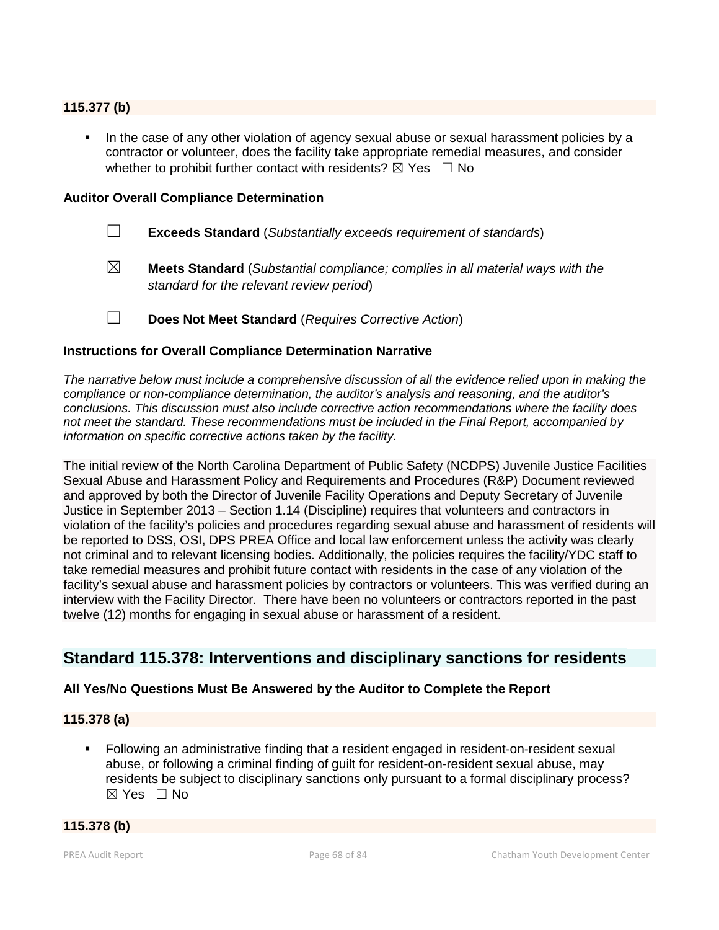### **115.377 (b)**

In the case of any other violation of agency sexual abuse or sexual harassment policies by a contractor or volunteer, does the facility take appropriate remedial measures, and consider whether to prohibit further contact with residents?  $\boxtimes$  Yes  $\Box$  No

#### **Auditor Overall Compliance Determination**

- ☐ **Exceeds Standard** (*Substantially exceeds requirement of standards*)
- ☒ **Meets Standard** (*Substantial compliance; complies in all material ways with the standard for the relevant review period*)
- ☐ **Does Not Meet Standard** (*Requires Corrective Action*)

#### **Instructions for Overall Compliance Determination Narrative**

*The narrative below must include a comprehensive discussion of all the evidence relied upon in making the compliance or non-compliance determination, the auditor's analysis and reasoning, and the auditor's conclusions. This discussion must also include corrective action recommendations where the facility does not meet the standard. These recommendations must be included in the Final Report, accompanied by information on specific corrective actions taken by the facility.*

The initial review of the North Carolina Department of Public Safety (NCDPS) Juvenile Justice Facilities Sexual Abuse and Harassment Policy and Requirements and Procedures (R&P) Document reviewed and approved by both the Director of Juvenile Facility Operations and Deputy Secretary of Juvenile Justice in September 2013 – Section 1.14 (Discipline) requires that volunteers and contractors in violation of the facility's policies and procedures regarding sexual abuse and harassment of residents will be reported to DSS, OSI, DPS PREA Office and local law enforcement unless the activity was clearly not criminal and to relevant licensing bodies. Additionally, the policies requires the facility/YDC staff to take remedial measures and prohibit future contact with residents in the case of any violation of the facility's sexual abuse and harassment policies by contractors or volunteers. This was verified during an interview with the Facility Director. There have been no volunteers or contractors reported in the past twelve (12) months for engaging in sexual abuse or harassment of a resident.

# **Standard 115.378: Interventions and disciplinary sanctions for residents**

#### **All Yes/No Questions Must Be Answered by the Auditor to Complete the Report**

#### **115.378 (a)**

 Following an administrative finding that a resident engaged in resident-on-resident sexual abuse, or following a criminal finding of guilt for resident-on-resident sexual abuse, may residents be subject to disciplinary sanctions only pursuant to a formal disciplinary process? ☒ Yes ☐ No

### **115.378 (b)**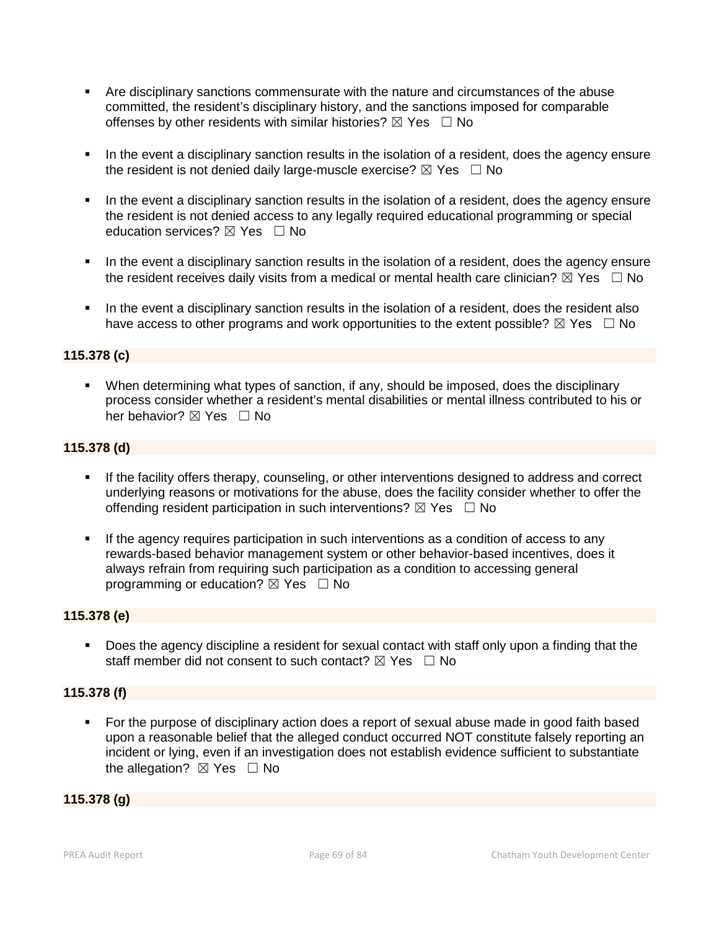- Are disciplinary sanctions commensurate with the nature and circumstances of the abuse committed, the resident's disciplinary history, and the sanctions imposed for comparable offenses by other residents with similar histories?  $\boxtimes$  Yes  $\Box$  No
- In the event a disciplinary sanction results in the isolation of a resident, does the agency ensure the resident is not denied daily large-muscle exercise?  $\boxtimes$  Yes  $\Box$  No
- In the event a disciplinary sanction results in the isolation of a resident, does the agency ensure the resident is not denied access to any legally required educational programming or special education services?  $\boxtimes$  Yes  $\Box$  No
- In the event a disciplinary sanction results in the isolation of a resident, does the agency ensure the resident receives daily visits from a medical or mental health care clinician?  $\boxtimes$  Yes  $\Box$  No
- In the event a disciplinary sanction results in the isolation of a resident, does the resident also have access to other programs and work opportunities to the extent possible?  $\boxtimes$  Yes  $\Box$  No

### **115.378 (c)**

 When determining what types of sanction, if any, should be imposed, does the disciplinary process consider whether a resident's mental disabilities or mental illness contributed to his or her behavior?  $\boxtimes$  Yes  $\Box$  No

# **115.378 (d)**

- If the facility offers therapy, counseling, or other interventions designed to address and correct underlying reasons or motivations for the abuse, does the facility consider whether to offer the offending resident participation in such interventions?  $\boxtimes$  Yes  $\Box$  No
- If the agency requires participation in such interventions as a condition of access to any rewards-based behavior management system or other behavior-based incentives, does it always refrain from requiring such participation as a condition to accessing general programming or education?  $\boxtimes$  Yes  $\Box$  No

#### **115.378 (e)**

 Does the agency discipline a resident for sexual contact with staff only upon a finding that the staff member did not consent to such contact?  $\boxtimes$  Yes  $\Box$  No

#### **115.378 (f)**

 For the purpose of disciplinary action does a report of sexual abuse made in good faith based upon a reasonable belief that the alleged conduct occurred NOT constitute falsely reporting an incident or lying, even if an investigation does not establish evidence sufficient to substantiate the allegation?  $\boxtimes$  Yes  $\Box$  No

#### **115.378 (g)**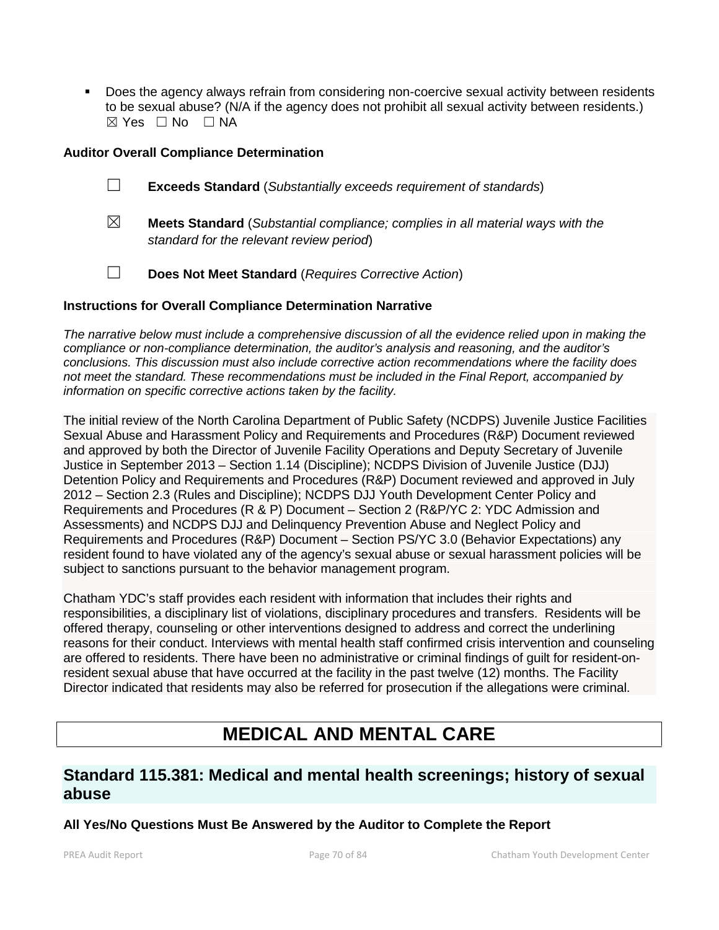Does the agency always refrain from considering non-coercive sexual activity between residents to be sexual abuse? (N/A if the agency does not prohibit all sexual activity between residents.)  $\boxtimes$  Yes  $\Box$  No  $\Box$  NA

# **Auditor Overall Compliance Determination**

- ☐ **Exceeds Standard** (*Substantially exceeds requirement of standards*)
- ☒ **Meets Standard** (*Substantial compliance; complies in all material ways with the standard for the relevant review period*)
- ☐ **Does Not Meet Standard** (*Requires Corrective Action*)

### **Instructions for Overall Compliance Determination Narrative**

*The narrative below must include a comprehensive discussion of all the evidence relied upon in making the compliance or non-compliance determination, the auditor's analysis and reasoning, and the auditor's conclusions. This discussion must also include corrective action recommendations where the facility does not meet the standard. These recommendations must be included in the Final Report, accompanied by information on specific corrective actions taken by the facility.*

The initial review of the North Carolina Department of Public Safety (NCDPS) Juvenile Justice Facilities Sexual Abuse and Harassment Policy and Requirements and Procedures (R&P) Document reviewed and approved by both the Director of Juvenile Facility Operations and Deputy Secretary of Juvenile Justice in September 2013 – Section 1.14 (Discipline); NCDPS Division of Juvenile Justice (DJJ) Detention Policy and Requirements and Procedures (R&P) Document reviewed and approved in July 2012 – Section 2.3 (Rules and Discipline); NCDPS DJJ Youth Development Center Policy and Requirements and Procedures (R & P) Document – Section 2 (R&P/YC 2: YDC Admission and Assessments) and NCDPS DJJ and Delinquency Prevention Abuse and Neglect Policy and Requirements and Procedures (R&P) Document – Section PS/YC 3.0 (Behavior Expectations) any resident found to have violated any of the agency's sexual abuse or sexual harassment policies will be subject to sanctions pursuant to the behavior management program.

Chatham YDC's staff provides each resident with information that includes their rights and responsibilities, a disciplinary list of violations, disciplinary procedures and transfers. Residents will be offered therapy, counseling or other interventions designed to address and correct the underlining reasons for their conduct. Interviews with mental health staff confirmed crisis intervention and counseling are offered to residents. There have been no administrative or criminal findings of guilt for resident-onresident sexual abuse that have occurred at the facility in the past twelve (12) months. The Facility Director indicated that residents may also be referred for prosecution if the allegations were criminal.

# **MEDICAL AND MENTAL CARE**

# **Standard 115.381: Medical and mental health screenings; history of sexual abuse**

**All Yes/No Questions Must Be Answered by the Auditor to Complete the Report**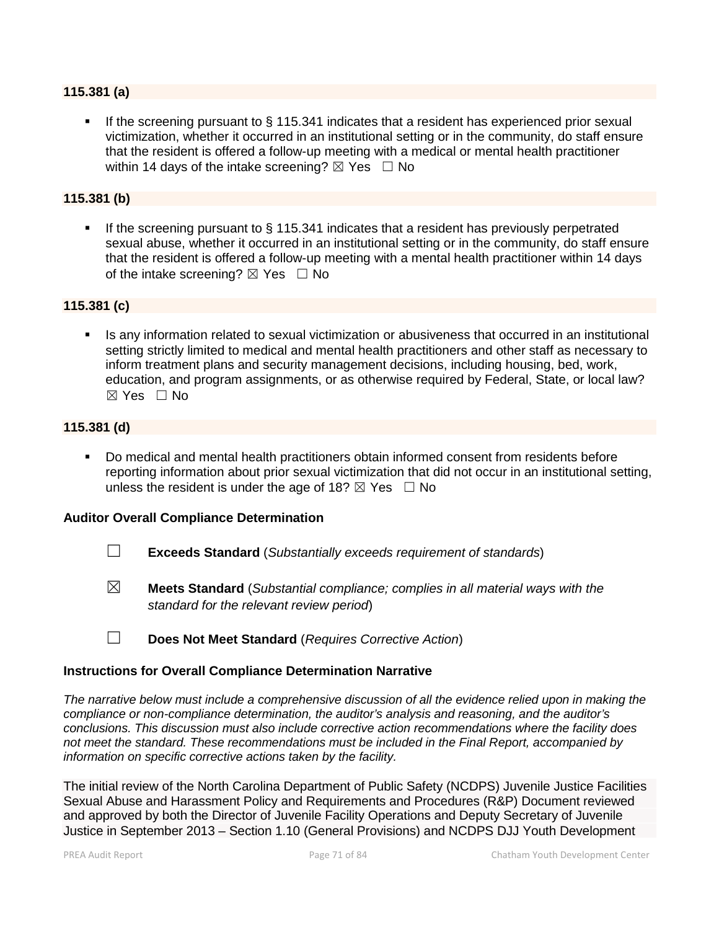#### **115.381 (a)**

 If the screening pursuant to § 115.341 indicates that a resident has experienced prior sexual victimization, whether it occurred in an institutional setting or in the community, do staff ensure that the resident is offered a follow-up meeting with a medical or mental health practitioner within 14 days of the intake screening?  $\boxtimes$  Yes  $\Box$  No

#### **115.381 (b)**

If the screening pursuant to  $\S$  115.341 indicates that a resident has previously perpetrated sexual abuse, whether it occurred in an institutional setting or in the community, do staff ensure that the resident is offered a follow-up meeting with a mental health practitioner within 14 days of the intake screening?  $\boxtimes$  Yes  $\Box$  No

#### **115.381 (c)**

 Is any information related to sexual victimization or abusiveness that occurred in an institutional setting strictly limited to medical and mental health practitioners and other staff as necessary to inform treatment plans and security management decisions, including housing, bed, work, education, and program assignments, or as otherwise required by Federal, State, or local law?  $\boxtimes$  Yes  $\Box$  No

### **115.381 (d)**

 Do medical and mental health practitioners obtain informed consent from residents before reporting information about prior sexual victimization that did not occur in an institutional setting, unless the resident is under the age of 18?  $\boxtimes$  Yes  $\Box$  No

#### **Auditor Overall Compliance Determination**

- ☐ **Exceeds Standard** (*Substantially exceeds requirement of standards*)
- ☒ **Meets Standard** (*Substantial compliance; complies in all material ways with the standard for the relevant review period*)

☐ **Does Not Meet Standard** (*Requires Corrective Action*)

# **Instructions for Overall Compliance Determination Narrative**

*The narrative below must include a comprehensive discussion of all the evidence relied upon in making the compliance or non-compliance determination, the auditor's analysis and reasoning, and the auditor's conclusions. This discussion must also include corrective action recommendations where the facility does not meet the standard. These recommendations must be included in the Final Report, accompanied by information on specific corrective actions taken by the facility.*

The initial review of the North Carolina Department of Public Safety (NCDPS) Juvenile Justice Facilities Sexual Abuse and Harassment Policy and Requirements and Procedures (R&P) Document reviewed and approved by both the Director of Juvenile Facility Operations and Deputy Secretary of Juvenile Justice in September 2013 – Section 1.10 (General Provisions) and NCDPS DJJ Youth Development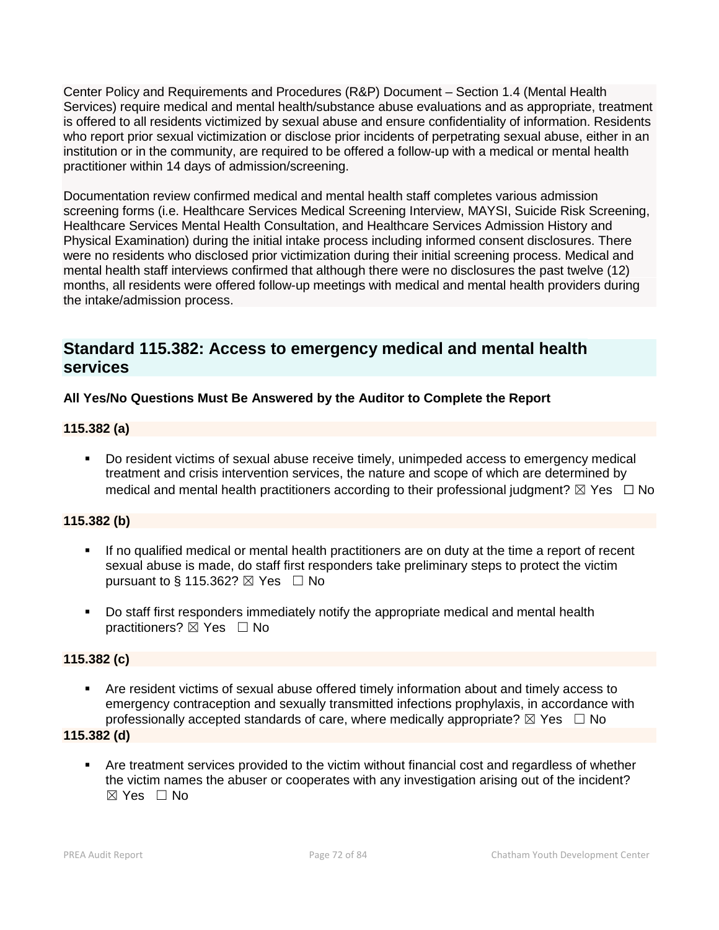Center Policy and Requirements and Procedures (R&P) Document – Section 1.4 (Mental Health Services) require medical and mental health/substance abuse evaluations and as appropriate, treatment is offered to all residents victimized by sexual abuse and ensure confidentiality of information. Residents who report prior sexual victimization or disclose prior incidents of perpetrating sexual abuse, either in an institution or in the community, are required to be offered a follow-up with a medical or mental health practitioner within 14 days of admission/screening.

Documentation review confirmed medical and mental health staff completes various admission screening forms (i.e. Healthcare Services Medical Screening Interview, MAYSI, Suicide Risk Screening, Healthcare Services Mental Health Consultation, and Healthcare Services Admission History and Physical Examination) during the initial intake process including informed consent disclosures. There were no residents who disclosed prior victimization during their initial screening process. Medical and mental health staff interviews confirmed that although there were no disclosures the past twelve (12) months, all residents were offered follow-up meetings with medical and mental health providers during the intake/admission process.

# **Standard 115.382: Access to emergency medical and mental health services**

# **All Yes/No Questions Must Be Answered by the Auditor to Complete the Report**

# **115.382 (a)**

 Do resident victims of sexual abuse receive timely, unimpeded access to emergency medical treatment and crisis intervention services, the nature and scope of which are determined by medical and mental health practitioners according to their professional judgment?  $\boxtimes$  Yes  $\Box$  No

# **115.382 (b)**

- If no qualified medical or mental health practitioners are on duty at the time a report of recent sexual abuse is made, do staff first responders take preliminary steps to protect the victim pursuant to § 115.362?  $\boxtimes$  Yes  $\Box$  No
- Do staff first responders immediately notify the appropriate medical and mental health practitioners? ⊠ Yes □ No

# **115.382 (c)**

 Are resident victims of sexual abuse offered timely information about and timely access to emergency contraception and sexually transmitted infections prophylaxis, in accordance with professionally accepted standards of care, where medically appropriate?  $\boxtimes$  Yes  $\Box$  No

#### **115.382 (d)**

 Are treatment services provided to the victim without financial cost and regardless of whether the victim names the abuser or cooperates with any investigation arising out of the incident? ☒ Yes ☐ No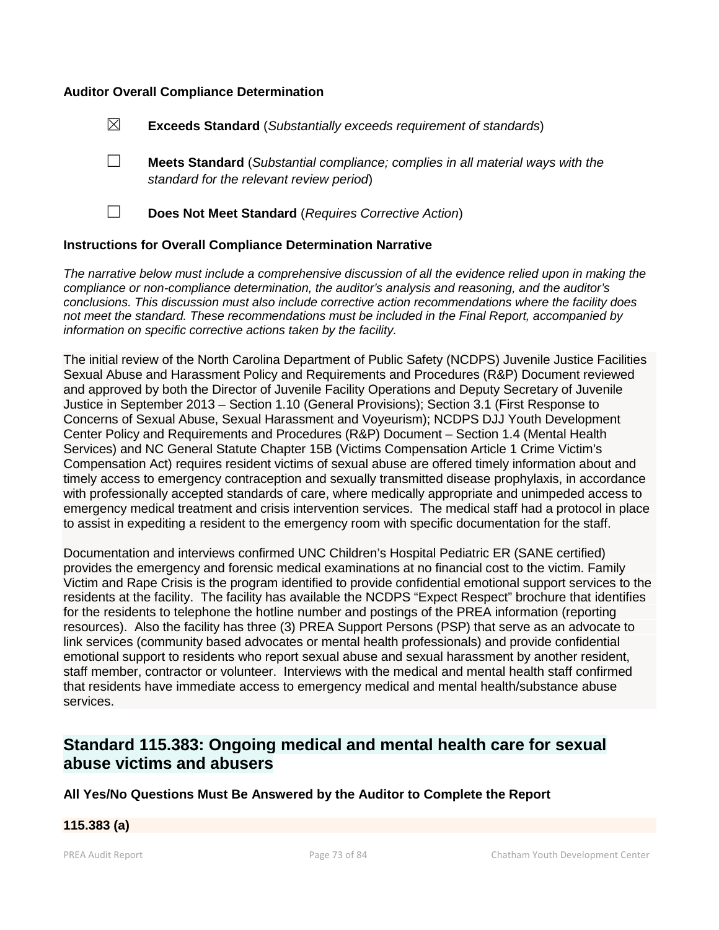## **Auditor Overall Compliance Determination**

| $\boxtimes$<br><b>Exceeds Standard</b> (Substantially exceeds requirement of standards) |  |
|-----------------------------------------------------------------------------------------|--|
|-----------------------------------------------------------------------------------------|--|

- ☐ **Meets Standard** (*Substantial compliance; complies in all material ways with the standard for the relevant review period*)
- 

☐ **Does Not Meet Standard** (*Requires Corrective Action*)

## **Instructions for Overall Compliance Determination Narrative**

*The narrative below must include a comprehensive discussion of all the evidence relied upon in making the compliance or non-compliance determination, the auditor's analysis and reasoning, and the auditor's conclusions. This discussion must also include corrective action recommendations where the facility does not meet the standard. These recommendations must be included in the Final Report, accompanied by information on specific corrective actions taken by the facility.*

The initial review of the North Carolina Department of Public Safety (NCDPS) Juvenile Justice Facilities Sexual Abuse and Harassment Policy and Requirements and Procedures (R&P) Document reviewed and approved by both the Director of Juvenile Facility Operations and Deputy Secretary of Juvenile Justice in September 2013 – Section 1.10 (General Provisions); Section 3.1 (First Response to Concerns of Sexual Abuse, Sexual Harassment and Voyeurism); NCDPS DJJ Youth Development Center Policy and Requirements and Procedures (R&P) Document – Section 1.4 (Mental Health Services) and NC General Statute Chapter 15B (Victims Compensation Article 1 Crime Victim's Compensation Act) requires resident victims of sexual abuse are offered timely information about and timely access to emergency contraception and sexually transmitted disease prophylaxis, in accordance with professionally accepted standards of care, where medically appropriate and unimpeded access to emergency medical treatment and crisis intervention services. The medical staff had a protocol in place to assist in expediting a resident to the emergency room with specific documentation for the staff.

Documentation and interviews confirmed UNC Children's Hospital Pediatric ER (SANE certified) provides the emergency and forensic medical examinations at no financial cost to the victim. Family Victim and Rape Crisis is the program identified to provide confidential emotional support services to the residents at the facility. The facility has available the NCDPS "Expect Respect" brochure that identifies for the residents to telephone the hotline number and postings of the PREA information (reporting resources). Also the facility has three (3) PREA Support Persons (PSP) that serve as an advocate to link services (community based advocates or mental health professionals) and provide confidential emotional support to residents who report sexual abuse and sexual harassment by another resident, staff member, contractor or volunteer. Interviews with the medical and mental health staff confirmed that residents have immediate access to emergency medical and mental health/substance abuse services.

# **Standard 115.383: Ongoing medical and mental health care for sexual abuse victims and abusers**

**All Yes/No Questions Must Be Answered by the Auditor to Complete the Report**

#### **115.383 (a)**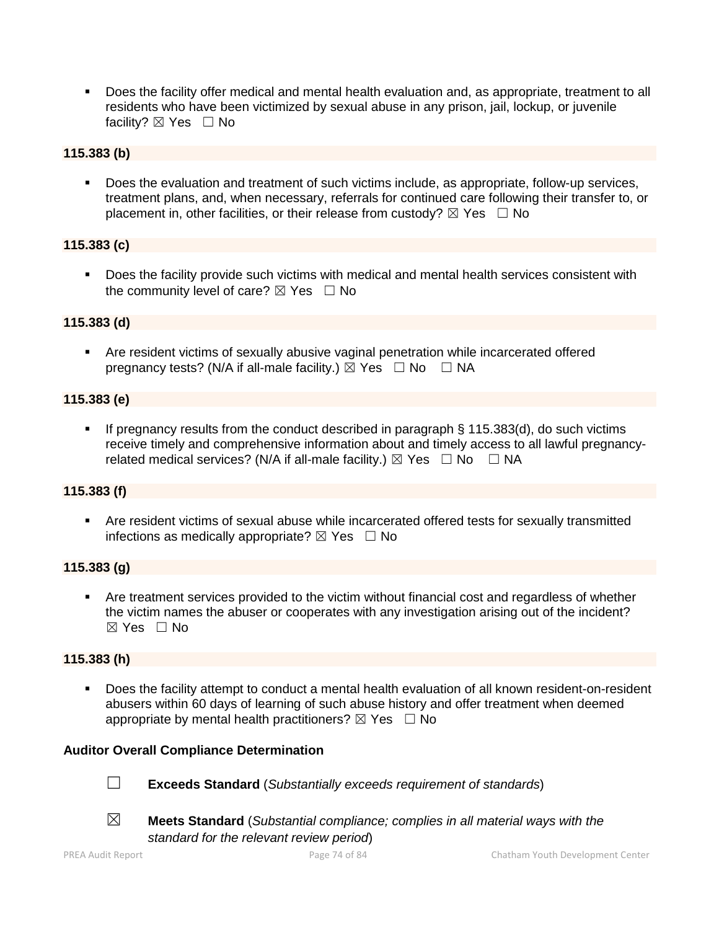Does the facility offer medical and mental health evaluation and, as appropriate, treatment to all residents who have been victimized by sexual abuse in any prison, jail, lockup, or juvenile facility? ⊠ Yes □ No

# **115.383 (b)**

 Does the evaluation and treatment of such victims include, as appropriate, follow-up services, treatment plans, and, when necessary, referrals for continued care following their transfer to, or placement in, other facilities, or their release from custody?  $\boxtimes$  Yes  $\Box$  No

## **115.383 (c)**

 Does the facility provide such victims with medical and mental health services consistent with the community level of care?  $\boxtimes$  Yes  $\Box$  No

# **115.383 (d)**

 Are resident victims of sexually abusive vaginal penetration while incarcerated offered pregnancy tests? (N/A if all-male facility.)  $\boxtimes$  Yes  $\Box$  No  $\Box$  NA

## **115.383 (e)**

If pregnancy results from the conduct described in paragraph  $\S$  115.383(d), do such victims receive timely and comprehensive information about and timely access to all lawful pregnancyrelated medical services? (N/A if all-male facility.)  $\boxtimes$  Yes  $\Box$  No  $\Box$  NA

# **115.383 (f)**

 Are resident victims of sexual abuse while incarcerated offered tests for sexually transmitted infections as medically appropriate?  $\boxtimes$  Yes  $\Box$  No

#### **115.383 (g)**

 Are treatment services provided to the victim without financial cost and regardless of whether the victim names the abuser or cooperates with any investigation arising out of the incident? ☒ Yes ☐ No

# **115.383 (h)**

 Does the facility attempt to conduct a mental health evaluation of all known resident-on-resident abusers within 60 days of learning of such abuse history and offer treatment when deemed appropriate by mental health practitioners?  $\boxtimes$  Yes  $\Box$  No

#### **Auditor Overall Compliance Determination**

- ☐ **Exceeds Standard** (*Substantially exceeds requirement of standards*)
- ☒ **Meets Standard** (*Substantial compliance; complies in all material ways with the standard for the relevant review period*)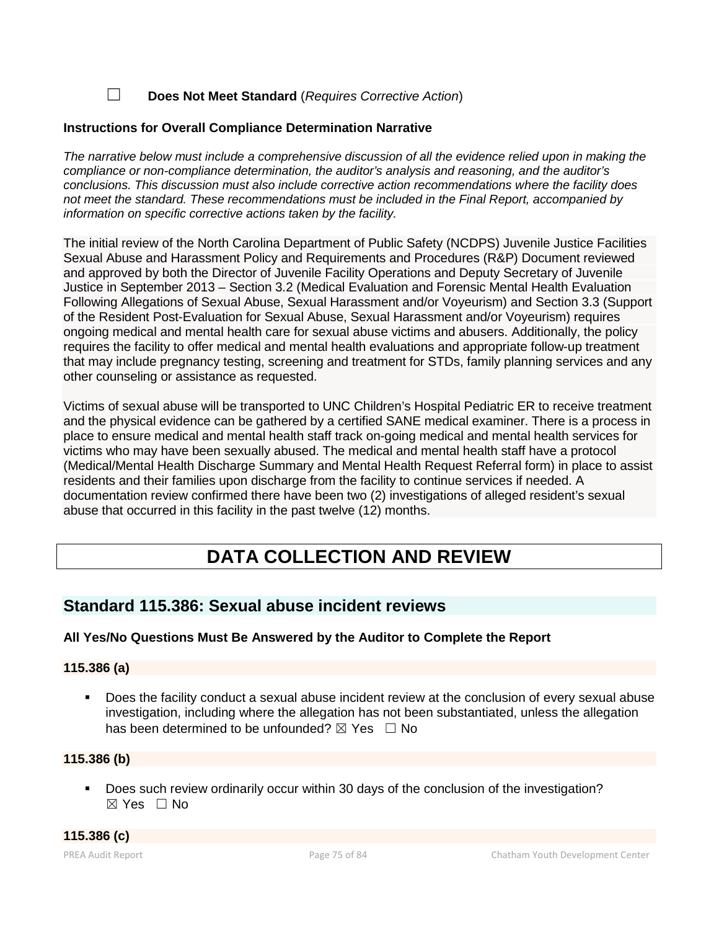☐ **Does Not Meet Standard** (*Requires Corrective Action*)

# **Instructions for Overall Compliance Determination Narrative**

*The narrative below must include a comprehensive discussion of all the evidence relied upon in making the compliance or non-compliance determination, the auditor's analysis and reasoning, and the auditor's conclusions. This discussion must also include corrective action recommendations where the facility does not meet the standard. These recommendations must be included in the Final Report, accompanied by information on specific corrective actions taken by the facility.*

The initial review of the North Carolina Department of Public Safety (NCDPS) Juvenile Justice Facilities Sexual Abuse and Harassment Policy and Requirements and Procedures (R&P) Document reviewed and approved by both the Director of Juvenile Facility Operations and Deputy Secretary of Juvenile Justice in September 2013 – Section 3.2 (Medical Evaluation and Forensic Mental Health Evaluation Following Allegations of Sexual Abuse, Sexual Harassment and/or Voyeurism) and Section 3.3 (Support of the Resident Post-Evaluation for Sexual Abuse, Sexual Harassment and/or Voyeurism) requires ongoing medical and mental health care for sexual abuse victims and abusers. Additionally, the policy requires the facility to offer medical and mental health evaluations and appropriate follow-up treatment that may include pregnancy testing, screening and treatment for STDs, family planning services and any other counseling or assistance as requested.

Victims of sexual abuse will be transported to UNC Children's Hospital Pediatric ER to receive treatment and the physical evidence can be gathered by a certified SANE medical examiner. There is a process in place to ensure medical and mental health staff track on-going medical and mental health services for victims who may have been sexually abused. The medical and mental health staff have a protocol (Medical/Mental Health Discharge Summary and Mental Health Request Referral form) in place to assist residents and their families upon discharge from the facility to continue services if needed. A documentation review confirmed there have been two (2) investigations of alleged resident's sexual abuse that occurred in this facility in the past twelve (12) months.

# **DATA COLLECTION AND REVIEW**

# **Standard 115.386: Sexual abuse incident reviews**

# **All Yes/No Questions Must Be Answered by the Auditor to Complete the Report**

#### **115.386 (a)**

 Does the facility conduct a sexual abuse incident review at the conclusion of every sexual abuse investigation, including where the allegation has not been substantiated, unless the allegation has been determined to be unfounded?  $\boxtimes$  Yes  $\Box$  No

# **115.386 (b)**

Does such review ordinarily occur within 30 days of the conclusion of the investigation? ☒ Yes ☐ No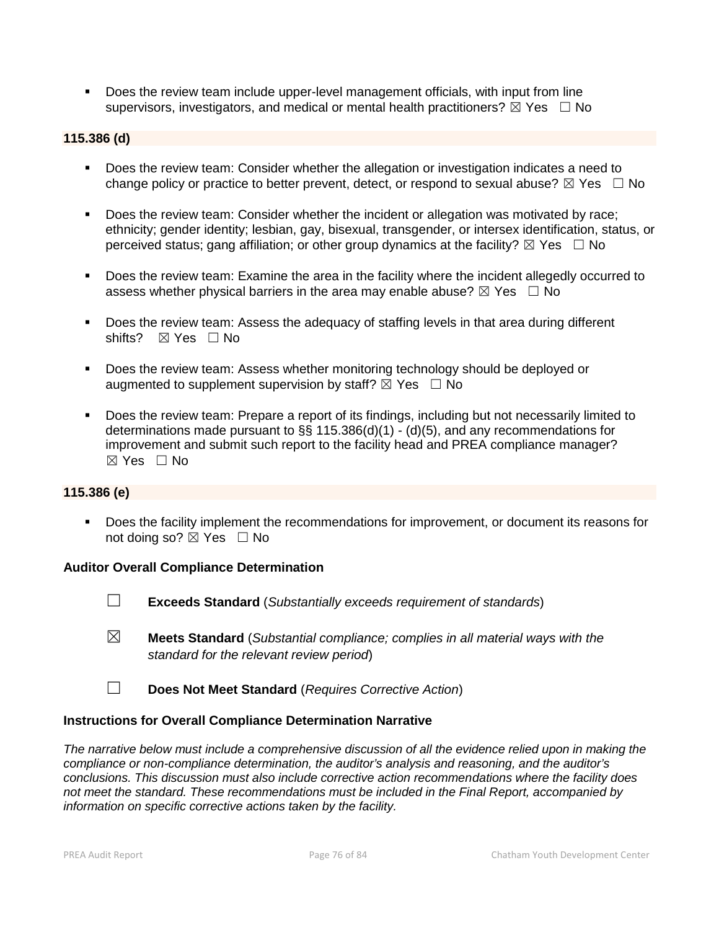Does the review team include upper-level management officials, with input from line supervisors, investigators, and medical or mental health practitioners?  $\boxtimes$  Yes  $\Box$  No

#### **115.386 (d)**

- Does the review team: Consider whether the allegation or investigation indicates a need to change policy or practice to better prevent, detect, or respond to sexual abuse?  $\boxtimes$  Yes  $\Box$  No
- Does the review team: Consider whether the incident or allegation was motivated by race; ethnicity; gender identity; lesbian, gay, bisexual, transgender, or intersex identification, status, or perceived status; gang affiliation; or other group dynamics at the facility?  $\boxtimes$  Yes  $\Box$  No
- Does the review team: Examine the area in the facility where the incident allegedly occurred to assess whether physical barriers in the area may enable abuse?  $\boxtimes$  Yes  $\Box$  No
- Does the review team: Assess the adequacy of staffing levels in that area during different shifts?  $\boxtimes$  Yes  $\Box$  No
- Does the review team: Assess whether monitoring technology should be deployed or augmented to supplement supervision by staff?  $\boxtimes$  Yes  $\Box$  No
- Does the review team: Prepare a report of its findings, including but not necessarily limited to determinations made pursuant to §§ 115.386(d)(1) - (d)(5), and any recommendations for improvement and submit such report to the facility head and PREA compliance manager?  $\boxtimes$  Yes  $\Box$  No

#### **115.386 (e)**

**Does the facility implement the recommendations for improvement, or document its reasons for** not doing so?  $\boxtimes$  Yes  $\Box$  No

#### **Auditor Overall Compliance Determination**

- ☐ **Exceeds Standard** (*Substantially exceeds requirement of standards*)
- ☒ **Meets Standard** (*Substantial compliance; complies in all material ways with the standard for the relevant review period*)
- ☐ **Does Not Meet Standard** (*Requires Corrective Action*)

#### **Instructions for Overall Compliance Determination Narrative**

*The narrative below must include a comprehensive discussion of all the evidence relied upon in making the compliance or non-compliance determination, the auditor's analysis and reasoning, and the auditor's conclusions. This discussion must also include corrective action recommendations where the facility does not meet the standard. These recommendations must be included in the Final Report, accompanied by information on specific corrective actions taken by the facility.*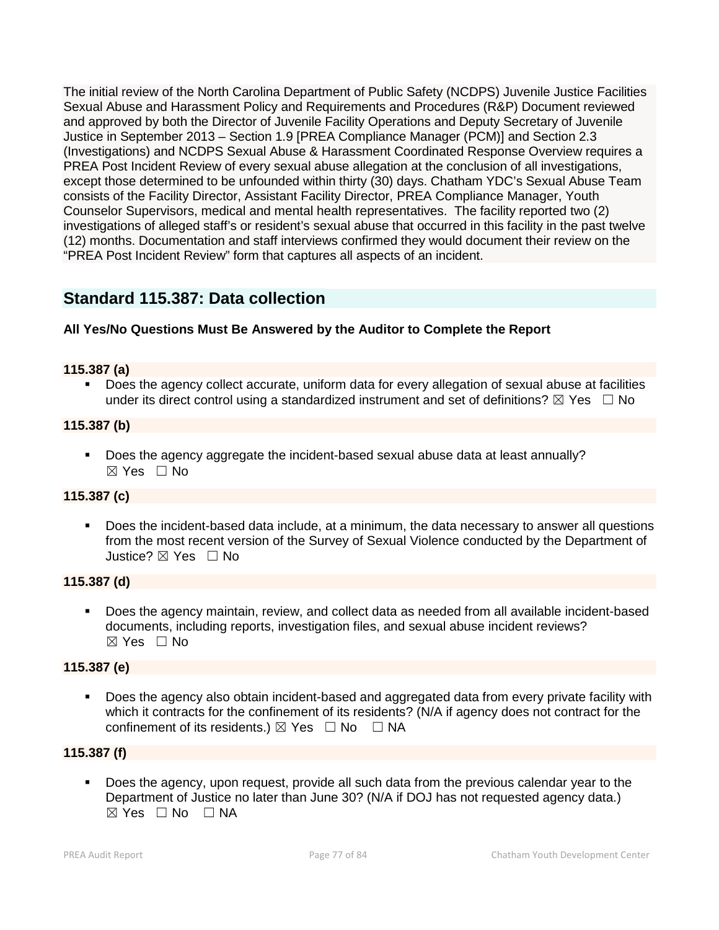The initial review of the North Carolina Department of Public Safety (NCDPS) Juvenile Justice Facilities Sexual Abuse and Harassment Policy and Requirements and Procedures (R&P) Document reviewed and approved by both the Director of Juvenile Facility Operations and Deputy Secretary of Juvenile Justice in September 2013 – Section 1.9 [PREA Compliance Manager (PCM)] and Section 2.3 (Investigations) and NCDPS Sexual Abuse & Harassment Coordinated Response Overview requires a PREA Post Incident Review of every sexual abuse allegation at the conclusion of all investigations, except those determined to be unfounded within thirty (30) days. Chatham YDC's Sexual Abuse Team consists of the Facility Director, Assistant Facility Director, PREA Compliance Manager, Youth Counselor Supervisors, medical and mental health representatives. The facility reported two (2) investigations of alleged staff's or resident's sexual abuse that occurred in this facility in the past twelve (12) months. Documentation and staff interviews confirmed they would document their review on the "PREA Post Incident Review" form that captures all aspects of an incident.

# **Standard 115.387: Data collection**

# **All Yes/No Questions Must Be Answered by the Auditor to Complete the Report**

## **115.387 (a)**

 Does the agency collect accurate, uniform data for every allegation of sexual abuse at facilities under its direct control using a standardized instrument and set of definitions?  $\boxtimes$  Yes  $\Box$  No

## **115.387 (b)**

 Does the agency aggregate the incident-based sexual abuse data at least annually? ☒ Yes ☐ No

# **115.387 (c)**

 Does the incident-based data include, at a minimum, the data necessary to answer all questions from the most recent version of the Survey of Sexual Violence conducted by the Department of Justice? ⊠ Yes □ No

# **115.387 (d)**

 Does the agency maintain, review, and collect data as needed from all available incident-based documents, including reports, investigation files, and sexual abuse incident reviews?  $\boxtimes$  Yes  $\Box$  No

#### **115.387 (e)**

 Does the agency also obtain incident-based and aggregated data from every private facility with which it contracts for the confinement of its residents? (N/A if agency does not contract for the confinement of its residents.)  $\boxtimes$  Yes  $\Box$  No  $\Box$  NA

# **115.387 (f)**

 Does the agency, upon request, provide all such data from the previous calendar year to the Department of Justice no later than June 30? (N/A if DOJ has not requested agency data.)  $\boxtimes$  Yes  $\Box$  No  $\Box$  NA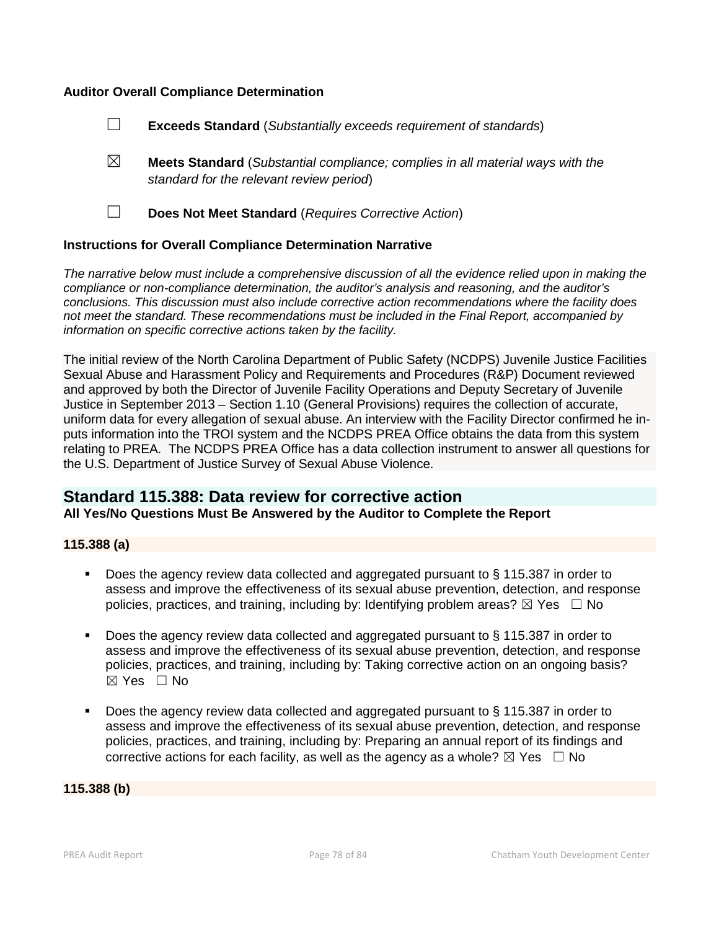## **Auditor Overall Compliance Determination**

- ☐ **Exceeds Standard** (*Substantially exceeds requirement of standards*)
- ☒ **Meets Standard** (*Substantial compliance; complies in all material ways with the standard for the relevant review period*)
- 
- ☐ **Does Not Meet Standard** (*Requires Corrective Action*)

#### **Instructions for Overall Compliance Determination Narrative**

*The narrative below must include a comprehensive discussion of all the evidence relied upon in making the compliance or non-compliance determination, the auditor's analysis and reasoning, and the auditor's conclusions. This discussion must also include corrective action recommendations where the facility does not meet the standard. These recommendations must be included in the Final Report, accompanied by information on specific corrective actions taken by the facility.*

The initial review of the North Carolina Department of Public Safety (NCDPS) Juvenile Justice Facilities Sexual Abuse and Harassment Policy and Requirements and Procedures (R&P) Document reviewed and approved by both the Director of Juvenile Facility Operations and Deputy Secretary of Juvenile Justice in September 2013 – Section 1.10 (General Provisions) requires the collection of accurate, uniform data for every allegation of sexual abuse. An interview with the Facility Director confirmed he in puts information into the TROI system and the NCDPS PREA Office obtains the data from this system relating to PREA. The NCDPS PREA Office has a data collection instrument to answer all questions for the U.S. Department of Justice Survey of Sexual Abuse Violence.

# **Standard 115.388: Data review for corrective action**

**All Yes/No Questions Must Be Answered by the Auditor to Complete the Report**

#### **115.388 (a)**

- Does the agency review data collected and aggregated pursuant to § 115.387 in order to assess and improve the effectiveness of its sexual abuse prevention, detection, and response policies, practices, and training, including by: Identifying problem areas?  $\boxtimes$  Yes  $\Box$  No
- Does the agency review data collected and aggregated pursuant to § 115.387 in order to assess and improve the effectiveness of its sexual abuse prevention, detection, and response policies, practices, and training, including by: Taking corrective action on an ongoing basis?  $\boxtimes$  Yes  $\Box$  No
- Does the agency review data collected and aggregated pursuant to § 115.387 in order to assess and improve the effectiveness of its sexual abuse prevention, detection, and response policies, practices, and training, including by: Preparing an annual report of its findings and corrective actions for each facility, as well as the agency as a whole?  $\boxtimes$  Yes  $\Box$  No

#### **115.388 (b)**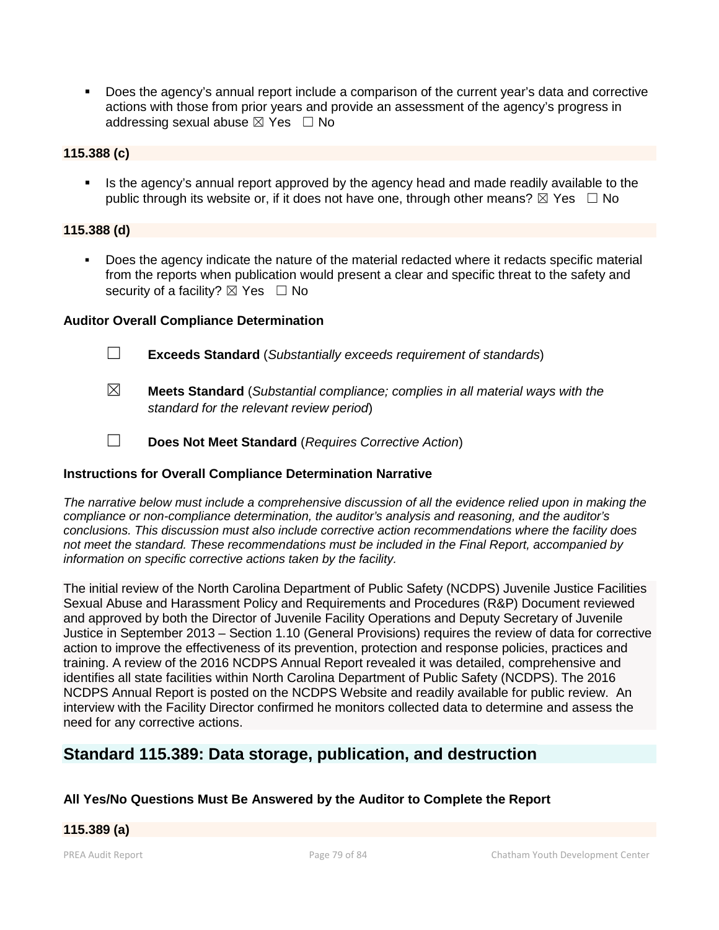Does the agency's annual report include a comparison of the current year's data and corrective actions with those from prior years and provide an assessment of the agency's progress in addressing sexual abuse  $\boxtimes$  Yes  $\Box$  No

## **115.388 (c)**

 Is the agency's annual report approved by the agency head and made readily available to the public through its website or, if it does not have one, through other means?  $\boxtimes$  Yes  $\Box$  No

## **115.388 (d)**

 Does the agency indicate the nature of the material redacted where it redacts specific material from the reports when publication would present a clear and specific threat to the safety and security of a facility?  $\boxtimes$  Yes  $\Box$  No

## **Auditor Overall Compliance Determination**

- ☐ **Exceeds Standard** (*Substantially exceeds requirement of standards*)
- ☒ **Meets Standard** (*Substantial compliance; complies in all material ways with the standard for the relevant review period*)
- ☐ **Does Not Meet Standard** (*Requires Corrective Action*)

# **Instructions for Overall Compliance Determination Narrative**

*The narrative below must include a comprehensive discussion of all the evidence relied upon in making the compliance or non-compliance determination, the auditor's analysis and reasoning, and the auditor's conclusions. This discussion must also include corrective action recommendations where the facility does not meet the standard. These recommendations must be included in the Final Report, accompanied by information on specific corrective actions taken by the facility.*

The initial review of the North Carolina Department of Public Safety (NCDPS) Juvenile Justice Facilities Sexual Abuse and Harassment Policy and Requirements and Procedures (R&P) Document reviewed and approved by both the Director of Juvenile Facility Operations and Deputy Secretary of Juvenile Justice in September 2013 – Section 1.10 (General Provisions) requires the review of data for corrective action to improve the effectiveness of its prevention, protection and response policies, practices and training. A review of the 2016 NCDPS Annual Report revealed it was detailed, comprehensive and identifies all state facilities within North Carolina Department of Public Safety (NCDPS). The 2016 NCDPS Annual Report is posted on the NCDPS Website and readily available for public review. An interview with the Facility Director confirmed he monitors collected data to determine and assess the need for any corrective actions.

# **Standard 115.389: Data storage, publication, and destruction**

# **All Yes/No Questions Must Be Answered by the Auditor to Complete the Report**

#### **115.389 (a)**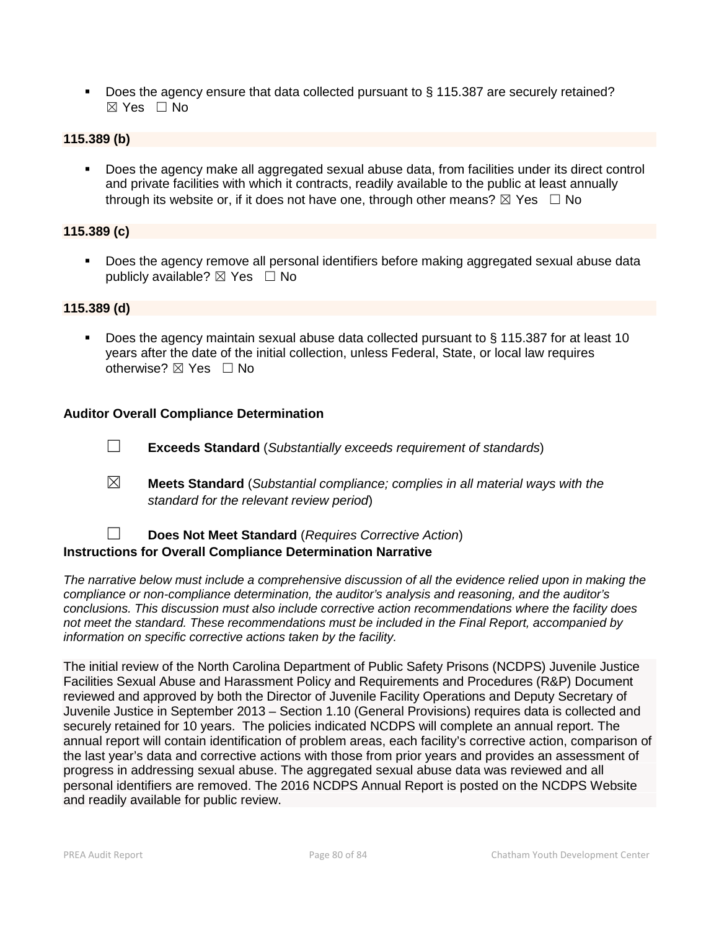Does the agency ensure that data collected pursuant to § 115.387 are securely retained? ☒ Yes ☐ No

## **115.389 (b)**

 Does the agency make all aggregated sexual abuse data, from facilities under its direct control and private facilities with which it contracts, readily available to the public at least annually through its website or, if it does not have one, through other means?  $\boxtimes$  Yes  $\Box$  No

#### **115.389 (c)**

 Does the agency remove all personal identifiers before making aggregated sexual abuse data publicly available?  $\boxtimes$  Yes  $\Box$  No

#### **115.389 (d)**

Does the agency maintain sexual abuse data collected pursuant to  $\S$  115.387 for at least 10 years after the date of the initial collection, unless Federal, State, or local law requires otherwise? ⊠ Yes □ No

## **Auditor Overall Compliance Determination**

- ☐ **Exceeds Standard** (*Substantially exceeds requirement of standards*)
- ☒ **Meets Standard** (*Substantial compliance; complies in all material ways with the standard for the relevant review period*)

# ☐ **Does Not Meet Standard** (*Requires Corrective Action*) **Instructions for Overall Compliance Determination Narrative**

*The narrative below must include a comprehensive discussion of all the evidence relied upon in making the compliance or non-compliance determination, the auditor's analysis and reasoning, and the auditor's conclusions. This discussion must also include corrective action recommendations where the facility does not meet the standard. These recommendations must be included in the Final Report, accompanied by information on specific corrective actions taken by the facility.*

The initial review of the North Carolina Department of Public Safety Prisons (NCDPS) Juvenile Justice Facilities Sexual Abuse and Harassment Policy and Requirements and Procedures (R&P) Document reviewed and approved by both the Director of Juvenile Facility Operations and Deputy Secretary of Juvenile Justice in September 2013 – Section 1.10 (General Provisions) requires data is collected and securely retained for 10 years. The policies indicated NCDPS will complete an annual report. The annual report will contain identification of problem areas, each facility's corrective action, comparison of the last year's data and corrective actions with those from prior years and provides an assessment of progress in addressing sexual abuse. The aggregated sexual abuse data was reviewed and all personal identifiers are removed. The 2016 NCDPS Annual Report is posted on the NCDPS Website and readily available for public review.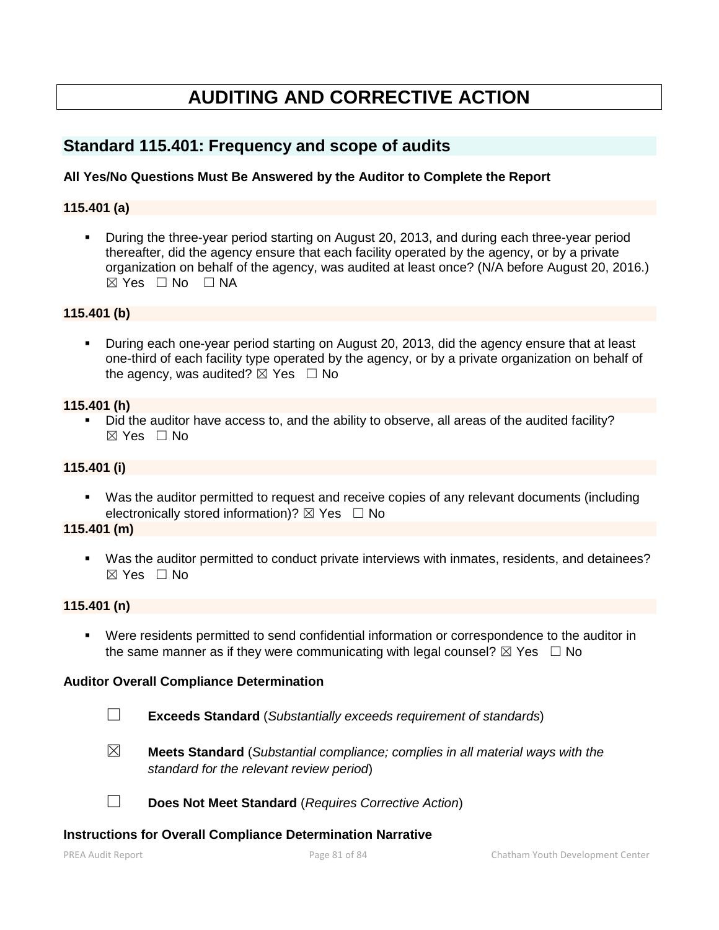# **AUDITING AND CORRECTIVE ACTION**

# **Standard 115.401: Frequency and scope of audits**

## **All Yes/No Questions Must Be Answered by the Auditor to Complete the Report**

#### **115.401 (a)**

 During the three-year period starting on August 20, 2013, and during each three-year period thereafter, did the agency ensure that each facility operated by the agency, or by a private organization on behalf of the agency, was audited at least once? (N/A before August 20, 2016.)  $\boxtimes$  Yes  $\Box$  No  $\Box$  NA

#### **115.401 (b)**

 During each one-year period starting on August 20, 2013, did the agency ensure that at least one-third of each facility type operated by the agency, or by a private organization on behalf of the agency, was audited?  $\boxtimes$  Yes  $\Box$  No

#### **115.401 (h)**

 Did the auditor have access to, and the ability to observe, all areas of the audited facility?  $\boxtimes$  Yes  $\Box$  No

# **115.401 (i)**

 Was the auditor permitted to request and receive copies of any relevant documents (including electronically stored information)?  $\boxtimes$  Yes  $\Box$  No

#### **115.401 (m)**

 Was the auditor permitted to conduct private interviews with inmates, residents, and detainees? ☒ Yes ☐ No

#### **115.401 (n)**

 Were residents permitted to send confidential information or correspondence to the auditor in the same manner as if they were communicating with legal counsel?  $\boxtimes$  Yes  $\Box$  No

#### **Auditor Overall Compliance Determination**

- ☐ **Exceeds Standard** (*Substantially exceeds requirement of standards*)
- 
- ☒ **Meets Standard** (*Substantial compliance; complies in all material ways with the standard for the relevant review period*)

☐ **Does Not Meet Standard** (*Requires Corrective Action*)

#### **Instructions for Overall Compliance Determination Narrative**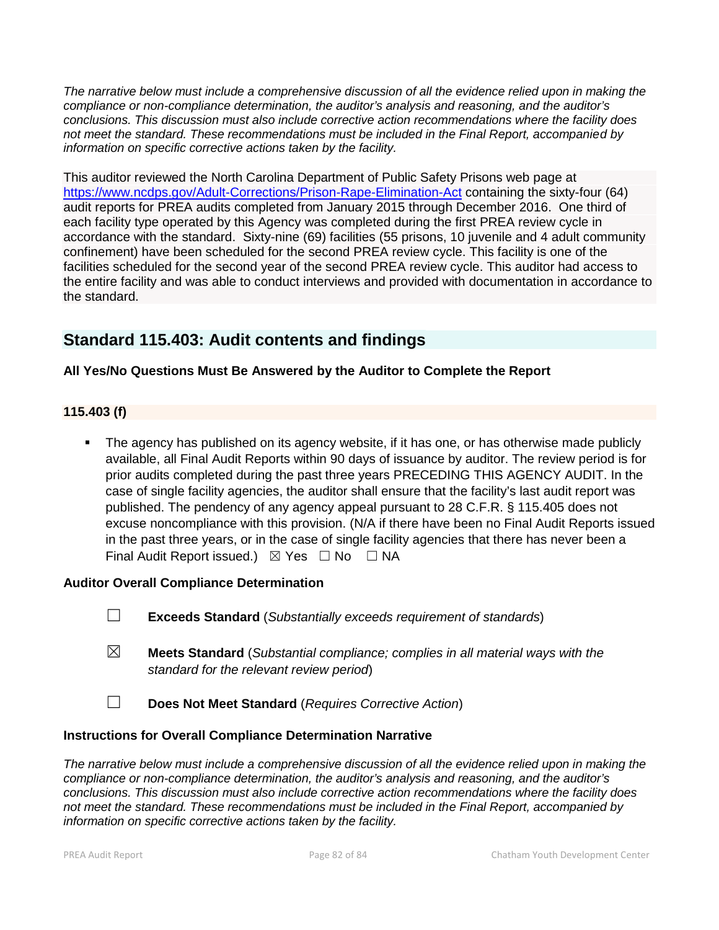*The narrative below must include a comprehensive discussion of all the evidence relied upon in making the compliance or non-compliance determination, the auditor's analysis and reasoning, and the auditor's conclusions. This discussion must also include corrective action recommendations where the facility does not meet the standard. These recommendations must be included in the Final Report, accompanied by information on specific corrective actions taken by the facility.*

This auditor reviewed the North Carolina Department of Public Safety Prisons web page at https://www.ncdps.gov/Adult-Corrections/Prison-Rape-Elimination-Act containing the sixty-four (64) audit reports for PREA audits completed from January 2015 through December 2016. One third of each facility type operated by this Agency was completed during the first PREA review cycle in accordance with the standard. Sixty-nine (69) facilities (55 prisons, 10 juvenile and 4 adult community confinement) have been scheduled for the second PREA review cycle. This facility is one of the facilities scheduled for the second year of the second PREA review cycle. This auditor had access to the entire facility and was able to conduct interviews and provided with documentation in accordance to the standard.

# **Standard 115.403: Audit contents and findings**

# **All Yes/No Questions Must Be Answered by the Auditor to Complete the Report**

## **115.403 (f)**

 The agency has published on its agency website, if it has one, or has otherwise made publicly available, all Final Audit Reports within 90 days of issuance by auditor. The review period is for prior audits completed during the past three years PRECEDING THIS AGENCY AUDIT. In the case of single facility agencies, the auditor shall ensure that the facility's last audit report was published. The pendency of any agency appeal pursuant to 28 C.F.R. § 115.405 does not excuse noncompliance with this provision. (N/A if there have been no Final Audit Reports issued in the past three years, or in the case of single facility agencies that there has never been a Final Audit Report issued.) ⊠ Yes □ No □ NA

#### **Auditor Overall Compliance Determination**

- ☐ **Exceeds Standard** (*Substantially exceeds requirement of standards*)
- ☒ **Meets Standard** (*Substantial compliance; complies in all material ways with the standard for the relevant review period*)
- ☐ **Does Not Meet Standard** (*Requires Corrective Action*)

# **Instructions for Overall Compliance Determination Narrative**

*The narrative below must include a comprehensive discussion of all the evidence relied upon in making the compliance or non-compliance determination, the auditor's analysis and reasoning, and the auditor's conclusions. This discussion must also include corrective action recommendations where the facility does not meet the standard. These recommendations must be included in the Final Report, accompanied by information on specific corrective actions taken by the facility.*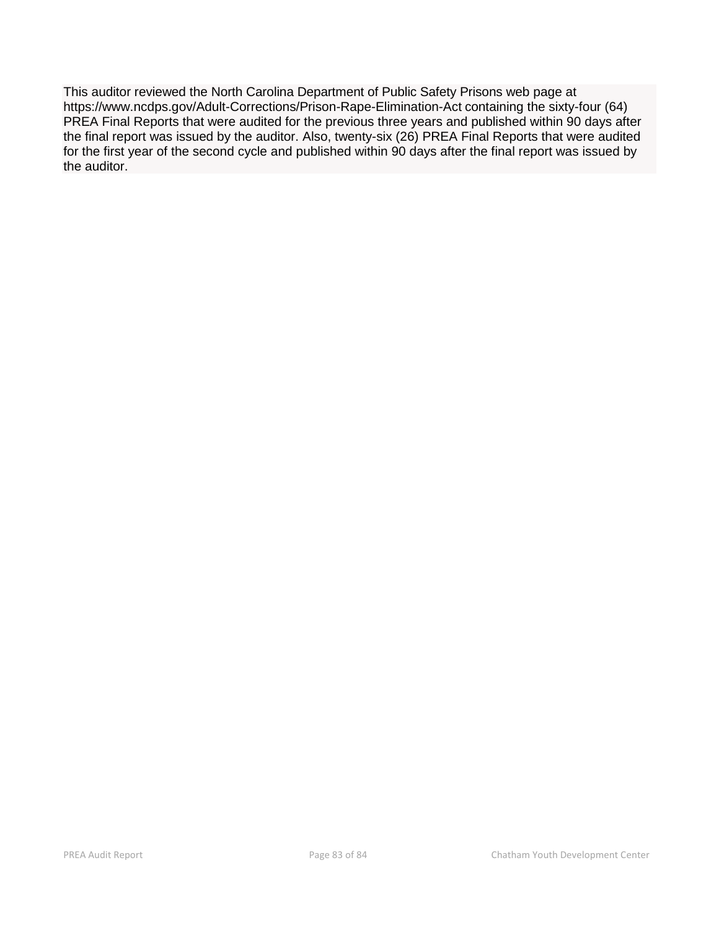This auditor reviewed the North Carolina Department of Public Safety Prisons web page at https://www.ncdps.gov/Adult-Corrections/Prison-Rape-Elimination-Act containing the sixty-four (64) PREA Final Reports that were audited for the previous three years and published within 90 days after the final report was issued by the auditor. Also, twenty-six (26) PREA Final Reports that were audited for the first year of the second cycle and published within 90 days after the final report was issued by the auditor.